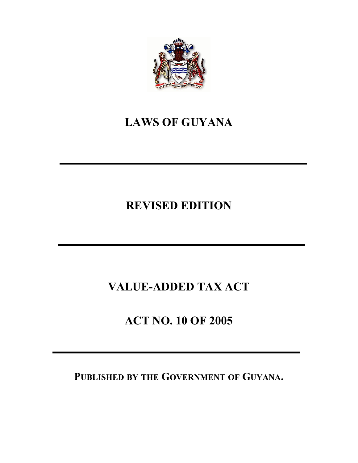

# **LAWS OF GUYANA**

# **REVISED EDITION**

# **VALUE-ADDED TAX ACT**

# **ACT NO. 10 OF 2005**

# **PUBLISHED BY THE GOVERNMENT OF GUYANA.**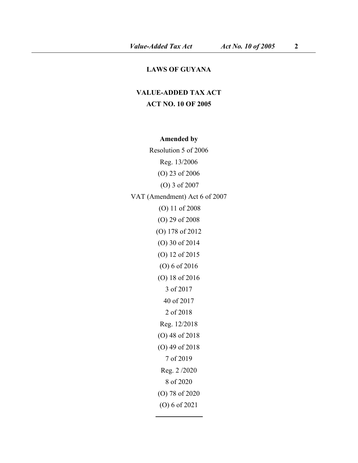#### **LAWS OF GUYANA**

## **VALUE-ADDED TAX ACT ACT NO. 10 OF 2005**

### **Amended by**

Resolution 5 of 2006 Reg. 13/2006 (O) 23 of 2006 (O) 3 of 2007 VAT (Amendment) Act 6 of 2007 (O) 11 of 2008 (O) 29 of 2008 (O) 178 of 2012 (O) 30 of 2014 (O) 12 of 2015 (O) 6 of 2016 (O) 18 of 2016 3 of 2017 40 of 2017 2 of 2018 Reg. 12/2018 (O) 48 of 2018 (O) 49 of 2018 7 of 2019 Reg. 2 /2020 8 of 2020 (O) 78 of 2020 (O) 6 of 2021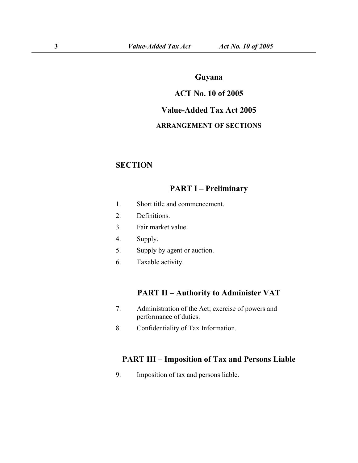### **Guyana**

### **ACT No. 10 of 2005**

### **Value-Added Tax Act 2005**

#### **ARRANGEMENT OF SECTIONS**

### **SECTION**

## **PART I – Preliminary**

- 1. Short title and [commencement](s).
- 2. [Definitions](s).
- 3. Fair [market](s) value.
- 4. [Supply.](s)
- 5. Supply by agent or [auction](s).
- 6. [Taxable](s) activity.

### **PART II – Authority to Administer VAT**

- 7. [Administration](s) of the Act; exercise of powers and performance of duties.
- 8. [Confidentiality](s) of Tax Information.

### **PART III – Imposition of Tax and Persons Liable**

9. [Imposition](s) of tax and persons liable.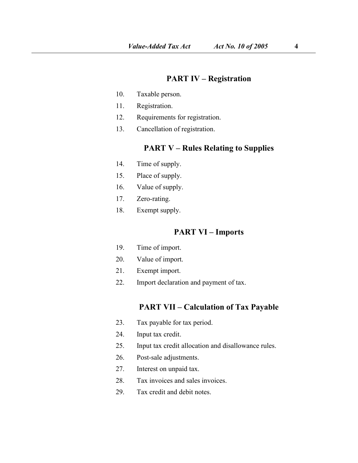### **PART IV – Registration**

- 10. [Taxable](s) person.
- 11. [Registration.](s)
- 12. [Requirements](s) for registration.
- 13. [Cancellation](s) of registration.

### **PART V – Rules Relating to Supplies**

- 14. Time of [supply](s).
- 15. Place of [supply.](s)
- 16. Value of [supply.](s)
- 17. [Zero-rating.](s)
- 18. [Exempt](s) supply.

### **PART VI – Imports**

- 19. Time of [import](s).
- 20. Value of [import.](s)
- 21. [Exempt](s) import.
- 22. Import [declaration](s) and payment of tax.

### **PART VII – Calculation of Tax Payable**

- 23. Tax [payable](s) for tax period.
- 24. Input tax [credit](s).
- 25. Input tax credit allocation and [disallowance](s) rules.
- 26. Post-sale [adjustments.](s)
- 27. [Interest](s) on unpaid tax.
- 28. Tax [invoices](s) and sales invoices.
- 29. Tax [credit](s) and debit notes.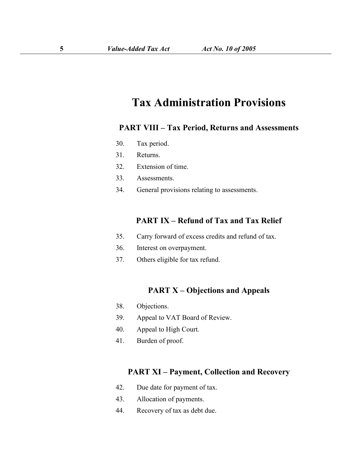# **Tax Administration Provisions**

### **PART VIII – Tax Period, Returns and Assessments**

- 30. Tax [period](s).
- 31. [Returns](s).
- 32. [Extension](s) of time.
- 33. [Assessments](s).
- 34. General provisions relating to [assessments](s).

### **PART IX – Refund of Tax and Tax Relief**

- 35. Carry [forward](s) of excess credits and refund of tax.
- 36. Interest on [overpayment.](s)
- 37. Others [eligible](s) for tax refund.

### **PART X – Objections and Appeals**

- 38. [Objections.](s)
- 39. Appeal to VAT Board of [Review.](s)
- 40. [Appeal](s) to High Court.
- 41. [Burden](s) of proof.

### **PART XI – Payment, Collection and Recovery**

- 42. Due date for [payment](s) of tax.
- 43. [Allocation](s) of payments.
- 44. [Recovery](s) of tax as debt due.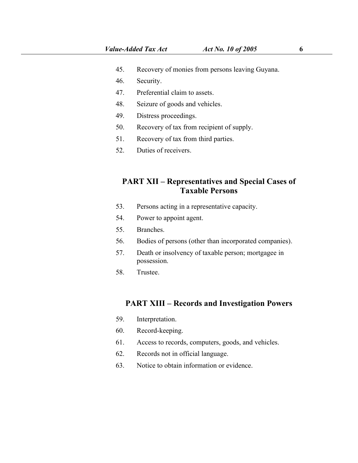- 45. [Recovery](s) of monies from persons leaving Guyana.
- 46. [Security.](s)
- 47. [Preferential](s) claim to assets.
- 48. Seizure of goods and [vehicles](s).
- 49. Distress [proceedings.](s)
- 50. [Recovery](s) of tax from recipient of supply.
- 51. [Recovery](s) of tax from third parties.
- 52. Duties of receivers.

### **PART XII – Representatives and Special Cases of Taxable Persons**

- 53. Persons acting in a [representative](s) capacity.
- 54. Power to [appoint](s) agent.
- 55. [Branches.](s)
- 56. Bodies of persons (other than [incorporated](s) companies).
- 57. Death or [insolvency](s) of taxable person; mortgagee in possession.
- 58. [Trustee](s).

### **PART XIII – Records and Investigation Powers**

- 59. [Interpretation](s).
- 60. [Record-keeping.](s)
- 61. Access to records, [computers,](s) goods, and vehicles.
- 62. Records not in official [language.](s)
- 63. Notice to obtain [information](s) or evidence.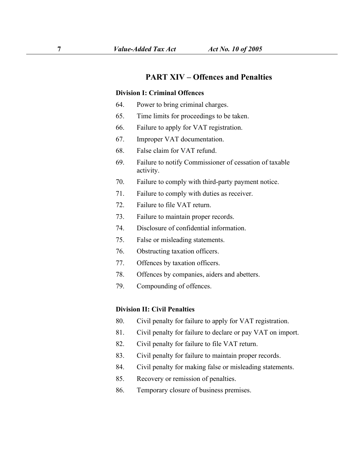## **PART XIV – Offences and Penalties**

#### **Division I: Criminal Offences**

- 64. Power to bring [criminal](s) charges.
- 65. Time limits for [proceedings](s) to be taken.
- 66. Failure to apply for VAT [registration](s).
- 67. Improper VAT [documentation.](s)
- 68. False claim for VAT [refund.](s)
- 69. Failure to notify [Commissioner](s) of cessation of taxable activity.
- 70. Failure to comply with [third-party](s) payment notice.
- 71. Failure to comply with duties as [receiver.](s)
- 72. [Failure](s) to file VAT return.
- 73. Failure to [maintain](s) proper records.
- 74. Disclosure of [confidential](s) information.
- 75. False or misleading [statements.](s)76. Obstructing taxation officers.
- 
- 77. [Offences](s) by taxation officers.
- 78. Offences by [companies,](s) aiders and abetters.
- 79. [Compounding](s) of offences.

#### **Division II: Civil Penalties**

- 80. Civil penalty for failure to apply for VAT [registration.](s)
- 81. Civil [penalty](s) for failure to declare or pay VAT on import.
- 82. Civil [penalty](s) for failure to file VAT return.
- 83. Civil penalty for failure to [maintain](s) proper records.
- 84. Civil penalty for making false or [misleading](s) statements.
- 85. Recovery or [remission](s) of penalties.
- 86. [Temporary](s) closure of business premises.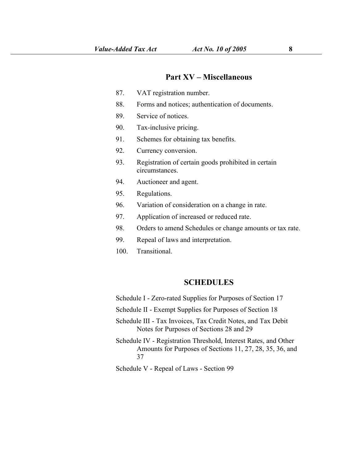#### **Part XV – Miscellaneous**

- 87. VAT [registration](s) number.
- 88. Forms and notices; [authentication](s) of documents.
- 89. [Service](s) of notices.
- 90. [Tax-inclusive](s) pricing.
- 91. Schemes for [obtaining](s) tax benefits.
- 92. Currency [conversion](s).
- 93. [Registration](s) of certain goods prohibited in certain circumstances.
- 94. [Auctioneer](s) and agent.
- 95. [Regulations](s).
- 96. Variation of [consideration](s) on a change in rate.
- 97. [Application](s) of increased or reduced rate.
- 98. Orders to amend [Schedules](s) or change amounts or tax rate.
- 99. Repeal of laws and [interpretation](s).
- 100. [Transitional.](s)

#### **SCHEDULES**

- Schedule I [Zero-rated](s) Supplies for Purposes of Section 17
- Schedule II Exempt Supplies for Purposes of Section 18
- Schedule III Tax [Invoices,](s) Tax Credit Notes, and Tax Debit Notes for Purposes of Sections 28 and 29
- Schedule IV [Registration](s) Threshold, Interest Rates, and Other Amounts for Purposes of Sections 11, 27, 28, 35, 36, and 37
- Schedule V Repeal of Laws [Section](s) 99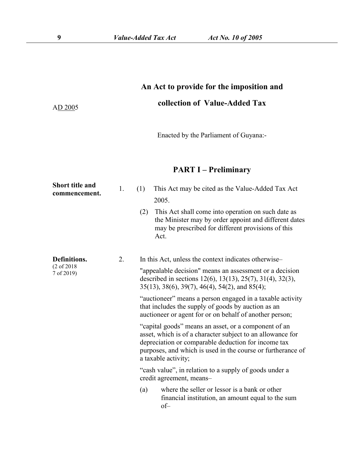# **An Act to provide for the imposition and collection of Value-Added Tax**

Enacted by the Parliament of Guyana:-

## **PART I – Preliminary**

| <b>Short title and</b><br>commencement.   | 1. | (1)                                                                                | This Act may be cited as the Value-Added Tax Act<br>2005.                                                                                                                                                                                                       |  |  |  |  |
|-------------------------------------------|----|------------------------------------------------------------------------------------|-----------------------------------------------------------------------------------------------------------------------------------------------------------------------------------------------------------------------------------------------------------------|--|--|--|--|
|                                           |    | (2)                                                                                | This Act shall come into operation on such date as<br>the Minister may by order appoint and different dates<br>may be prescribed for different provisions of this<br>Act.                                                                                       |  |  |  |  |
| Definitions.<br>(2 of 2018)<br>7 of 2019) | 2. |                                                                                    | In this Act, unless the context indicates otherwise–                                                                                                                                                                                                            |  |  |  |  |
|                                           |    |                                                                                    | "appealable decision" means an assessment or a decision<br>described in sections 12(6), 13(13), 25(7), 31(4), 32(3),<br>35(13), 38(6), 39(7), 46(4), 54(2), and 85(4);                                                                                          |  |  |  |  |
|                                           |    |                                                                                    | "auctioneer" means a person engaged in a taxable activity<br>that includes the supply of goods by auction as an<br>auctioneer or agent for or on behalf of another person;                                                                                      |  |  |  |  |
|                                           |    |                                                                                    | "capital goods" means an asset, or a component of an<br>asset, which is of a character subject to an allowance for<br>depreciation or comparable deduction for income tax<br>purposes, and which is used in the course or furtherance of<br>a taxable activity; |  |  |  |  |
|                                           |    | "cash value", in relation to a supply of goods under a<br>credit agreement, means- |                                                                                                                                                                                                                                                                 |  |  |  |  |
|                                           |    | (a)                                                                                | where the seller or lessor is a bank or other<br>financial institution, an amount equal to the sum<br>$of-$                                                                                                                                                     |  |  |  |  |

AD 2005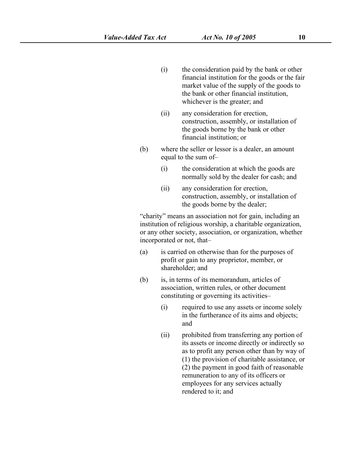- (i) the consideration paid by the bank or other financial institution for the goods or the fair market value of the supply of the goods to the bank or other financial institution, whichever is the greater; and
- (ii) any consideration for erection, construction, assembly, or installation of the goods borne by the bank or other financial institution; or
- (b) where the seller or lessor is a dealer, an amount equal to the sum of–
	- (i) the consideration at which the goods are normally sold by the dealer for cash; and
	- (ii) any consideration for erection, construction, assembly, or installation of the goods borne by the dealer;

"charity" means an association not for gain, including an institution of religious worship, a charitable organization, or any other society, association, or organization, whether incorporated or not, that–

- (a) is carried on otherwise than for the purposes of profit or gain to any proprietor, member, or shareholder; and
- $(b)$  is, in terms of its memorandum, articles of association, written rules, or other document constituting or governing its activities–
	- (i) required to use any assets or income solely in the furtherance of its aims and objects; and
	- (ii) prohibited from transferring any portion of its assets or income directly or indirectly so as to profit any person other than by way of (1) the provision of charitable assistance, or  $(2)$  the payment in good faith of reasonable remuneration to any of its officers or employees for any services actually rendered to it; and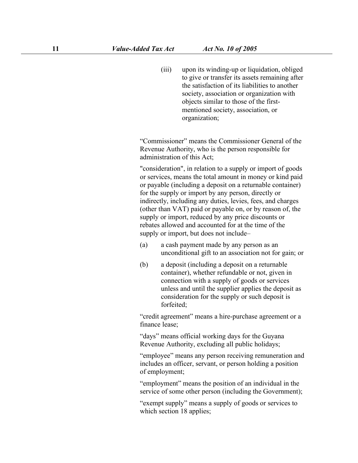(iii) upon its winding-up or liquidation, obliged to give or transfer its assets remaining after the satisfaction of its liabilities to another society, association or organization with objects similar to those of the first mentioned society, association, or organization;

"Commissioner" means the Commissioner General of the Revenue Authority, who is the person responsible for administration of this Act;

"consideration", in relation to a supply or import of goods or services, means the total amount in money or kind paid or payable (including a depositon a returnable container) for the supply or import by any person, directly or indirectly, including any duties, levies, fees, and charges (other than VAT) paid or payable on, or by reason of, the supply or import, reduced by any price discounts or rebates allowed and accounted for at the time of the supply or import, but does not include–

- (a) a cash payment made by any person as an unconditional gift to an association not for gain; or
- (b) a deposit (including a deposit on a returnable container), whether refundable or not, given in connection with a supply of goods or services unless and until the supplier applies the deposit as consideration for the supply or such deposit is forfeited;

"credit agreement" means a hire-purchase agreement or a finance lease;

"days" means official working days for the Guyana Revenue Authority, excluding all public holidays;

"employee" means any person receiving remuneration and includes an officer, servant, or person holding a position of employment;

"employment" means the position of an individual in the service of some other person (including the Government);

"exempt supply" means a supply of goods or services to which section 18 applies;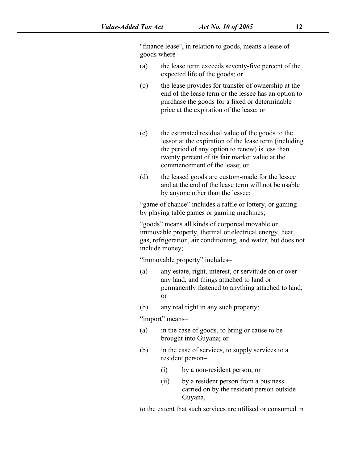"finance lease", in relation to goods, means a lease of goods where–

- (a) the lease term exceeds seventy-five percent of the expected life of the goods; or
- (b) the lease provides for transfer of ownership at the end of the lease term or the lessee has an option to purchase the goods for a fixed or determinable price at the expiration of the lease; or
- (c) the estimated residual value of the goods to the lessor at the expiration of the lease term (including the period of any option to renew) is less than twenty percent of its fair market value at the commencement of the lease; or
- (d) the leased goods are custom-made for the lessee and at the end of the lease term will not be usable by anyone other than the lessee;

"game of chance" includes a raffle or lottery, or gaming by playing table games or gaming machines;

"goods" means all kinds of corporeal movable or immovable property, thermal or electrical energy, heat, gas, refrigeration, air conditioning, and water, but does not include money;

"immovable property" includes–

- (a) any estate, right, interest, or servitude on or over any land, and things attached to land or permanently fastened to anything attached to land; or
- (b) any real right in any such property;

"import" means–

- (a) in the case of goods, to bring or cause to be brought into Guyana; or
- (b) in the case of services, to supply services to a resident person–
	- (i) by a non-resident person; or
	- (ii) by a resident person from a business carried on by the resident person outside Guyana,

to the extent that such services are utilised or consumed in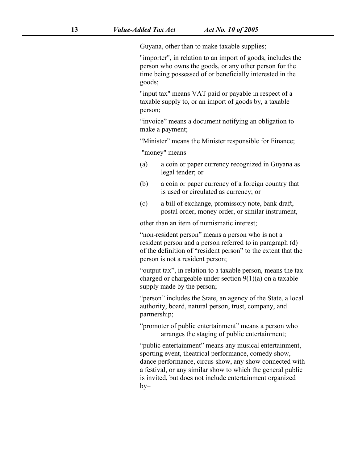Guyana, other than to make taxable supplies;

"importer", in relation to an import of goods, includes the person who owns the goods, or any other person for the time being possessed of or beneficially interested in the goods;

"input tax" means VAT paid or payable in respect of a taxable supply to, or an import of goods by, a taxable person;

"invoice" means a document notifying an obligation to make a payment;

"Minister" means the Minister responsible for Finance;

"money" means–

- (a) a coin or paper currency recognized in Guyana as legal tender; or
- (b) a coin or paper currency of a foreign country that is used or circulated as currency; or
- (c) a bill of exchange, promissory note, bank draft, postal order, money order, or similar instrument,

other than an item of numismatic interest;

"non-resident person" means a person who is not a resident person and a person referred to in paragraph [\(d\)](s) of the definition of "resident person" to the extent that the person is not a resident person;

"output tax", in relation to a taxable person, means the tax charged or chargeable under section  $9(1)(a)$  on a taxable supply made by the person;<br>"person" includes the State, an agency of the State, a local

authority, board, natural person, trust, company, and partnership;

"promoter of public entertainment" means a person who arranges the staging of public entertainment;

"public entertainment" means any musical entertainment, sporting event, theatrical performance, comedy show, dance performance, circus show,any show connected with a festival, or any similar show to which the general public is invited, but does not include entertainment organized  $by-$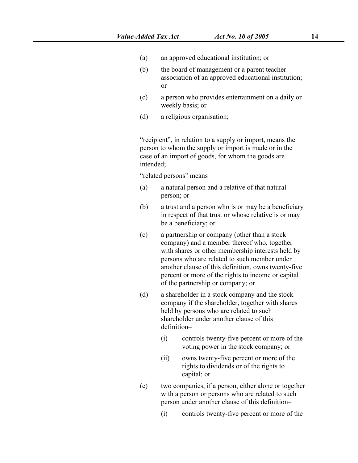- (a) an approved educational institution; or
- (b) the board of management or a parent teacher association of an approved educational institution; or
- (c) a person who provides entertainment on a daily or weekly basis; or
- (d) a religious organisation;

"recipient", in relation to a supply or import, means the person to whom the supply or import is made or in the case of an import of goods, for whom the goods are intended;

"related persons" means–

- (a) a natural person and a relative of that natural person; or
- (b) a trust and a person who is or may be a beneficiary in respect of that trust or whose relative is or may be a beneficiary; or
- (c) a partnership or company (other than a stock company) and a member thereof who, together with shares or other membership interests held by persons who are related to such member under another clause of this definition, owns twenty-five percent or more of the rights to income or capital of the partnership or company; or
- (d) a shareholder in a stock company and the stock company if the shareholder, together with shares held by persons who are related to such shareholder under another clause of this definition–
	- (i) controls twenty-five percent or more of the voting power in the stock company; or
	- (ii) owns twenty-five percent or more of the rights to dividends or of the rights to capital; or
- (e) two companies, if a person, either alone or together with a person or persons who are related to such person under another clause of this definition–
	- (i) controls twenty-five percent or more of the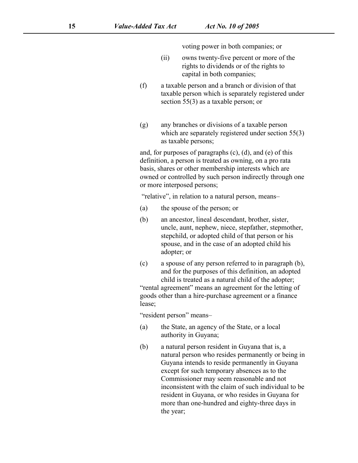voting power in both companies; or

- (ii) owns twenty-five percent or more of the rights to dividends or of the rights to capital in both companies;
- (f) a taxable person and a branch or division of that taxable person which is separately registered under section [55\(3\)](s) as a taxable person; or
- (g) any branches ordivisions of a taxable person which are separately registered under section [55\(3\)](s) as taxable persons;

and, for purposes of paragraphs  $(c)$ ,  $(d)$ , and  $(e)$  of this definition, a person is treated as owning, on a pro rata basis, shares or other membership interests which are owned or controlled by such person indirectly through one or more interposed persons;

"relative", in relation to a natural person, means–

- (a) the spouse of the person; or
- (b) an ancestor, lineal descendant, brother, sister, uncle, aunt, nephew, niece, stepfather, stepmother, stepchild, or adopted child of that person or his spouse, and in the case of an adopted child his adopter; or
- (c) a spouse of any person referred to in paragraph [\(b\)](s), and for the purposes of this definition, an adopted child is treated as a natural child of the adopter;

"rental agreement" means an agreement for the letting of goods other than a hire-purchase agreement or a finance lease;

"resident person" means–

- (a) the State, an agency of the State, or a local authority in Guyana;
- (b) a natural person resident in Guyana that is, a natural person who resides permanently or being in Guyana intends to reside permanently in Guyana except for such temporary absences as to the Commissioner may seem reasonable and not inconsistent with the claim of such individual to be resident in Guyana, or who resides in Guyana for more than one-hundred and eighty-three days in the year;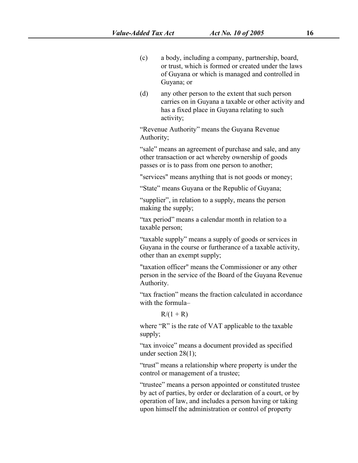- (c) a body, including a company, partnership, board, or trust, which is formed or created under the laws of Guyana or which is managed and controlled in Guyana; or
- (d) any other person to the extent that such person carries on in Guyana a taxable or other activity and has a fixed place in Guyana relating to such activity;

"Revenue Authority" means the Guyana Revenue Authority;

"sale" means an agreement of purchase and sale, and any other transaction or act whereby ownership of goods passes or is to pass from one person to another;

"services" means anything that is not goods or money;

"State" means Guyana or the Republic of Guyana;

"supplier", in relation to a supply, means the person making the supply;<br>"tax period" means a calendar month in relation to a

taxable person;<br>"taxable supply" means a supply of goods or services in

Guyana in the course or furtherance of a taxable activity, other than an exempt supply;

"taxation officer" means the Commissioner or any other person in the service of the Board of the Guyana Revenue Authority.

"tax fraction" means the fraction calculated in accordance with the formula–

 $R/(1 + R)$ 

where "R" is the rate of VAT applicable to the taxable supply;

"tax invoice" means a document provided as specified under section [28\(1\);](s)

"trust" means a relationship where property is under the control or management of a trustee;<br>"trustee" means a person appointed or constituted trustee

by act of parties, by order or declaration of a court, or by operation of law, and includes a person having or taking upon himself the administration or control of property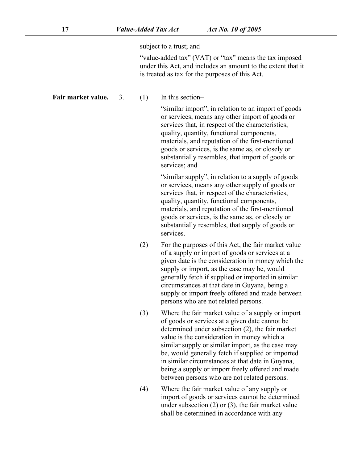subject to a trust; and

"value-added tax" (VAT) or "tax" means the tax imposed under this Act, and includes an amount to the extent that it is treated as tax for the purposes of this Act.

**Fair market value.** 3. (1) In this section–

"similar import", in relation to an import of goods or services, means any other import of goods or services that, in respect of the characteristics, quality, quantity, functional components, materials, and reputation of the first-mentioned goods or services, is the same as, or closely or substantially resembles, that import of goods or services; and

"similar supply", in relation to a supply of goods or services, means any other supply of goods or services that, in respect of the characteristics, quality, quantity, functional components, materials, and reputation of the first-mentioned goods or services, is the same as, or closely or substantially resembles, that supply of goods or services.

- $(2)$  For the purposes of this Act, the fair market value of a supply or import of goods or services at a given date is the consideration in money which the supply or import, as the case may be, would generally fetch if supplied or imported in similar circumstances at that date in Guyana, being a supply or import freely offered and made between persons who are not related persons.
- (3) Where the fair market value of a supply or import of goods orservices at a given date cannot be determined under subsection [\(2\)](s), the fair market value is the consideration in money which a similar supply or similar import, as the case may be, would generally fetch if supplied or imported in similar circumstances at that date in Guyana, being a supply or import freely offered and made between persons who are not related persons.
- (4) Where the fair market value of any supply or import of goods or services cannot be determined under subsection [\(2\)](s) or [\(3\)](s), the fair market value shall be determined in accordance with any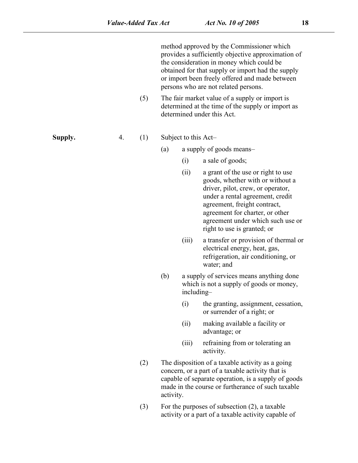method approved by the Commissioner which provides a sufficiently objective approximation of the consideration in money which could be obtained for that supply or import had the supply or import been freely offered and made between persons who are not related persons. (5) The fair market value of a supply or import is determined at the time of the supply or import as determined under this Act. **Supply.** 4. (1) Subject to this Act– (a) a supply of goods means– (i) a sale of goods; (ii) a grant of the use or right to use goods, whether with or without a driver, pilot, crew, or operator, under a rental agreement, credit agreement, freight contract, agreement for charter, or other agreement under which such use or right to use is granted; or (iii) a transfer or provision of thermal or electrical energy, heat, gas, refrigeration, air conditioning, or water; and (b) a supply of services means anything done which is not a supply of goods or money, including– (i) the granting, assignment, cessation, or surrender of a right; or (ii) making available a facility or advantage; or (iii) refraining from or tolerating an activity. (2) The disposition of a taxable activity as a going concern, or a part of a taxable activity that is capable of separate operation, is a supply of goods made in the course or furtherance of such taxable activity.

(3) For the purposes of subsection  $(2)$ , a taxable activity or a part of a taxable activity capable of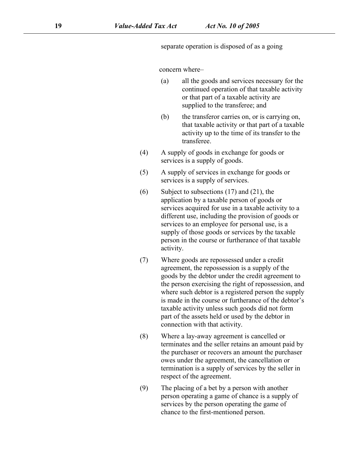separate operation is disposed of as a going

concern where–

- (a) all the goods and services necessary for the continued operation of that taxable activity or that part of a taxable activity are supplied to the transferee; and
- (b) the transferor carries on, or is carrying on, that taxable activity or that part of a taxable activity up to the time of its transfer to the transferee.
- (4) A supply of goods in exchange for goods or services is a supply of goods.
- (5) A supply of services in exchange for goods or services is a supply of services.
- $(6)$  Subject to subsections  $(17)$  and  $(21)$ , the application by a taxable person of goods or services acquired for use in a taxable activity to a different use, including the provision of goods or services to an employee for personal use, is a supply of those goods or services by the taxable person in the course or furtherance of that taxable activity.
- (7) Where goods are repossessed under a credit agreement, the repossession is a supply of the goods by the debtor under the credit agreement to the person exercising the right of repossession, and where such debtor is a registered person the supply is made in the course or furtherance of the debtor's taxable activity unless such goods did not form part of the assets held or used by the debtor in connection with that activity.
- (8) Where a lay-away agreement is cancelled or terminates and the seller retains an amount paid by the purchaser or recovers an amount the purchaser owes under the agreement, the cancellation or termination is a supply of services by the seller in respect of the agreement.
- (9) The placing of a bet by a person with another person operating a game of chance is a supply of services by the person operating the game of chance to the first-mentioned person.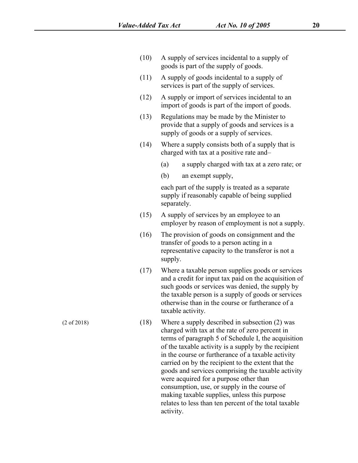- (10) A supply of services incidental to a supply of goods is part of the supply of goods.
- (11) A supply of goods incidental to a supply of services is part of the supply of services.
- (12) A supply or import of services incidental to an import of goods is part of the import of goods.
- (13) Regulations may be made by the Minister to provide that a supply of goods and services is a supply of goods or a supply of services.
- (14) Where a supply consists both of a supply that is charged with tax at a positive rate and–
	- (a) a supply charged with tax at a zero rate; or
	- (b) an exempt supply,

each part of the supply is treated as a separate supply if reasonably capable of being supplied separately.

- (15) A supply of services by an employee to an employer by reason of employment is not a supply.
- (16) The provision of goods on consignment and the transfer of goods to a person acting in a representative capacity to the transferor is not a supply.
- $(17)$  Where a taxable person supplies goods or services and a credit for input tax paid on the acquisition of such goods or services was denied, the supply by the taxable person is a supply of goods or services otherwise than in the course or furtherance of a taxable activity.
- (18) Where a supply described in subsection (2) was charged with tax at the rate of zero percent in terms of paragraph 5 of Schedule I, the acquisition of the taxable activity is a supply by the recipient in the course or furtherance of a taxable activity carried on by the recipient to the extent that the goods and services comprising the taxable activity were acquired for a purpose other than consumption, use, or supply in the course of making taxable supplies, unless this purpose relates to less than ten percent of the total taxable activity.

(2 of 2018)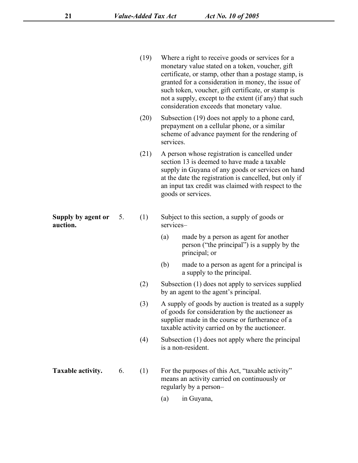| Where a right to receive goods or services for a      |
|-------------------------------------------------------|
| monetary value stated on a token, voucher, gift       |
| certificate, or stamp, other than a postage stamp, is |
| granted for a consideration in money, the issue of    |
| such token, voucher, gift certificate, or stamp is    |
| not a supply, except to the extent (if any) that such |
| consideration exceeds that monetary value.            |
|                                                       |

- (20) Subsection [\(19\)](s) does not apply to a phone card, prepayment on a cellular phone, or a similar scheme of advance payment for the rendering of services.
- (21) A person whose registration is cancelled under section [13](s) is deemed to have made a taxable supply in Guyana of any goods or services on hand at the date the registration is cancelled, but only if an input tax credit was claimed with respect to the goods or services.
- **Supply by agent or Supply by agent or** 5. (1) Subject to this section, a supply of goods or **auction.** services–
	- (a) made by a person as agent for another person ("the principal") is a supply by the principal; or
	- (b) made to a person as agent for a principal is a supply to the principal.
	- (2) Subsection [\(1\)](s) does not apply to services supplied by an agent to the agent's principal.
	- (3) A supply of goods by auction is treated as a supply of goods for consideration by the auctioneer as supplier made in the course or furtherance of a taxable activity carried on by the auctioneer.
	- (4) Subsection [\(1\)](s) does not apply where the principal is a non-resident.
- **Taxable activity.** 6. (1) For the purposes of this Act, "taxable activity" means an activity carried on continuously or regularly by a person–
	- (a) in Guyana,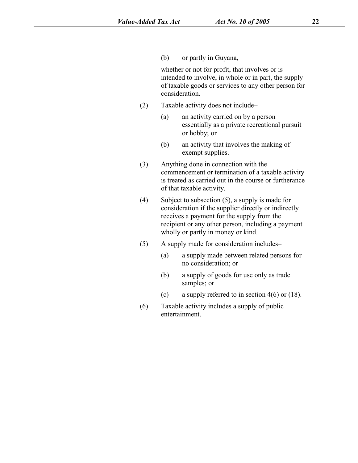(b) or partly in Guyana,

whether or not for profit, that involves or is intended to involve, in whole or in part, the supply of taxable goods or services to any other person for consideration.

- (2) Taxable activity doesnot include–
	- (a) an activity carried on by a person essentially as a private recreational pursuit or hobby; or
	- (b) an activity that involves the making of exempt supplies.
- (3) Anything done in connection with the commencement or termination of a taxable activity is treated as carried out in the course or furtherance of that taxable activity.
- (4) Subject to subsection [\(5\)](s), a supply is made for consideration if the supplier directly or indirectly receives a payment for the supply from the recipient or any other person, including a payment wholly or partly in money or kind.
- (5) A supply made for consideration includes–
	- (a) a supply made between related persons for no consideration; or
	- (b) a supply of goods for use only as trade samples; or
	- (c) a supply referred to in section  $4(6)$  or  $(18)$ .
- (6) Taxable activity includes a supply of public entertainment.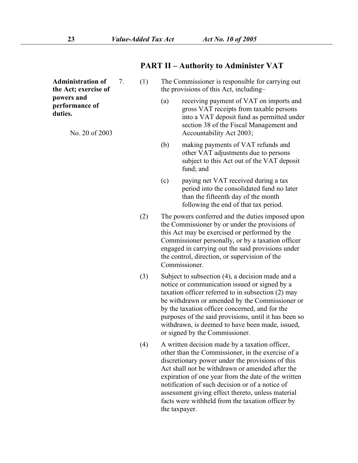**PART II – Authority to Administer VAT**

Administration of 7. (1) **the Act;exercise of powers and performance of duties.**

No. 20 of 2003

- The Commissioner is responsible for carrying out the provisions of this Act, including–
	- receiving payment of VAT on imports and gross VAT receipts from taxable persons into a VAT deposit fund as permitted under section 38 of the Fiscal Management and Accountability Act 2003;
	- (b) making payments of VAT refunds and other VAT adjustments due to persons subject to this Act out of the VAT deposit fund; and
	- (c) paying net VAT received during a tax period into the consolidated fund no later than the fifteenth day of the month following the end of that tax period.
- (2) The powers conferred and the duties imposed upon the Commissioner by or under the provisions of this Act may be exercised or performed by the Commissioner personally, or by a taxation officer engaged in carrying out the said provisions under the control, direction, or supervision of the Commissioner.
- (3) Subject to subsection (4), a decision made and a notice or communication issued or signed by a taxation officer referred to in subsection (2) may be withdrawn or amended by the Commissioner or by the taxation officer concerned, and for the purposes of the said provisions, until it has been so withdrawn, is deemed to have been made, issued, or signed by the Commissioner.
- (4) A written decision made by a taxation officer, other than the Commissioner, in the exercise of a discretionary power under the provisions of this Act shall not be withdrawn or amended after the expiration of one year from the date of the written notification of such decision or of a notice of assessment giving effect thereto, unless material facts were withheld from the taxation officer by the taxpayer.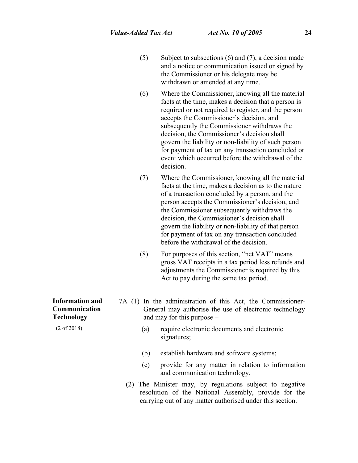- (5) Subject to subsections [\(6\)](s) and [\(7\)](s), a decision made and a notice or communication issued or signed by the Commissioner or his delegate may be withdrawn or amended at any time.
- (6) Where the Commissioner, knowing all the material facts at the time, makes a decision that a person is required or not required to register, and the person accepts the Commissioner's decision, and subsequently the Commissioner withdraws the decision, the Commissioner's decision shall govern the liability or non-liability of such person for payment of tax on any transaction concluded or event which occurred before the withdrawal of the decision.
- (7) Where the Commissioner, knowing all the material facts at the time, makes a decision as to the nature of a transaction concluded by a person, and the person accepts the Commissioner's decision, and the Commissioner subsequently withdraws the decision, the Commissioner's decision shall govern the liability or non-liability of that person for payment of tax on any transaction concluded before the withdrawal of the decision.
- (8) For purposes of this section, "net VAT" means gross VAT receipts in a tax period less refunds and adjustments the Commissioner is required by this Act to pay during the same tax period.
- **Information and** 7A (1) In the administration of this Act, the Commissioner-General may authorise the use of electronic technology and may for this purpose –
	- (a) require electronic documents and electronic signatures;
	- (b) establish hardware and software systems;
	- (c) provide for any matter in relation to information and communication technology.
	- (2) The Minister may, by regulations subject to negative resolution of the National Assembly, provide for the carrying out of any matter authorised under this section.

**Communication Technology**

(2 of 2018)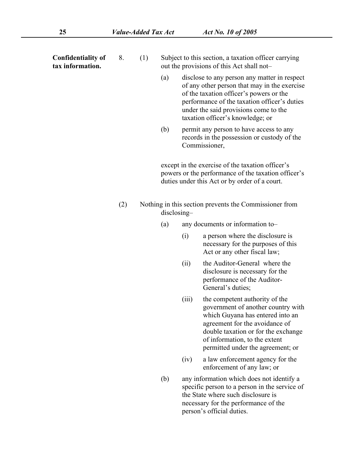**Confidentiality of**

- **Confidentiality of** 8. (1) Subject to this section, a taxation officer carrying<br>tax **information.** out the provisions of this Act shall notout the provisions of this Act shall not-
	- (a) disclose to any person any matter in respect of any other person that may in the exercise of the taxation officer's powers orthe performance of the taxation officer's duties under the said provisions come to the taxation officer's knowledge; or
	- (b) permit any person to have access to any records in the possession or custody of the Commissioner,

except in the exercise of the taxation officer's powers or the performance of the taxation officer's duties under this Act or by order of a court.

- (2) Nothing in this section prevents the Commissioner from disclosing–
	- (a) any documents or information to–
		- (i) a person where the disclosure is necessary for the purposes of this Act or any other fiscal law;
		- (ii) the Auditor-General where the disclosure is necessary for the performance of the Auditor- General's duties;
		- (iii) the competent authority of the government of another country with which Guyana has entered into an agreement for the avoidance of double taxation or for the exchange of information, to the extent permitted under the agreement; or
		- (iv) a law enforcement agency for the enforcement of any law; or
	- (b) any information which does not identify a specific person to a person in the service of the State where such disclosure is necessary for the performance of the person's official duties.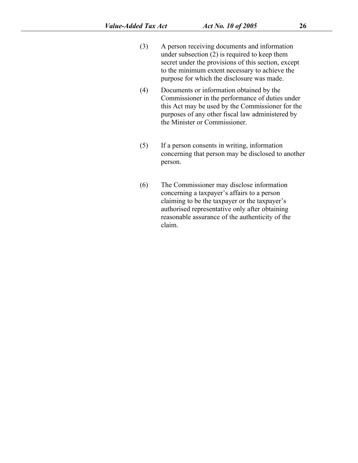- (3) A person receiving documents and information under subsection [\(2\)](s) is required to keep them secret under the provisions of this section, except to the minimum extent necessary to achieve the purpose for which the disclosure was made.
- (4) Documents or information obtained by the Commissioner in the performance of duties under this Act may be used by the Commissioner for the purposes of any other fiscal law administered by the Minister or Commissioner.
- (5) If a person consents in writing, information concerning that person may be disclosed to another person.
- (6) The Commissioner may disclose information concerning a taxpayer's affairs to a person claiming to be the taxpayer or the taxpayer's authorised representative only after obtaining reasonable assurance of the authenticity of the claim.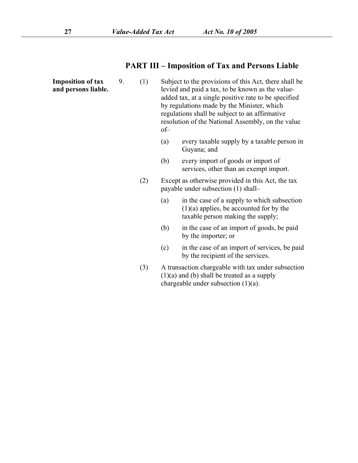### **PART III – Imposition of Tax and Persons Liable**

**Imposition of tax**  $\qquad$  9. (1) **Imposition of tax** 9. (1) Subject to the provisions of this Act, there shall be and **persons** liable. levied and paid a tax, to be known as the valuelevied and paid a tax, to be known as the value added tax, at a single positive rate to be specified by regulations made by the Minister, which regulations shall be subject to an affirmative resolution of the National Assembly, on the value of–

- (a) every taxable supply by a taxable person in Guyana; and
- (b) every import of goods or import of services, other than an exempt import.
- (2) Except as otherwise provided in this Act, the tax payable under subsection [\(1\)](s) shall–
	- (a) in the case of a supply to which subsection [\(1\)\(a\)](s) applies, be accounted for by the taxable person making the supply;
	- (b) in the case of an import of goods, be paid by the importer; or
- (c) in the case of an import of services, be paid by the recipient of the services.<br>(3) A transaction chargeable with tax under subsection
- [\(1\)\(a\)](s) and [\(b\)](s) shall be treated as a supply chargeable under subsection [\(1\)\(a\).](s)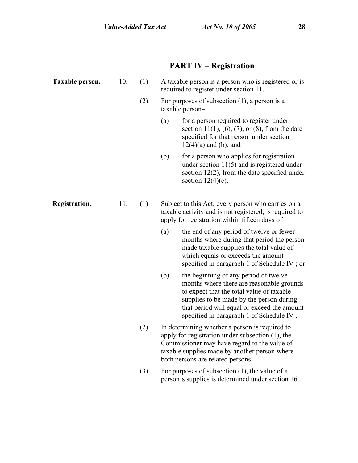# **PART IV – Registration**

| Taxable person. | 10. | (1) |                                                                                                                                                                | A taxable person is a person who is registered or is<br>required to register under section 11.                                                                                                                                                                         |  |  |
|-----------------|-----|-----|----------------------------------------------------------------------------------------------------------------------------------------------------------------|------------------------------------------------------------------------------------------------------------------------------------------------------------------------------------------------------------------------------------------------------------------------|--|--|
|                 |     | (2) | For purposes of subsection $(1)$ , a person is a<br>taxable person-                                                                                            |                                                                                                                                                                                                                                                                        |  |  |
|                 |     |     | (a)                                                                                                                                                            | for a person required to register under<br>section 11(1), (6), (7), or (8), from the date<br>specified for that person under section<br>$12(4)(a)$ and (b); and                                                                                                        |  |  |
|                 |     |     | (b)                                                                                                                                                            | for a person who applies for registration<br>under section $11(5)$ and is registered under<br>section $12(2)$ , from the date specified under<br>section $12(4)(c)$ .                                                                                                  |  |  |
| Registration.   | 11. | (1) | Subject to this Act, every person who carries on a<br>taxable activity and is not registered, is required to<br>apply for registration within fifteen days of- |                                                                                                                                                                                                                                                                        |  |  |
|                 |     |     | (a)                                                                                                                                                            | the end of any period of twelve or fewer<br>months where during that period the person<br>made taxable supplies the total value of<br>which equals or exceeds the amount<br>specified in paragraph 1 of Schedule IV; or                                                |  |  |
|                 |     |     | (b)                                                                                                                                                            | the beginning of any period of twelve<br>months where there are reasonable grounds<br>to expect that the total value of taxable<br>supplies to be made by the person during<br>that period will equal or exceed the amount<br>specified in paragraph 1 of Schedule IV. |  |  |
|                 |     | (2) |                                                                                                                                                                | In determining whether a person is required to<br>apply for registration under subsection $(1)$ , the<br>Commissioner may have regard to the value of<br>taxable supplies made by another person where<br>both persons are related persons.                            |  |  |
|                 |     | (3) |                                                                                                                                                                | For purposes of subsection $(1)$ , the value of a<br>person's supplies is determined under section 16.                                                                                                                                                                 |  |  |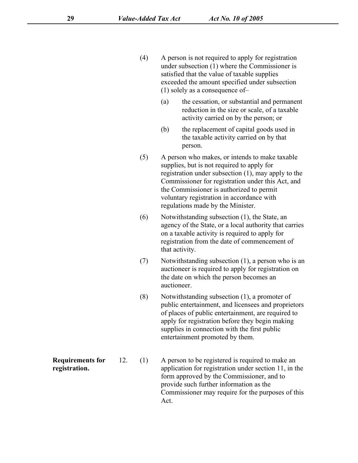- (4) A person is not required to apply for registration under subsection [\(1\)](s) where the Commissioner is satisfied that the value of taxable supplies exceeded the amount specified under subsection [\(1\)](s) solely as a consequence of–
	- (a) the cessation, or substantial and permanent reduction in the size or scale, of a taxable activity carried on by the person; or
	- (b) the replacement of capital goods used in the taxable activity carried on by that person.
- (5) A person who makes, or intends to make taxable supplies, but is not required to apply for registration under subsection [\(1\)](s), may apply to the Commissioner for registration under this Act, and the Commissioner is authorized to permit voluntary registration in accordance with regulations made by the Minister.
- (6) Notwithstanding subsection [\(1\)](s), the State, an agency of the State, or a local authority that carries on a taxable activity is required to apply for registration from the date of commencement of that activity.
- (7) Notwithstanding subsection [\(1\)](s), a person who is an auctioneer is required to apply for registration on the date on which the person becomes an auctioneer.
- (8) Notwithstanding subsection [\(1\)](s), a promoter of public entertainment, and licensees and proprietors of places of public entertainment, are required to apply for registration before they begin making supplies in connection with the first public entertainment promoted by them.
- **Requirements for** 12. (1) A person to be registered is required to make an **Requirements for** 12. (1) A person to be registered is required to make an **registration.** application for registration under section [11,](s) in the form approved by the Commissioner, and to provide such further information as the Commissioner may require for the purposes of this Act.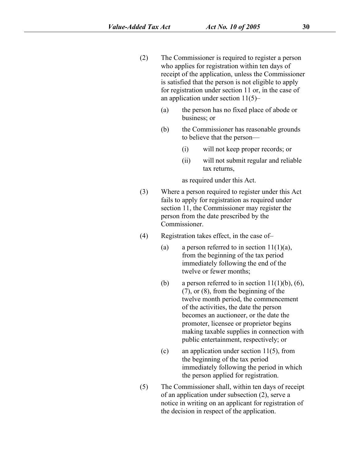- (2) The Commissioner is required to register a person who applies for registration within ten days of receipt of the application, unless the Commissioner is satisfied that the person is not eligible to apply for registration under section [11](s) or, in the case of an application under section  $11(5)$ –
	- (a) the person has no fixed place of abode or business; or
	- (b) the Commissioner has reasonable grounds to believe that the person—
		- (i) will not keep proper records; or
		- (ii) will not submit regular and reliable tax returns,

as required under this Act.

- (3) Where a person required to register under this Act fails to apply for registration as required under section [11](s), the Commissioner may register the person from the date prescribed by the Commissioner.
- (4) Registration takes effect, in the case of–
	- (a) a person referred to in section  $11(1)(a)$ , from the beginning of the tax period immediately following the end of the twelve or fewer months;
	- (b) a person referred to in section  $11(1)(b)$ , [\(6\)](s), [\(7\)](s), or [\(8\)](s), from the beginning of the twelve month period, the commencement of the activities, the date the person becomes an auctioneer, or the date the promoter, licensee or proprietor begins making taxable supplies in connection with public entertainment, respectively; or
	- (c) an application under section [11\(5\)](s), from the beginning of the tax period immediately following the period in which the person applied for registration.
- (5) The Commissioner shall, within ten days of receipt of an application under subsection [\(2\),](s) serve a notice in writing on an applicant for registration of the decision in respect of the application.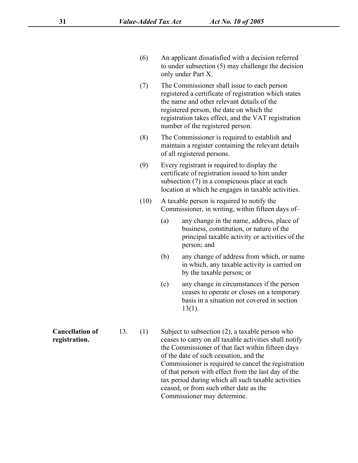- (6) An applicant dissatisfied with a decision referred to under subsection [\(5\)](s) may challenge the decision only under [Part](s) X.
- (7) The Commissioner shall issue to each person registered a certificate of registration which states the name and other relevant details of the registered person, the date on which the registration takes effect, and the VAT registration number of the registered person.
- (8) The Commissioner is required to establish and maintain a register containing the relevant details of all registered persons.
- (9) Every registrant is required to display the certificate of registration issued to him under subsection [\(7\)](s) in a conspicuous place at each location at which he engages in taxable activities.
- (10) A taxable person is required to notify the Commissioner, in writing, within fifteen days of-
	- (a) any change in the name, address, place of business, constitution, or nature of the principal taxable activity or activities of the person; and
	- (b) any change of address from which, or name in which, any taxable activity is carried on by the taxable person; or
	- (c) any change in circumstances if the person ceases to operate or closes on a temporary basis in a situation not covered in section [13\(1\)](s).

**Cancellation of** 13. (1) Subject to subsection (2), a taxable person who **Cancellation of** 13. (1) Subject to subsection [\(2\)](s), a taxable person who<br> **registration.** eases to carry on all taxable activities shall notify the Commissioner of that fact within fifteen days of the date of such cessation, and the Commissioner is required to cancel the registration of that person with effect from the last day of the tax period during which all such taxable activities ceased, or from such other date as the Commissioner may determine.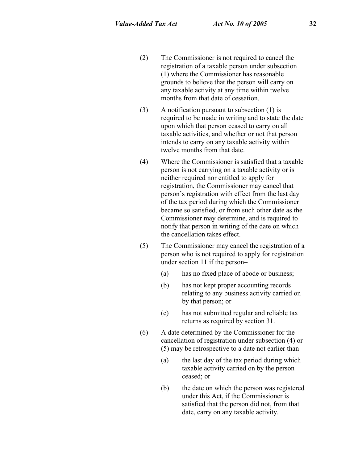- (2) The Commissioner is not required to cancel the registration of a taxable person under subsection [\(1\)](s) where the Commissioner has reasonable grounds to believe that the person will carry on any taxable activity at any time within twelve months from that date of cessation.
- (3) A notification pursuant to subsection [\(1\)](s) is required to be made in writing and to state the date upon which that person ceased to carry on all taxable activities, and whether or not that person intends to carry on any taxable activity within twelve months from that date.
- (4) Where the Commissioner is satisfied that a taxable person is not carrying on a taxable activity or is neither required nor entitled to apply for registration, the Commissioner may cancel that person's registration with effect from the last day of the tax period during which the Commissioner became so satisfied, or from such other date as the Commissioner may determine, and is required to notify that person in writing of the date on which the cancellation takes effect.
- (5) The Commissioner may cancel the registration of a person who is not required to apply for registration under section [11](s) if the person–
	- (a) has no fixed place of abode or business;
	- (b) has not kept proper accounting records relating to any business activity carried on by that person; or
	- (c) has not submitted regular and reliable tax returns as required by section [31.](s)
- (6) A date determined by the Commissioner for the cancellation of registration under subsection [\(4\)](s) or [\(5\)](s) may be retrospective to a date not earlier than–
	- (a) the last day of the tax period during which taxable activity carried on by the person ceased; or
	- (b) the date on which the person was registered under this Act, if the Commissioner is satisfied that the person did not, from that date, carry on any taxable activity.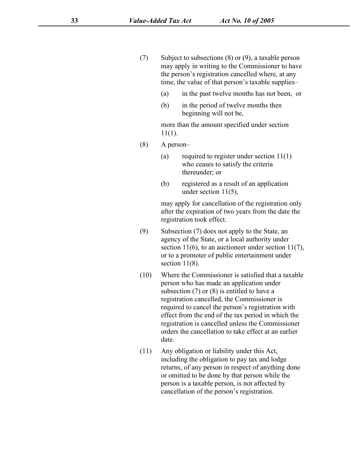- (7) Subject to subsections [\(8\)](s) or [\(9\)](s), a taxable person may apply in writing to the Commissioner to have the person's registration cancelled where, at any time, the value of that person's taxable supplies–
	- (a) in the past twelve months has not been, or
	- (b) in the period of twelve months then beginning will not be,

more than the amount specified under section [11\(1\)](s).

- (8) A person–
	- (a) required to register under section  $11(1)$ who ceases to satisfy the criteria thereunder; or
	- (b) registered as a result of an application under section [11\(5\),](s)

may apply for cancellation of the registration only after the expiration of two years from the date the registration took effect.

- (9) Subsection [\(7\)](s) does not apply to the State, an agency of the State, or a local authority under section  $11(6)$ , to an auctioneer under section  $11(7)$ , or to a promoter of public entertainment under section [11\(8\)](s).
- (10) Where the Commissioner is satisfied that a taxable person who has made an application under subsection [\(7\)](s) or [\(8\)](s) is entitled to have a registration cancelled, the Commissioner is required to cancel the person's registration with effect from the end of the tax period in which the registration is cancelled unless the Commissioner orders the cancellation to take effect at an earlier date.
- (11) Any obligation or liability under this Act, including the obligation to pay tax and lodge returns, of any person in respect of anything done or omitted to be done by that person while the person is a taxable person, is not affected by cancellation of the person's registration.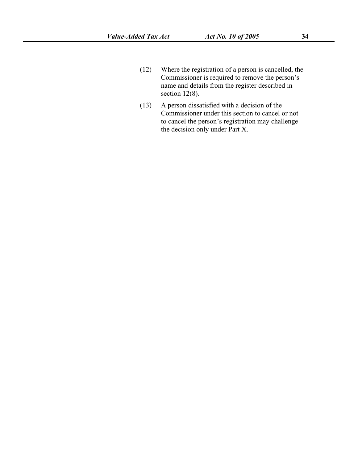- (12) Where the registration of a person is cancelled, the Commissioner is required to remove the person's name and details from the register described in section [12\(8\)](s).
- (13) A person dissatisfied with a decision of the Commissioner under this section to cancel or not to cancel the person's registration may challenge the decision only under [Part](s) X.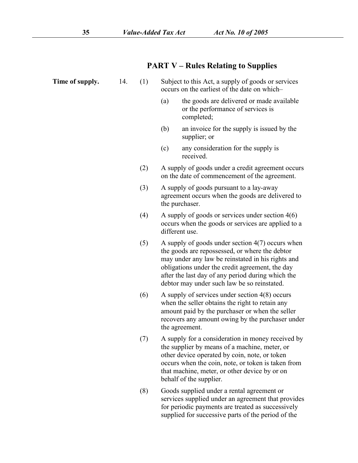| (a)<br>the goods are delivered or made available<br>or the performance of services is<br>completed;<br>(b)<br>an invoice for the supply is issued by the<br>supplier; or<br>any consideration for the supply is<br>(c)                                                                                           |  |  |  |
|------------------------------------------------------------------------------------------------------------------------------------------------------------------------------------------------------------------------------------------------------------------------------------------------------------------|--|--|--|
|                                                                                                                                                                                                                                                                                                                  |  |  |  |
|                                                                                                                                                                                                                                                                                                                  |  |  |  |
| received.                                                                                                                                                                                                                                                                                                        |  |  |  |
| A supply of goods under a credit agreement occurs<br>on the date of commencement of the agreement.                                                                                                                                                                                                               |  |  |  |
| A supply of goods pursuant to a lay-away<br>agreement occurs when the goods are delivered to<br>the purchaser.                                                                                                                                                                                                   |  |  |  |
| A supply of goods or services under section $4(6)$<br>occurs when the goods or services are applied to a<br>different use.                                                                                                                                                                                       |  |  |  |
| A supply of goods under section $4(7)$ occurs when<br>the goods are repossessed, or where the debtor<br>may under any law be reinstated in his rights and<br>obligations under the credit agreement, the day<br>after the last day of any period during which the<br>debtor may under such law be so reinstated. |  |  |  |
| A supply of services under section $4(8)$ occurs<br>when the seller obtains the right to retain any<br>amount paid by the purchaser or when the seller<br>recovers any amount owing by the purchaser under<br>the agreement.                                                                                     |  |  |  |
| A supply for a consideration in money received by<br>the supplier by means of a machine, meter, or<br>other device operated by coin, note, or token<br>occurs when the coin, note, or token is taken from<br>that machine, meter, or other device by or on<br>behalf of the supplier.                            |  |  |  |
| Goods supplied under a rental agreement or<br>services supplied under an agreement that provides<br>for periodic payments are treated as successively<br>supplied for successive parts of the period of the                                                                                                      |  |  |  |
|                                                                                                                                                                                                                                                                                                                  |  |  |  |

## **PART V – Rules Relating to Supplies**

**Time of supply.** 14. (1) Subject to this Act, a supply of goods or services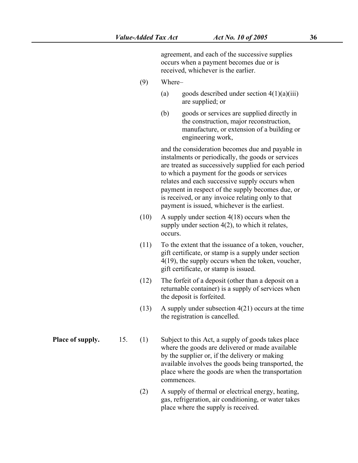agreement, and each of the successive supplies occurs when a payment becomes due or is received, whichever is the earlier.

- (9) Where–
	- (a) goods described under section  $4(1)(a)(iii)$ are supplied; or
	- (b) goods or services are supplied directly in the construction, major reconstruction, manufacture, or extension of a building or engineering work,

and the consideration becomes due and payable in instalments or periodically, the goods or services are treated as successively supplied for each period to which a payment for the goods or services relates and each successive supply occurs when payment in respect of the supply becomes due, or is received, or any invoice relating only to that payment is issued, whichever is the earliest.

- (10) A supply under section [4\(18\)](s) occurs when the supply under section [4\(2\),](s) to which it relates, occurs.
- (11) To the extent that the issuance of a token, voucher, gift certificate, or stamp is a supply under section [4\(19\)](s), the supply occurs when the token, voucher, gift certificate, or stamp is issued.
- (12) The forfeit of a deposit(other than a deposit on a returnable container) is a supply of services when the deposit is forfeited.
- (13) A supply under subsection [4\(21\)](s) occurs at the time the registration is cancelled.

**Place of supply.** 15. (1) Subject to this Act, a supply of goods takes place where the goods are delivered or made available by the supplier or, if the delivery or making available involves the goods being transported, the place where the goods are when the transportation commences.

> (2) A supply of thermal or electrical energy, heating, gas, refrigeration, air conditioning, or water takes place where the supply is received.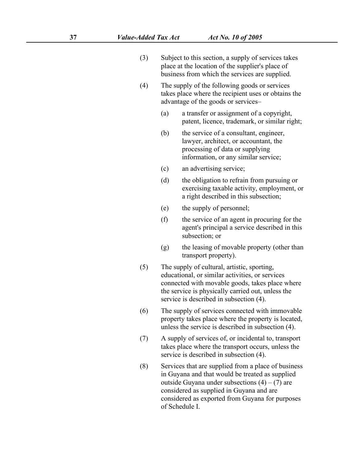- (3) Subject to this section, a supply of services takes place at the location of the supplier's place of business from which the services are supplied.
- (4) The supply of the following goods or services takes place where the recipient uses or obtains the advantage of the goods or services–
	- (a) a transfer or assignment of a copyright, patent, licence, trademark, or similar right;
	- (b) the service of a consultant, engineer, lawyer, architect, or accountant, the processing of data or supplying information, or any similar service;
	- (c) an advertising service;
	- (d) the obligation to refrain from pursuing or exercising taxable activity, employment, or a right described in this subsection;
	- (e) the supply of personnel;
	- (f) the service of an agent in procuring for the agent's principal a service described in this subsection; or
	- (g) the leasing of movable property (other than transport property).
- (5) The supply of cultural, artistic, sporting, educational, or similar activities, or services connected with movable goods, takes place where the service is physically carried out, unless the service is described in subsection [\(4\)](s).
- (6) The supply of services connected with immovable property takes place where the property is located, unless the service is described in subsection [\(4\)](s).
- (7) A supply of services of, or incidental to, transport takes place where the transport occurs, unless the service is described in subsection [\(4\)](s).
- (8) Services that are supplied from a place of business in Guyana and that would be treated as supplied outside Guyana under subsections  $(4) - (7)$  $(4) - (7)$  $(4) - (7)$  are considered as supplied in Guyana and are considered as exported from Guyana for purposes of [Schedule](s) I.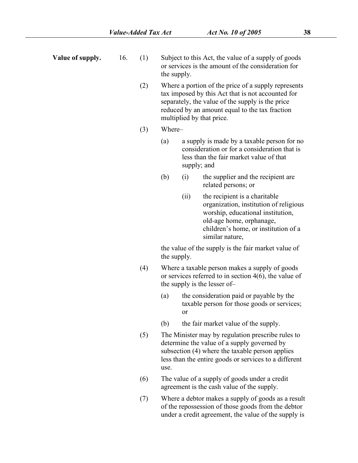- 
- **Value of supply.** 16. (1) Subject to this Act, the value of a supply of goods or services is the amount of the consideration for the supply.
	- (2) Where a portion of the price of a supply represents tax imposed by this Act that is not accounted for separately, the value of the supply is the price reduced by an amount equal to the tax fraction multiplied by that price.
	- (3) Where–
		- (a) a supply is made by a taxable person for no consideration or for a consideration that is less than the fair market value of that supply; and
		- (b) (i) the supplier and the recipient are related persons; or
			- (ii) the recipient is a charitable organization, institution of religious worship, educational institution, old-age home, orphanage, children's home, or institution of a similar nature,

the value of the supply is the fair market value of the supply.

- (4) Where a taxable person makes a supply of goods or services referred to in section 4(6), the value of the supply is the lesser of–
	- (a) the consideration paid or payable by the taxable person for those goods or services; or
	- (b) the fair market value of the supply.
- (5) The Minister may by regulation prescribe rules to determine the value of a supply governed by subsection (4) where the taxable person applies less than the entire goods or services to a different use.
- (6) The value of a supply of goods under a credit agreement is the cash value of the supply.
- (7) Where a debtor makes a supply of goods as a result of the repossession of those goods from the debtor under a credit agreement, the value of the supply is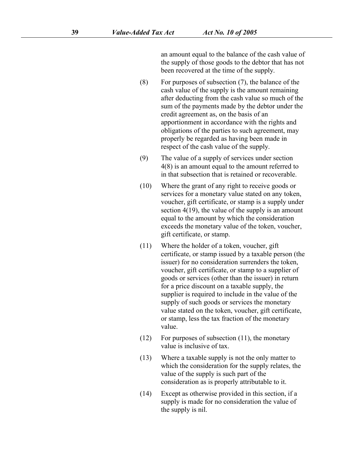an amount equal to the balance of the cash value of the supply of those goods to the debtor that has not been recovered at the time of the supply.

- (8) For purposes of subsection (7), the balance of the cash value of the supply is the amount remaining after deducting from the cash value so much of the sum of the payments made by the debtor under the credit agreement as, on the basis of an apportionment in accordance with the rights and obligations of the parties to such agreement, may properly be regarded as having been made in respect of the cash value of the supply.
- (9) The value of a supply of services under section 4(8) is an amount equal to the amount referred to in that subsection that is retained or recoverable.
- (10) Where the grant of any right to receive goods or services for a monetary value stated on any token, voucher, gift certificate, or stamp is a supply under section 4(19), the value of the supply is an amount equal to the amount by which the consideration exceeds the monetary value of the token, voucher, gift certificate, or stamp.
- (11) Where the holder of a token, voucher, gift certificate, or stamp issued by a taxable person (the issuer) for no consideration surrenders the token, voucher, gift certificate, or stamp to a supplier of goods or services (other than the issuer) in return for a price discount on a taxable supply, the supplier is required to include in the value of the supply of such goods or services the monetary value stated on the token, voucher, gift certificate, or stamp, less the tax fraction of the monetary value.
- (12) For purposes of subsection (11), the monetary value is inclusive of tax.
- (13) Where a taxable supply is not the only matter to which the consideration for the supply relates, the value of the supply is such part of the consideration as is properly attributable to it.
- (14) Except as otherwise provided in this section, if a supply is made for no consideration the value of the supply is nil.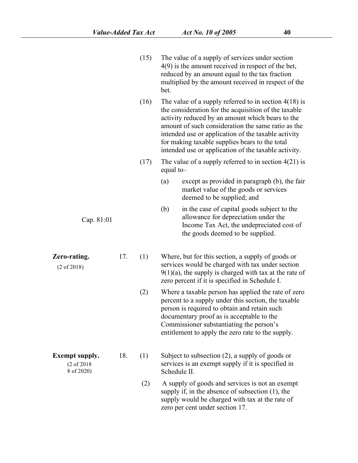|                                                               |     | (15) | The value of a supply of services under section<br>$4(9)$ is the amount received in respect of the bet,<br>reduced by an amount equal to the tax fraction<br>multiplied by the amount received in respect of the<br>bet.                                                                                                                                                                   |
|---------------------------------------------------------------|-----|------|--------------------------------------------------------------------------------------------------------------------------------------------------------------------------------------------------------------------------------------------------------------------------------------------------------------------------------------------------------------------------------------------|
|                                                               |     | (16) | The value of a supply referred to in section $4(18)$ is<br>the consideration for the acquisition of the taxable<br>activity reduced by an amount which bears to the<br>amount of such consideration the same ratio as the<br>intended use or application of the taxable activity<br>for making taxable supplies bears to the total<br>intended use or application of the taxable activity. |
|                                                               |     | (17) | The value of a supply referred to in section $4(21)$ is<br>equal to-                                                                                                                                                                                                                                                                                                                       |
|                                                               |     |      | except as provided in paragraph (b), the fair<br>(a)<br>market value of the goods or services<br>deemed to be supplied; and                                                                                                                                                                                                                                                                |
| Cap. 81:01                                                    |     |      | (b)<br>in the case of capital goods subject to the<br>allowance for depreciation under the<br>Income Tax Act, the undepreciated cost of<br>the goods deemed to be supplied.                                                                                                                                                                                                                |
| Zero-rating.<br>$(2 \text{ of } 2018)$                        | 17. | (1)  | Where, but for this section, a supply of goods or<br>services would be charged with tax under section<br>$9(1)(a)$ , the supply is charged with tax at the rate of<br>zero percent if it is specified in Schedule I.                                                                                                                                                                       |
|                                                               |     | (2)  | Where a taxable person has applied the rate of zero<br>percent to a supply under this section, the taxable<br>person is required to obtain and retain such<br>documentary proof as is acceptable to the<br>Commissioner substantiating the person's<br>entitlement to apply the zero rate to the supply.                                                                                   |
| <b>Exempt supply.</b><br>$(2 \text{ of } 2018)$<br>8 of 2020) | 18. | (1)  | Subject to subsection $(2)$ , a supply of goods or<br>services is an exempt supply if it is specified in<br>Schedule II.                                                                                                                                                                                                                                                                   |
|                                                               |     | (2)  | A supply of goods and services is not an exempt<br>supply if, in the absence of subsection $(1)$ , the<br>supply would be charged with tax at the rate of<br>zero per cent under section 17.                                                                                                                                                                                               |
|                                                               |     |      |                                                                                                                                                                                                                                                                                                                                                                                            |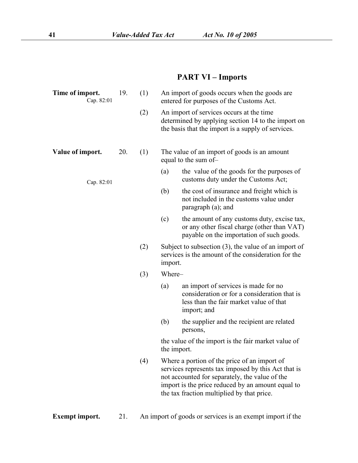## **PART VI – Imports**

| Time of import.<br>Cap. 82:01 | 19. | (1) | An import of goods occurs when the goods are<br>entered for purposes of the Customs Act.                                                                                                                                                                 |
|-------------------------------|-----|-----|----------------------------------------------------------------------------------------------------------------------------------------------------------------------------------------------------------------------------------------------------------|
|                               |     | (2) | An import of services occurs at the time<br>determined by applying section 14 to the import on<br>the basis that the import is a supply of services.                                                                                                     |
| Value of import.              | 20. | (1) | The value of an import of goods is an amount<br>equal to the sum of-                                                                                                                                                                                     |
| Cap. 82:01                    |     |     | (a)<br>the value of the goods for the purposes of<br>customs duty under the Customs Act;                                                                                                                                                                 |
|                               |     |     | the cost of insurance and freight which is<br>(b)<br>not included in the customs value under<br>paragraph (a); and                                                                                                                                       |
|                               |     |     | (c)<br>the amount of any customs duty, excise tax,<br>or any other fiscal charge (other than VAT)<br>payable on the importation of such goods.                                                                                                           |
|                               |     | (2) | Subject to subsection $(3)$ , the value of an import of<br>services is the amount of the consideration for the<br>import.                                                                                                                                |
|                               |     | (3) | Where-                                                                                                                                                                                                                                                   |
|                               |     |     | an import of services is made for no<br>(a)<br>consideration or for a consideration that is<br>less than the fair market value of that<br>import; and                                                                                                    |
|                               |     |     | (b)<br>the supplier and the recipient are related<br>persons,                                                                                                                                                                                            |
|                               |     |     | the value of the import is the fair market value of<br>the import.                                                                                                                                                                                       |
|                               |     | (4) | Where a portion of the price of an import of<br>services represents tax imposed by this Act that is<br>not accounted for separately, the value of the<br>import is the price reduced by an amount equal to<br>the tax fraction multiplied by that price. |
|                               |     |     |                                                                                                                                                                                                                                                          |

**Exempt import.** 21. An import of goods or services is an exempt import if the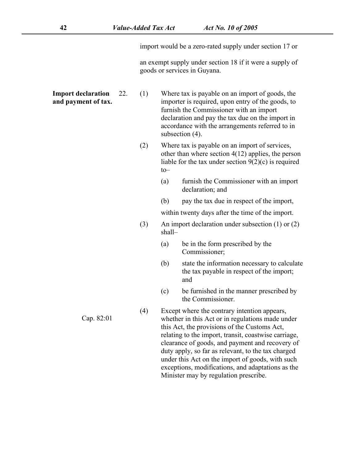import would be a zero-rated supply under section [17](s) or

an exempt supply under section [18](s) if it were a supply of goods or services in Guyana.

**Import declaration and payment of tax.** Where tax is payable on an import of goods, the importer is required, upon entry of the goods, to furnish the Commissioner with an import declaration and pay the tax due on the import in accordance with the arrangements referred to in subsection [\(4\)](s).

- (2) Where tax is payable on an import of services, other than where section [4\(12\)](s) applies, the person liable for the tax under section  $9(2)(c)$  is required to–
	- (a) furnish the Commissioner with an import declaration; and
	- (b) pay the tax due in respect of the import,

within twenty days after the time of the import.

- (3) An import declaration under subsection [\(1\)](s) or [\(2\)](s) shall–
	- (a) be in the form prescribed by the Commissioner;
	- (b) state the information necessary to calculate the tax payable in respect of the import; and
	- (c) be furnished in the manner prescribed by the Commissioner.
- (4) Except where the contrary intention appears, whether in this Act or in regulations made under this Act, the provisions of the Customs Act, relating to the import, transit, coastwise carriage, clearance of goods, and payment and recovery of duty apply, so far as relevant, to the tax charged under this Act on the import of goods, with such exceptions, modifications, and adaptations as the Minister may by regulation prescribe.

Cap. 82:01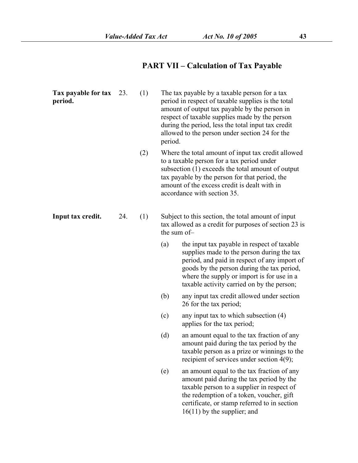# **PART VII – Calculation of Tax Payable**

| Tax payable for tax<br>period. | 23. | (1) | period.     | The tax payable by a taxable person for a tax<br>period in respect of taxable supplies is the total<br>amount of output tax payable by the person in<br>respect of taxable supplies made by the person<br>during the period, less the total input tax credit<br>allowed to the person under section 24 for the |
|--------------------------------|-----|-----|-------------|----------------------------------------------------------------------------------------------------------------------------------------------------------------------------------------------------------------------------------------------------------------------------------------------------------------|
|                                |     | (2) |             | Where the total amount of input tax credit allowed<br>to a taxable person for a tax period under<br>subsection (1) exceeds the total amount of output<br>tax payable by the person for that period, the<br>amount of the excess credit is dealt with in<br>accordance with section 35.                         |
| Input tax credit.              | 24. | (1) | the sum of- | Subject to this section, the total amount of input<br>tax allowed as a credit for purposes of section 23 is                                                                                                                                                                                                    |
|                                |     |     | (a)         | the input tax payable in respect of taxable<br>supplies made to the person during the tax<br>period, and paid in respect of any import of<br>goods by the person during the tax period,<br>where the supply or import is for use in a<br>taxable activity carried on by the person;                            |
|                                |     |     | (b)         | any input tax credit allowed under section<br>26 for the tax period;                                                                                                                                                                                                                                           |
|                                |     |     | (c)         | any input tax to which subsection $(4)$<br>applies for the tax period;                                                                                                                                                                                                                                         |
|                                |     |     | (d)         | an amount equal to the tax fraction of any<br>amount paid during the tax period by the<br>taxable person as a prize or winnings to the<br>recipient of services under section 4(9);                                                                                                                            |
|                                |     |     | (e)         | an amount equal to the tax fraction of any<br>amount paid during the tax period by the<br>taxable person to a supplier in respect of<br>the redemption of a token, voucher, gift<br>certificate, or stamp referred to in section<br>$16(11)$ by the supplier; and                                              |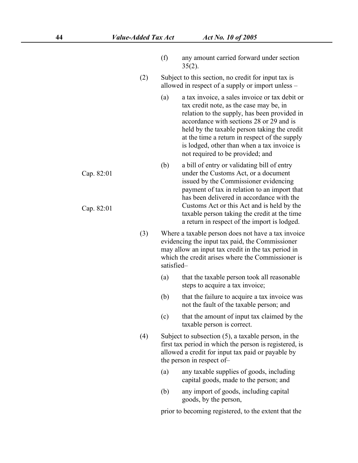- (f) any amount carried forward under section  $35(2)$ .
- (2) Subject to this section, no credit for input tax is allowed in respect of a supply or import unless –
	- (a) a tax invoice, a sales invoice or tax debit or tax credit note, as the case may be, in relation to the supply, has been provided in accordance with sections [28](s) or [29](s) and is held by the taxable person taking the credit at the time a return in respect of the supply is lodged, other than when a tax invoice is not required to be provided; and
	- (b) a bill of entry or validating bill of entry under the Customs Act, or a document issued by the Commissioner evidencing payment of tax in relation to an import that has been delivered in accordance with the Customs Act or this Act and is held by the taxable person taking the credit at the time a return in respect of the import is lodged.
- (3) Where a taxable person doesnot have a tax invoice evidencing the input tax paid, the Commissioner may allow an input tax credit in the tax period in which the credit arises where the Commissioner is satisfied–
	- (a) that the taxable person took all reasonable steps to acquire a tax invoice;
	- (b) that the failure to acquire a tax invoice was not the fault of the taxable person;and
	- (c) that the amount of input tax claimed by the taxable person is correct.
- (4) Subject to subsection [\(5\)](s), a taxable person, in the first tax period in which the person is registered, is allowed a credit for input tax paid or payable by the person in respect of–
	- (a) any taxable supplies of goods, including capital goods, made to the person;and
	- (b) any import of goods, including capital goods, by the person,

prior to becoming registered, to the extent that the

- Cap. 82:01
- Cap. 82:01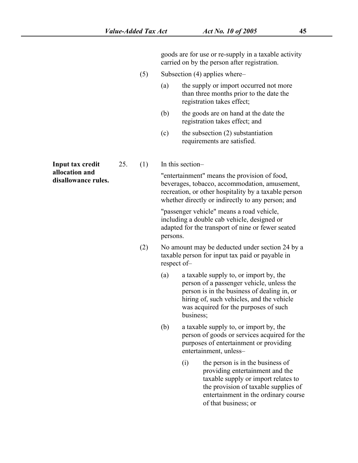goods are for use or re-supply in a taxable activity carried on by the person after registration.

- (5) Subsection [\(4\)](s) applies where–
	- (a) the supply or import occurred not more than three months prior to the date the registration takes effect;
	- (b) the goods are on hand at the date the registration takes effect; and
	- (c) the subsection (2) substantiation requirements are satisfied.

**Input tax credit**  $25.$  (1) **allocation and**

**disallocation and** 25. (1) In this section—<br> **disallowance rules.** <br> **disallowance rules.** beyerages tobacco accommodation amusement beverages, tobacco, accommodation, amusement, recreation, or other hospitality by a taxable person whether directly or indirectly to any person; and

> "passenger vehicle" means a road vehicle, including a double cab vehicle, designed or adapted for the transport of nine or fewer seated persons.

- (2) No amount may be deducted under section [24](s) by a taxable person for input tax paid or payable in respect of–
	- (a) a taxable supply to, or import by, the person of a passenger vehicle, unless the person is in the business of dealing in, or hiring of, such vehicles, and the vehicle was acquired for the purposes of such business;
	- (b) a taxable supply to, or import by, the person of goods or services acquired for the purposes of entertainment or providing entertainment, unless–
		- (i) the person is in the business of providing entertainment and the taxable supply or import relates to the provision of taxable supplies of entertainment in the ordinary course of that business; or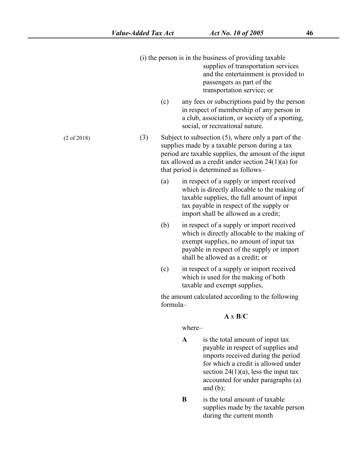- $(i)$  the person is in the business of providing taxable supplies of transportation services and the entertainment is provided to passengers as part of the transportation service; or
	- (c) any fees orsubscriptions paid by the person in respect of membership of any person in a club, association, or society of a sporting, social, or recreational nature.

(3) Subject to subsection [\(5\)](s), where only a part of the supplies made by a taxable person during a tax period are taxable supplies, the amount of the input tax allowed as a credit under section  $24(1)(a)$  for that period is determined as follows–

- (a) in respect of a supply or import received which is directly allocable to the making of taxable supplies, the full amount of input tax payable in respect of the supply or import shall be allowed as a credit;
- (b) in respect of a supply or import received which is directly allocable to the making of exempt supplies, no amount of input tax payable in respect of the supply or import shall be allowed as a credit; or
- (c) in respect of a supply or import received which is used for the making of both taxable and exempt supplies,

the amount calculated according to the following formula–

#### **A** x **B**/**C**

where–

- **A** is the total amount of input tax payable in respect of supplies and imports received during the period for which a credit is allowed under section  $24(1)(a)$ , less the input tax accounted for under paragraphs [\(a\)](s) and [\(b\);](s)
- **B** is the total amount of taxable supplies made by the taxable person during the current month

(2 of 2018)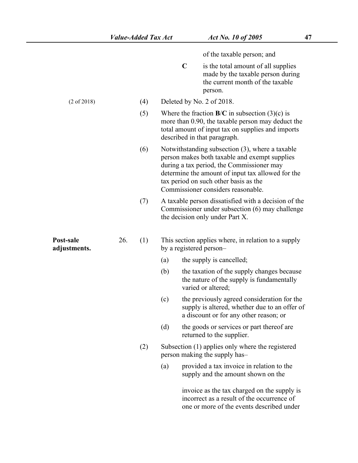one or more of the events described under

|                           |     |     |                         | of the taxable person; and                                                                                                                                                                                                                                                        |
|---------------------------|-----|-----|-------------------------|-----------------------------------------------------------------------------------------------------------------------------------------------------------------------------------------------------------------------------------------------------------------------------------|
|                           |     |     | $\mathbf C$             | is the total amount of all supplies<br>made by the taxable person during<br>the current month of the taxable<br>person.                                                                                                                                                           |
| $(2 \text{ of } 2018)$    |     | (4) |                         | Deleted by No. 2 of 2018.                                                                                                                                                                                                                                                         |
|                           |     | (5) |                         | Where the fraction $B/C$ in subsection (3)(c) is<br>more than 0.90, the taxable person may deduct the<br>total amount of input tax on supplies and imports<br>described in that paragraph.                                                                                        |
|                           |     | (6) |                         | Notwithstanding subsection (3), where a taxable<br>person makes both taxable and exempt supplies<br>during a tax period, the Commissioner may<br>determine the amount of input tax allowed for the<br>tax period on such other basis as the<br>Commissioner considers reasonable. |
|                           |     | (7) |                         | A taxable person dissatisfied with a decision of the<br>Commissioner under subsection (6) may challenge<br>the decision only under Part X.                                                                                                                                        |
| Post-sale<br>adjustments. | 26. | (1) | by a registered person- | This section applies where, in relation to a supply                                                                                                                                                                                                                               |
|                           |     |     | (a)                     | the supply is cancelled;                                                                                                                                                                                                                                                          |
|                           |     |     | (b)                     | the taxation of the supply changes because<br>the nature of the supply is fundamentally<br>varied or altered;                                                                                                                                                                     |
|                           |     |     | (c)                     | the previously agreed consideration for the<br>supply is altered, whether due to an offer of<br>a discount or for any other reason; or                                                                                                                                            |
|                           |     |     | (d)                     | the goods or services or part thereof are<br>returned to the supplier.                                                                                                                                                                                                            |
|                           |     | (2) |                         | Subsection (1) applies only where the registered<br>person making the supply has-                                                                                                                                                                                                 |
|                           |     |     | (a)                     | provided a tax invoice in relation to the<br>supply and the amount shown on the                                                                                                                                                                                                   |
|                           |     |     |                         | invoice as the tax charged on the supply is<br>incorrect as a result of the occurrence of                                                                                                                                                                                         |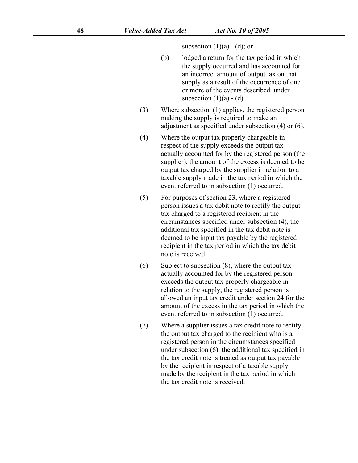subsection  $(1)(a) - (d)$  $(1)(a) - (d)$  $(1)(a) - (d)$ ; or

- (b) lodged a return for the tax period in which the supply occurred and has accounted for an incorrect amount of output tax on that supply as a result of the occurrence of one or more of the events described under
- subsection (1)[\(a\)](s) [\(d\)](s).<br>(3) Where subsection (1) applies, the registered person making the supply is required to make an adjustment as specified under subsection [\(4\)](s) or [\(6\)](s).
- (4) Where the output tax properly chargeable in respect of the supply exceeds the output tax actually accounted for by the registered person (the supplier), the amount of the excess is deemed to be output tax charged by the supplier in relation to a taxable supply made in the tax period in which the event referred to in subsection [\(1\)](s) occurred.
- (5) For purposes of section [23,](s) where a registered person issues a tax debit note to rectify the output tax charged to a registered recipient in the circumstances specified under subsection [\(4\),](s) the additional tax specified in the tax debit note is deemed to be input tax payable by the registered recipient in the tax period in which the tax debit note is received.
- (6) Subject to subsection [\(8\)](s), where the output tax actually accounted for by the registered person exceeds the output tax properly chargeable in relation to the supply, the registered person is allowed an input tax credit under section [24](s) for the amount of the excess in the tax period in which the event referred to in subsection [\(1\)](s) occurred.
- (7) Where a supplier issues a tax credit note to rectify the output tax charged to the recipient who is a registered person in the circumstances specified under subsection [\(6\)](s), the additional tax specified in the tax credit note is treated as output tax payable by the recipient in respect of a taxable supply made by the recipient in the tax period in which the tax credit note is received.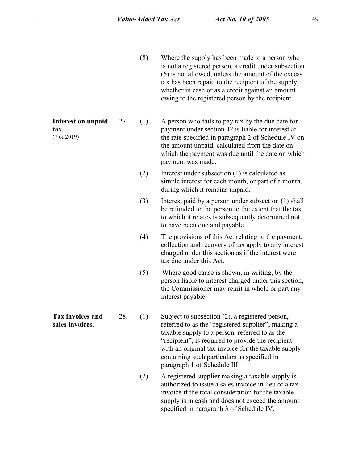(8) Where the supply has been made to a person who is not a registered person, a credit under subsection [\(6\)](s) is not allowed, unless the amount of the excess tax has been repaid to the recipient of the supply, whether in cash or as a credit against an amount owing to the registered person by the recipient.

A person who fails to pay tax by the due date for payment under section [42](s) is liable for interest at the rate specified in paragraph [2](s) of [Schedule](s) IV on the amount unpaid, calculated from the date on which the payment was due until the date on which payment was made.<br>(2) Interest under subsection [\(1\)](s) is calculated as

- simple interest for each month, or part of a month, during which it remains unpaid.
- (3) Interest paid by a person under subsection [\(1\)](s) shall be refunded to the person to the extent that the tax to which it relates is subsequently determined not to have been due and payable.
- $(4)$  The provisions of this Act relating to the payment, collection and recovery of tax apply to any interest charged under this section as if the interestwere tax due under this Act.
- (5) Where good cause is shown, in writing, by the person liable to interest charged under this section, the Commissioner may remit in whole or part any interest payable.
- **Tax** invoices and 28. (1) Subject to subsection (2), a registered person, **sales invoices.** 28. [\(2\)](s)  $\alpha$  referred to as the "registered supplier", making a referred to as the "registered supplier", making a taxable supply to a person, referred to as the "recipient", is required to provide the recipient with an original tax invoice for the taxable supply containing such particulars as specified in paragraph [1](s) of [Schedule](s) III.
	- (2) A registered supplier making a taxable supply is authorized to issue a sales invoice in lieu of a tax invoice if the total consideration for the taxable supply is in cash and does not exceed the amount specified in paragraph [3](s) of [Schedule](s) IV.

**Interest on unpaid** 27. (1) **tax.** (7 of 2019)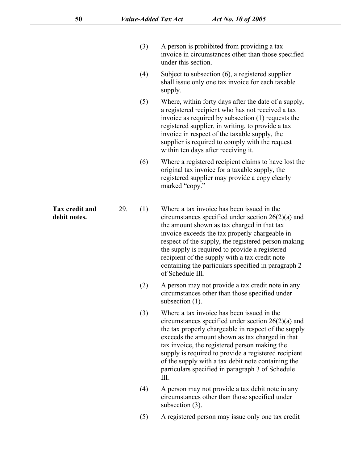- (3) A person is prohibited from providing a tax invoice in circumstances other than those specified under this section.
- (4) Subject to subsection [\(6\)](s), a registered supplier shall issue only one tax invoice for each taxable supply.
- (5) Where, within forty daysafter the date of a supply, a registered recipient who has not received a tax invoice as required by subsection  $(1)$  requests the registered supplier, in writing, to provide a tax invoice in respect of the taxable supply, the supplier is required to comply with the request within ten days after receiving it.
- (6) Where a registered recipient claims to have lost the original tax invoice for a taxable supply, the registered supplier may provide a copy clearly marked "copy."
- **Tax** credit and 29. (1) Where a tax invoice has been issued in the **Tax credit and** 29. (1) Where a tax invoice has been issued in the debit notes.<br>
debit notes. **debit notes** circumstances specified under section [26\(2\)\(a\)](s) and the amount shown as tax charged in that tax invoice exceeds the tax properly chargeable in respect of the supply, the registered person making the supply is required to provide a registered recipient of the supply with a tax credit note containing the particulars specified in paragraph [2](s) of [Schedule](s) III.
	- (2) A person may not provide a tax credit note in any circumstances other than those specified under subsection  $(1)$ .
	- (3) Where a tax invoice has been issued in the circumstances specified under section [26\(2\)\(a\)](s) and the tax properly chargeable in respect of the supply exceeds the amount shown as tax charged in that tax invoice, the registered person making the supply is required to provide a registered recipient of the supply with a tax debit note containing the particulars specified in paragraph [3](s) of [Schedule](s) III.
	- (4) A person may not provide a tax debit note in any circumstances other than those specified under subsection [\(3\)](s).
	- (5) A registered person may issue only one tax credit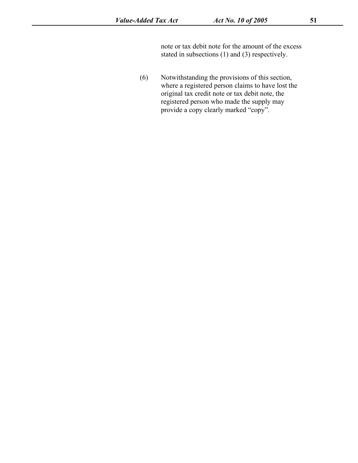note or tax debit note for the amount of the excess stated in subsections [\(1\)](s) and [\(3\)](s) respectively.

(6) Notwithstanding the provisions of this section, where a registered person claims to have lost the original tax credit note or tax debit note, the registered person who made the supply may provide a copy clearly marked "copy".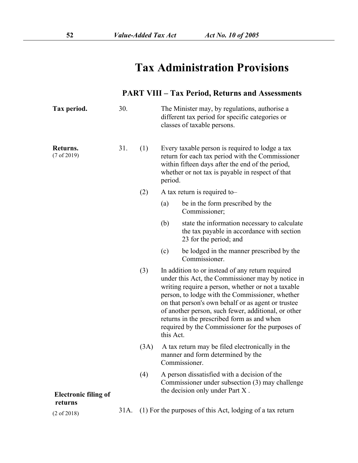# **Tax Administration Provisions**

### **PART VIII – Tax Period, Returns and Assessments**

| Tax period.                 | 30.  |      | The Minister may, by regulations, authorise a<br>different tax period for specific categories or<br>classes of taxable persons.                                                                                                                                                                                                                                                                                                            |
|-----------------------------|------|------|--------------------------------------------------------------------------------------------------------------------------------------------------------------------------------------------------------------------------------------------------------------------------------------------------------------------------------------------------------------------------------------------------------------------------------------------|
| Returns.<br>(7 of 2019)     | 31.  | (1)  | Every taxable person is required to lodge a tax<br>return for each tax period with the Commissioner<br>within fifteen days after the end of the period,<br>whether or not tax is payable in respect of that<br>period.                                                                                                                                                                                                                     |
|                             |      | (2)  | A tax return is required to-                                                                                                                                                                                                                                                                                                                                                                                                               |
|                             |      |      | be in the form prescribed by the<br>(a)<br>Commissioner;                                                                                                                                                                                                                                                                                                                                                                                   |
|                             |      |      | state the information necessary to calculate<br>(b)<br>the tax payable in accordance with section<br>23 for the period; and                                                                                                                                                                                                                                                                                                                |
|                             |      |      | be lodged in the manner prescribed by the<br>(c)<br>Commissioner.                                                                                                                                                                                                                                                                                                                                                                          |
|                             |      | (3)  | In addition to or instead of any return required<br>under this Act, the Commissioner may by notice in<br>writing require a person, whether or not a taxable<br>person, to lodge with the Commissioner, whether<br>on that person's own behalf or as agent or trustee<br>of another person, such fewer, additional, or other<br>returns in the prescribed form as and when<br>required by the Commissioner for the purposes of<br>this Act. |
|                             |      | (3A) | A tax return may be filed electronically in the<br>manner and form determined by the<br>Commissioner.                                                                                                                                                                                                                                                                                                                                      |
| <b>Electronic filing of</b> |      | (4)  | A person dissatisfied with a decision of the<br>Commissioner under subsection (3) may challenge<br>the decision only under Part X.                                                                                                                                                                                                                                                                                                         |
| returns                     | 31A. |      | (1) For the purposes of this Act, lodging of a tax return                                                                                                                                                                                                                                                                                                                                                                                  |
| $(2 \text{ of } 2018)$      |      |      |                                                                                                                                                                                                                                                                                                                                                                                                                                            |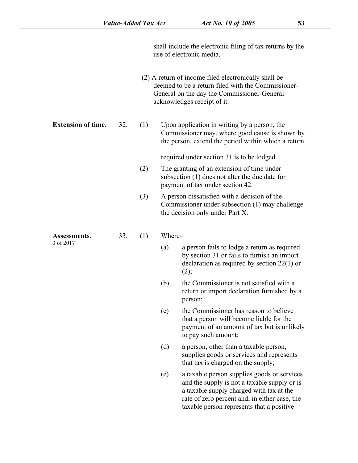shall include the electronic filing of tax returns by the use of electronic media.

(2) A return of income filed electronically shall be deemed to be a return filed with the Commissioner- General on the day the Commissioner-General acknowledges receipt of it.

**Extension of time.** 32. (1) Upon application in writing by a person, the

Commissioner may, where good cause is shown by the person, extend the period within which a return

required under section [31](s) is to be lodged.

- (2) The granting of an extension of time under subsection [\(1\)](s) does not alter the due date for payment of tax under section [42.](s)
- (3) A person dissatisfied with a decision of the Commissioner under subsection [\(1\)](s) may challenge the decision only under [Part](s) X.

**Assessments.** 3 of 2017

 $(1)$  Where–

- (a) a person fails to lodge a return as required by section [31](s) or fails to furnish an import declaration as required by section [22\(1\)](s) or  $(2);$  $(2);$
- (b) the Commissioner is not satisfied with a return or import declaration furnished by a person;
- (c) the Commissioner has reason to believe that a person will become liable for the payment of an amount of tax but is unlikely to pay such amount;
- (d) a person, other than a taxable person, supplies goods or services and represents that tax is charged on the supply;
- (e) a taxable person supplies goods or services and the supply is not a taxable supply or is a taxable supply charged with tax at the rate of zero percent and, in either case, the taxable person represents that a positive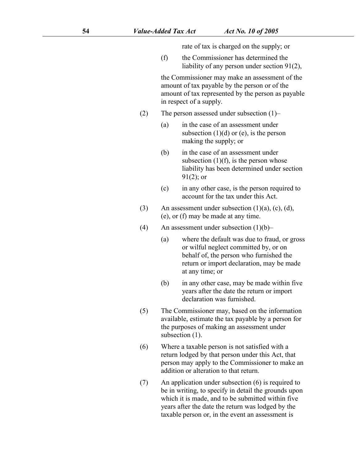rate of tax is charged on the supply; or

(f) the Commissioner has determined the liability of any person under section [91\(2\)](s),

the Commissioner may make an assessment of the amount of tax payable by the person or of the amount of tax represented by the person as payable in respect of a supply.

- (2) The person assessed under subsection  $(1)$ 
	- (a) in the case of an assessment under subsection  $(1)(d)$  or [\(e\)](s), is the person making the supply; or
	- (b) in the case of an assessment under subsection  $(1)(f)$ , is the person whose liability has been determined under section [91\(2\)](s); or
	- (c) in any other case, is the person required to account for the tax under this Act.
- (3) An assessment under subsection  $(1)(a)$ ,  $(c)$ ,  $(d)$ , [\(e\),](s) or [\(f\)](s) may be made at any time.
- (4) An assessment under subsection  $(1)(b)$ 
	- (a) where the default was due to fraud, or gross or wilful neglect committed by, or on behalf of, the person who furnished the return or import declaration, may be made at any time; or
	- (b) in any other case, may be made within five years after the date the return or import declaration was furnished.
- (5) The Commissioner may, based on the information available, estimate the tax payable by a person for the purposes of making an assessment under subsection [\(1\)](s).
- (6) Where a taxable person is not satisfied with a return lodged by that person under this Act, that person may apply to the Commissioner to make an addition or alteration to that return.
- (7) An application under subsection [\(6\)](s) is required to be in writing, to specify in detail the grounds upon which it is made, and to be submitted within five years after the date the return was lodged by the taxable person or, in the event an assessment is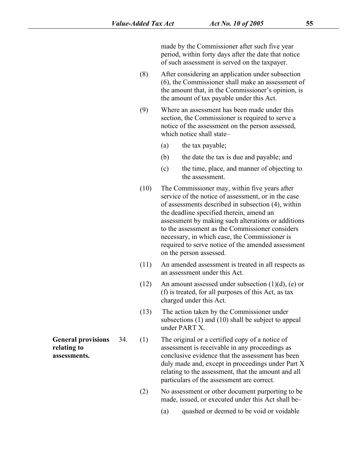made by the Commissioner after such five year period, within forty days after the date that notice of such assessment is served on the taxpayer.

- (8) After considering an application under subsection [\(6\)](s), the Commissioner shall make an assessment of the amount that, in the Commissioner's opinion, is the amount of tax payable under this Act.
- (9) Where an assessment has been made under this section, the Commissioner is required to serve a notice of the assessment on the person assessed, which notice shall state–
	- (a) the tax payable;
	- (b) the date the tax is due and payable; and
	- (c) the time, place, and manner of objecting to the assessment.
- (10) The Commissioner may, within five years after service of the notice of assessment, or in the case of assessments described in subsection [\(4\)](s), within the deadline specified therein, amend an assessment by making such alterations or additions to the assessment as the Commissioner considers necessary, in which case, the Commissioner is required to serve notice of the amended assessment on the person assessed.
- (11) An amended assessment is treated in all respects as an assessment under this Act.
- (12) An amount assessed under subsection  $(1)(d)$ ,  $(e)$  or [\(f\)](s) is treated, for all purposes of this Act, as tax charged under this Act.
- (13) The action taken by the Commissioner under subsections (1) and (10) shall be subject to appeal under PART X.

**General provisions** 34. (1) The original or a certified copy of a notice of **General provisions** 34. (1) The original or a certified copy of a notice of<br> **relating to** assessment is receivable in any proceedings as<br> **assessments.** conclusive evidence that the assessment has been assessment is receivable in any proceedings as conclusive evidence that the assessment has been duly made and, except in proceedings under [Part](s) X relating to the assessment, that the amount and all particulars of the assessment are correct.

- (2) No assessment or other document purporting to be made, issued, or executed under this Act shall be–
	- (a) quashed or deemed to be void or voidable

**relating to**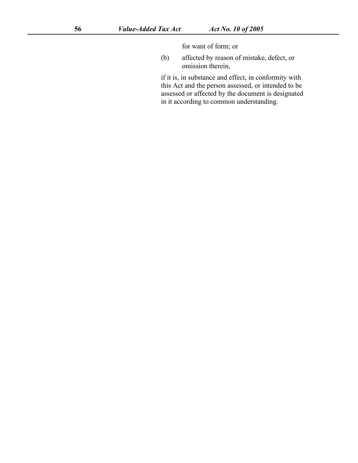for want of form; or

(b) affected by reason of mistake, defect, or omission therein,

if it is, in substance and effect, in conformity with this Act and the person assessed, or intended to be assessed or affected by the document is designated in it according to common understanding.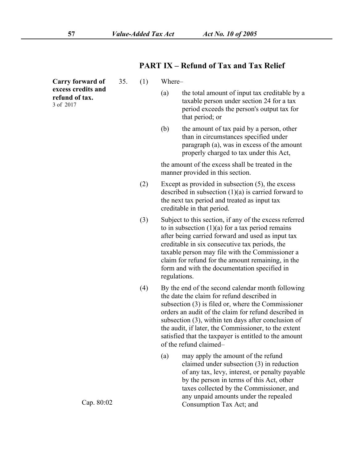Where–

### **PART IX – Refund of Tax and Tax Relief**

- the total amount of input tax creditable by a taxable person under section 24 for a tax period exceeds the person's output tax for that period; or
- (b) the amount of tax paid by a person, other than in circumstances specified under paragraph (a), was in excess of the amount properly charged to tax under this Act,

the amount of the excess shall be treated in the manner provided in this section.

- (2) Except as provided in subsection (5), the excess described in subsection  $(1)(a)$  is carried forward to the next tax period and treated as input tax creditable in that period.
- (3) Subject to this section, if any of the excess referred to in subsection  $(1)(a)$  for a tax period remains after being carried forward and used as input tax creditable in six consecutive tax periods, the taxable person may file with the Commissioner a claim for refund for the amount remaining, in the form and with the documentation specified in regulations.
- (4) By the end of the second calendar month following the date the claim for refund described in subsection (3) is filed or, where the Commissioner orders an audit of the claim for refund described in subsection (3), within ten days after conclusion of the audit, if later, the Commissioner, to the extent satisfied that the taxpayer is entitled to the amount of the refund claimed–
	- (a) may apply the amount of the refund claimed under subsection (3) in reduction of any tax, levy, interest, or penalty payable by the person in terms of this Act, other taxes collected by the Commissioner, and any unpaid amounts under the repealed Consumption Tax Act; and

**Carry forward of excess credits and refund of tax.** 3 of 2017

Cap. 80:02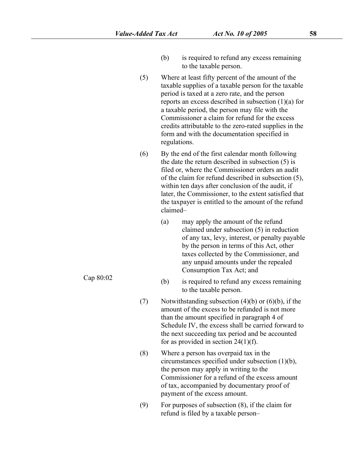- (b) is required to refund any excess remaining to the taxable person.
- (5) Where at least fifty percent of the amount of the taxable supplies of a taxable person for the taxable period is taxed at a zero rate, and the person reports an excess described in subsection [\(1\)\(a\)](s) for a taxable period, the person may file with the Commissioner a claim for refund for the excess credits attributable to the zero-rated supplies in the form and with the documentation specified in regulations.
- (6) By the end of the first calendar month following the date the return described in subsection [\(5\)](s) is filed or, where the Commissioner orders an audit of the claim for refund described in subsection [\(5\)](s), within ten days after conclusion of the audit, if later, the Commissioner, to the extent satisfied that the taxpayer is entitled to the amount of the refund claimed–
	- (a) may apply the amount of the refund claimed under subsection [\(5\)](s) in reduction of any tax, levy, interest, or penalty payable by the person in terms of this Act, other taxes collected by the Commissioner, and any unpaid amounts under the repealed Consumption Tax Act; and
	- is required to refund any excess remaining to the taxable person.
- (7) Notwithstanding subsection  $(4)(b)$  or  $(6)(b)$ , if the amount of the excess to be refunded is not more than the amount specified in paragraph [4](s) of [Schedule](s) IV, the excess shall be carried forward to the next succeeding tax period and be accounted for as provided in section  $24(1)(f)$ .
- (8) Where a person has overpaid tax in the circumstances specified under subsection [\(1\)\(b\),](s) the person may apply in writing to the Commissioner for a refund of the excess amount of tax, accompanied by documentary proof of payment of the excess amount.
- (9) For purposes of subsection [\(8\)](s), if the claim for refund is filed by a taxable person–

Cap  $80:02$  (b)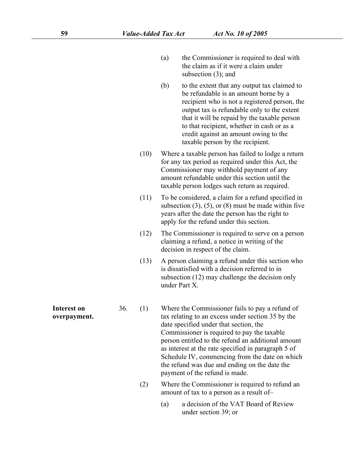- (a) the Commissioner is required to deal with the claim as if it were a claim under subsection [\(3\)](s); and
- (b) to the extent that any output tax claimed to be refundable is an amount borne by a recipient who is not a registered person, the output tax is refundable only to the extent that it will be repaid by the taxable person to that recipient, whether in cash or as a credit against an amount owing to the taxable person by the recipient.
- (10) Where a taxable person has failed to lodge a return for any tax period as required under this Act, the Commissioner may withhold payment of any amount refundable under this section until the taxable person lodges such return as required.
- (11) To be considered, a claim for a refund specified in subsection  $(3)$ ,  $(5)$ , or  $(8)$  must be made within five years after the date the person has the right to apply for the refund under this section.
- (12) The Commissioner is required to serve on a person claiming a refund, a notice in writing of the decision in respect of the claim.
- (13) A person claiming a refund under this section who is dissatisfied with a decision referred to in subsection [\(12\)](s) may challenge the decision only under [Part](s) X.

**Interest on** 36. (1)

- **Interest on** 36. (1) Where the Commissioner fails to pay a refund of **overpayment.** tax relating to an excess under section 35 by the tax relating to an excess under section [35](s) by the date specified under that section, the Commissioner is required to pay the taxable person entitled to the refund an additional amount as interest at the rate specified in paragraph [5](s) of [Schedule](s) IV, commencing from the date on which the refund was due and ending on the date the payment of the refund is made.
	- (2) Where the Commissioner is required to refund an amount of tax to a person as a resultof–
		- (a) a decision of the VAT Board of Review under section [39;](s) or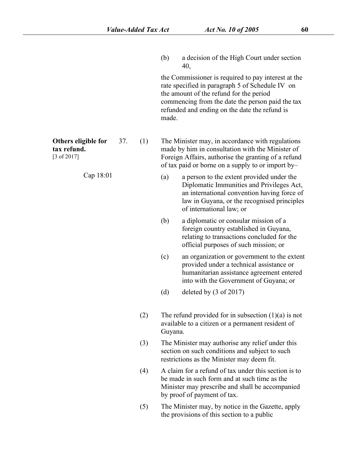(b) a decision of the High Court under section [40](s),

the Commissioner is required to pay interest at the rate specified in paragraph [5](s) of [Schedule](s) IV on the amount of the refund for the period commencing from the date the person paid the tax refunded and ending on the date the refund is made.

**Others eligible for tax refund.** [3 of 2017]

Cap 18:01

- The Minister may, in accordance with regulations made by him in consultation with the Minister of Foreign Affairs, authorise the granting of a refund of tax paid or borne on a supply to or import by–
	- a person to the extent provided under the Diplomatic Immunities and Privileges Act, an international convention having force of law in Guyana, or the recognised principles of international law; or
	- (b) a diplomatic or consular mission of a foreign country established in Guyana, relating to transactions concluded for the official purposes of such mission; or
	- (c) an organization or government to the extent provided under a technical assistance or humanitarian assistance agreement entered into with the Government of Guyana; or
	- (d) deleted by (3 of 2017)
- (2) The refund provided for in subsection  $(1)(a)$  is not available to a citizen or a permanent resident of Guyana.
- (3) The Minister may authorise any relief under this section on such conditions and subject to such restrictions as the Minister may deem fit.
- (4) A claim for a refund of tax under this section is to be made in such form and at such time as the Minister may prescribe and shall be accompanied by proof of payment of tax.
- (5) The Minister may, by notice in the Gazette, apply the provisions of this section to a public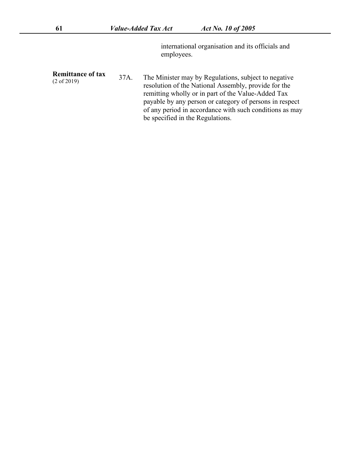international organisation and its officials and employees.

**Remittance of tax**

(2 of 2019)

The Minister may by Regulations, subject to negative resolution of the National Assembly, provide for the remitting wholly or in part of the Value-Added Tax payable by any person or category of persons in respect of any period in accordance with such conditions as may be specified in the Regulations.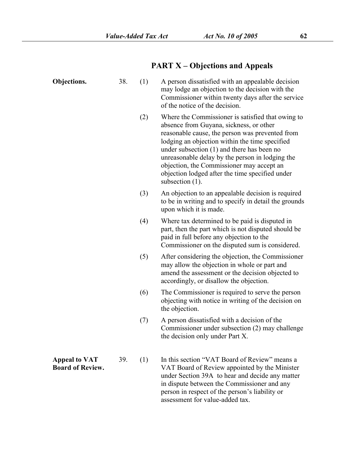person in respect of the person's liability or

assessment for value-added tax.

# **PART X – Objections and Appeals**

| Objections.                                     | 38. | (1) | A person dissatisfied with an appealable decision<br>may lodge an objection to the decision with the<br>Commissioner within twenty days after the service<br>of the notice of the decision.                                                                                                                                                                                                                              |
|-------------------------------------------------|-----|-----|--------------------------------------------------------------------------------------------------------------------------------------------------------------------------------------------------------------------------------------------------------------------------------------------------------------------------------------------------------------------------------------------------------------------------|
|                                                 |     | (2) | Where the Commissioner is satisfied that owing to<br>absence from Guyana, sickness, or other<br>reasonable cause, the person was prevented from<br>lodging an objection within the time specified<br>under subsection (1) and there has been no<br>unreasonable delay by the person in lodging the<br>objection, the Commissioner may accept an<br>objection lodged after the time specified under<br>subsection $(1)$ . |
|                                                 |     | (3) | An objection to an appealable decision is required<br>to be in writing and to specify in detail the grounds<br>upon which it is made.                                                                                                                                                                                                                                                                                    |
|                                                 |     | (4) | Where tax determined to be paid is disputed in<br>part, then the part which is not disputed should be<br>paid in full before any objection to the<br>Commissioner on the disputed sum is considered.                                                                                                                                                                                                                     |
|                                                 |     | (5) | After considering the objection, the Commissioner<br>may allow the objection in whole or part and<br>amend the assessment or the decision objected to<br>accordingly, or disallow the objection.                                                                                                                                                                                                                         |
|                                                 |     | (6) | The Commissioner is required to serve the person<br>objecting with notice in writing of the decision on<br>the objection.                                                                                                                                                                                                                                                                                                |
|                                                 |     | (7) | A person dissatisfied with a decision of the<br>Commissioner under subsection (2) may challenge<br>the decision only under Part X.                                                                                                                                                                                                                                                                                       |
| <b>Appeal to VAT</b><br><b>Board of Review.</b> | 39. | (1) | In this section "VAT Board of Review" means a<br>VAT Board of Review appointed by the Minister<br>under Section 39A to hear and decide any matter<br>in dispute between the Commissioner and any                                                                                                                                                                                                                         |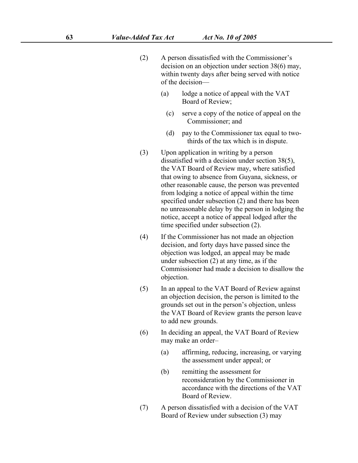- (2) A person dissatisfied with the Commissioner's decision on an objection under section 38(6) may, within twenty days after being served with notice of the decision—
	- (a) lodge a notice of appeal with the VAT Board of Review;
		- (c) serve a copy of the notice of appeal on the Commissioner; and
		- (d) pay to the Commissioner tax equal to twothirds of the tax which is in dispute.
- (3) Upon application in writing by a person dissatisfied with a decision under section 38(5), the VAT Board of Review may, where satisfied that owing to absence from Guyana, sickness, or other reasonable cause, the person was prevented from lodging a notice of appeal within the time specified under subsection (2) and there has been no unreasonable delay by the person in lodging the notice, accept a notice of appeal lodged after the time specified under subsection (2).
- (4) If the Commissioner has not made an objection decision, and forty days have passed since the objection was lodged, an appeal may be made under subsection (2) at any time, as if the Commissioner had made a decision to disallow the objection.
- (5) In an appeal to the VAT Board of Review against an objection decision, the person is limited to the grounds set out in the person's objection, unless the VAT Board of Review grants the person leave to add new grounds.
- (6) In deciding an appeal, the VAT Board of Review may make an order–
	- (a) affirming, reducing, increasing, or varying the assessment under appeal; or
	- (b) remitting the assessment for reconsideration by the Commissioner in accordance with the directions of the VAT Board of Review.
- (7) A person dissatisfied with a decision of the VAT Board of Review under subsection (3) may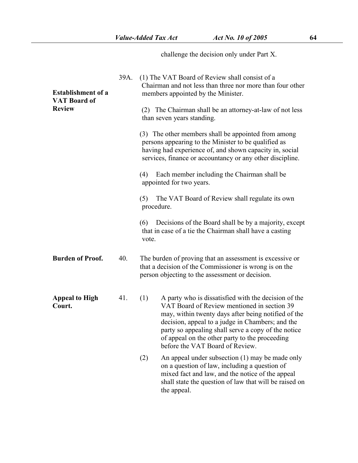challenge the decision only under [Part](s) X.

| <b>Establishment of a</b><br><b>VAT Board of</b> | 39A. | (1) The VAT Board of Review shall consist of a<br>Chairman and not less than three nor more than four other<br>members appointed by the Minister.                                                                                                                                                                                                                 |
|--------------------------------------------------|------|-------------------------------------------------------------------------------------------------------------------------------------------------------------------------------------------------------------------------------------------------------------------------------------------------------------------------------------------------------------------|
| <b>Review</b>                                    |      | The Chairman shall be an attorney-at-law of not less<br>(2)<br>than seven years standing.                                                                                                                                                                                                                                                                         |
|                                                  |      | (3) The other members shall be appointed from among<br>persons appearing to the Minister to be qualified as<br>having had experience of, and shown capacity in, social<br>services, finance or accountancy or any other discipline.                                                                                                                               |
|                                                  |      | Each member including the Chairman shall be<br>(4)<br>appointed for two years.                                                                                                                                                                                                                                                                                    |
|                                                  |      | The VAT Board of Review shall regulate its own<br>(5)<br>procedure.                                                                                                                                                                                                                                                                                               |
|                                                  |      | Decisions of the Board shall be by a majority, except<br>(6)<br>that in case of a tie the Chairman shall have a casting<br>vote.                                                                                                                                                                                                                                  |
| <b>Burden of Proof.</b>                          | 40.  | The burden of proving that an assessment is excessive or<br>that a decision of the Commissioner is wrong is on the<br>person objecting to the assessment or decision.                                                                                                                                                                                             |
| <b>Appeal to High</b><br>Court.                  | 41.  | A party who is dissatisfied with the decision of the<br>(1)<br>VAT Board of Review mentioned in section 39<br>may, within twenty days after being notified of the<br>decision, appeal to a judge in Chambers; and the<br>party so appealing shall serve a copy of the notice<br>of appeal on the other party to the proceeding<br>before the VAT Board of Review. |
|                                                  |      | An appeal under subsection (1) may be made only<br>(2)<br>on a question of law, including a question of<br>mixed fact and law, and the notice of the appeal<br>shall state the question of law that will be raised on<br>the appeal.                                                                                                                              |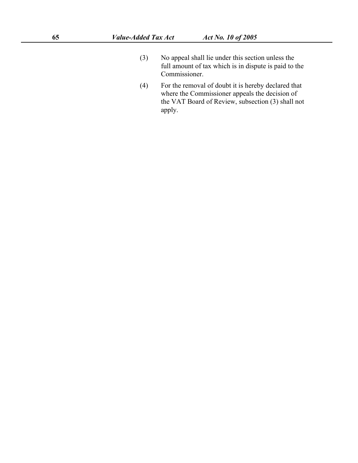- (3) No appeal shall lie under this section unless the full amount of tax which is in dispute is paid to the Commissioner.
- (4) For the removal of doubt it is hereby declared that where the Commissioner appeals the decision of the VAT Board of Review, subsection (3) shall not apply.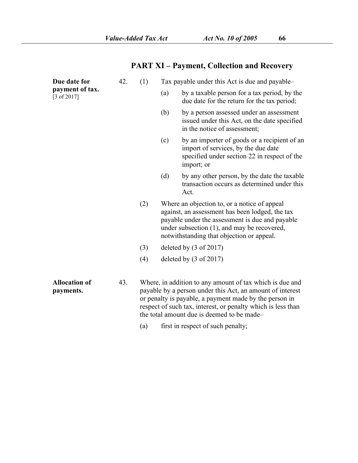# **PART XI – Payment, Collection and Recovery**

| Due date for                              | 42. | (1) |     | Tax payable under this Act is due and payable-                                                                                                                                                                                                                                                |
|-------------------------------------------|-----|-----|-----|-----------------------------------------------------------------------------------------------------------------------------------------------------------------------------------------------------------------------------------------------------------------------------------------------|
| payment of tax.<br>$[3 \text{ of } 2017]$ |     |     | (a) | by a taxable person for a tax period, by the<br>due date for the return for the tax period;                                                                                                                                                                                                   |
|                                           |     |     | (b) | by a person assessed under an assessment<br>issued under this Act, on the date specified<br>in the notice of assessment;                                                                                                                                                                      |
|                                           |     |     | (c) | by an importer of goods or a recipient of an<br>import of services, by the due date<br>specified under section 22 in respect of the<br>import; or                                                                                                                                             |
|                                           |     |     | (d) | by any other person, by the date the taxable<br>transaction occurs as determined under this<br>Act.                                                                                                                                                                                           |
|                                           |     | (2) |     | Where an objection to, or a notice of appeal<br>against, an assessment has been lodged, the tax<br>payable under the assessment is due and payable<br>under subsection (1), and may be recovered,<br>notwithstanding that objection or appeal.                                                |
|                                           |     | (3) |     | deleted by $(3 \text{ of } 2017)$                                                                                                                                                                                                                                                             |
|                                           |     | (4) |     | deleted by $(3 \text{ of } 2017)$                                                                                                                                                                                                                                                             |
| <b>Allocation of</b><br>payments.         | 43. |     |     | Where, in addition to any amount of tax which is due and<br>payable by a person under this Act, an amount of interest<br>or penalty is payable, a payment made by the person in<br>respect of such tax, interest, or penalty which is less than<br>the total amount due is deemed to be made- |
|                                           |     | (a) |     | first in respect of such penalty;                                                                                                                                                                                                                                                             |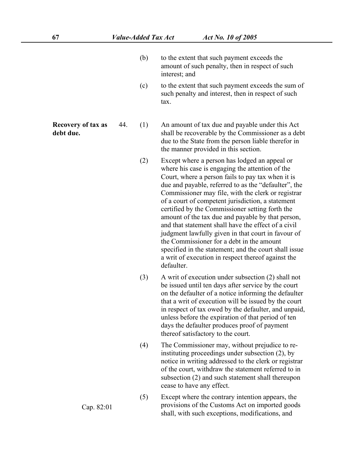- (b) to the extent that such payment exceeds the amount of such penalty, then in respect of such interest; and
- (c) to the extent that such payment exceeds the sum of such penalty and interest, then in respect of such tax.

**Recovery of tax as debt due.**

- An amount of tax due and payable under this Act shall be recoverable by the Commissioner as a debt due to the State from the person liable therefor in the manner provided in this section.
- (2) Except where a person has lodged an appeal or where his case is engaging the attention of the Court, where a person fails to pay tax when it is due and payable, referred to as the "defaulter", the Commissioner may file, with the clerk or registrar of a court of competent jurisdiction, a statement certified by the Commissioner setting forth the amount of the tax due and payable by that person, and that statement shall have the effect of a civil judgment lawfully given in that court in favour of the Commissioner for a debt in the amount specified in the statement; and the court shall issue a writ of execution in respect thereof against the defaulter.
- (3) A writ of execution under subsection [\(2\)](s) shall not be issued until ten days after service by the court on the defaulter of a notice informing the defaulter that a writ of execution will be issued by the court in respect of tax owed by the defaulter, and unpaid, unless before the expiration of that period of ten days the defaulter produces proof of payment thereof satisfactory to the court.
- (4) The Commissioner may, without prejudice to reinstituting proceedings under subsection [\(2\)](s), by notice in writing addressed to the clerk or registrar of the court, withdraw the statement referred to in subsection [\(2\)](s) and such statement shall thereupon cease to have any effect.
- (5) Except where the contrary intention appears, the provisions of the Customs Act on imported goods shall, with such exceptions, modifications, and

Cap. 82:01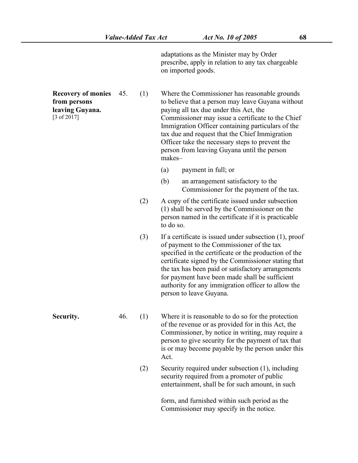adaptations as the Minister may by Order prescribe, apply in relation to any tax chargeable on imported goods.

| <b>Recovery of monies</b><br>from persons<br>leaving Guyana.<br>$[3 \text{ of } 2017]$ | 45. | (1) | makes-    | Where the Commissioner has reasonable grounds<br>to believe that a person may leave Guyana without<br>paying all tax due under this Act, the<br>Commissioner may issue a certificate to the Chief<br>Immigration Officer containing particulars of the<br>tax due and request that the Chief Immigration<br>Officer take the necessary steps to prevent the<br>person from leaving Guyana until the person      |
|----------------------------------------------------------------------------------------|-----|-----|-----------|-----------------------------------------------------------------------------------------------------------------------------------------------------------------------------------------------------------------------------------------------------------------------------------------------------------------------------------------------------------------------------------------------------------------|
|                                                                                        |     |     | (a)       | payment in full; or                                                                                                                                                                                                                                                                                                                                                                                             |
|                                                                                        |     |     | (b)       | an arrangement satisfactory to the<br>Commissioner for the payment of the tax.                                                                                                                                                                                                                                                                                                                                  |
|                                                                                        |     | (2) | to do so. | A copy of the certificate issued under subsection<br>(1) shall be served by the Commissioner on the<br>person named in the certificate if it is practicable                                                                                                                                                                                                                                                     |
|                                                                                        |     | (3) |           | If a certificate is issued under subsection $(1)$ , proof<br>of payment to the Commissioner of the tax<br>specified in the certificate or the production of the<br>certificate signed by the Commissioner stating that<br>the tax has been paid or satisfactory arrangements<br>for payment have been made shall be sufficient<br>authority for any immigration officer to allow the<br>person to leave Guyana. |
| Security.                                                                              | 46. | (1) | Act.      | Where it is reasonable to do so for the protection<br>of the revenue or as provided for in this Act, the<br>Commissioner, by notice in writing, may require a<br>person to give security for the payment of tax that<br>is or may become payable by the person under this                                                                                                                                       |
|                                                                                        |     | (2) |           | Security required under subsection (1), including<br>security required from a promoter of public<br>entertainment, shall be for such amount, in such                                                                                                                                                                                                                                                            |
|                                                                                        |     |     |           | form, and furnished within such period as the<br>Commissioner may specify in the notice.                                                                                                                                                                                                                                                                                                                        |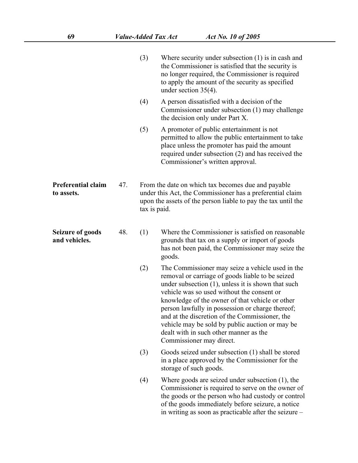|                                          |     | (3)          | Where security under subsection $(1)$ is in cash and<br>the Commissioner is satisfied that the security is<br>no longer required, the Commissioner is required<br>to apply the amount of the security as specified<br>under section $35(4)$ .                                                                                                                                                                                                                                                 |
|------------------------------------------|-----|--------------|-----------------------------------------------------------------------------------------------------------------------------------------------------------------------------------------------------------------------------------------------------------------------------------------------------------------------------------------------------------------------------------------------------------------------------------------------------------------------------------------------|
|                                          |     | (4)          | A person dissatisfied with a decision of the<br>Commissioner under subsection (1) may challenge<br>the decision only under Part X.                                                                                                                                                                                                                                                                                                                                                            |
|                                          |     | (5)          | A promoter of public entertainment is not<br>permitted to allow the public entertainment to take<br>place unless the promoter has paid the amount<br>required under subsection $(2)$ and has received the<br>Commissioner's written approval.                                                                                                                                                                                                                                                 |
| Preferential claim<br>to assets.         | 47. | tax is paid. | From the date on which tax becomes due and payable<br>under this Act, the Commissioner has a preferential claim<br>upon the assets of the person liable to pay the tax until the                                                                                                                                                                                                                                                                                                              |
| <b>Seizure of goods</b><br>and vehicles. | 48. | (1)          | Where the Commissioner is satisfied on reasonable<br>grounds that tax on a supply or import of goods<br>has not been paid, the Commissioner may seize the<br>goods.                                                                                                                                                                                                                                                                                                                           |
|                                          |     | (2)          | The Commissioner may seize a vehicle used in the<br>removal or carriage of goods liable to be seized<br>under subsection $(1)$ , unless it is shown that such<br>vehicle was so used without the consent or<br>knowledge of the owner of that vehicle or other<br>person lawfully in possession or charge thereof;<br>and at the discretion of the Commissioner, the<br>vehicle may be sold by public auction or may be<br>dealt with in such other manner as the<br>Commissioner may direct. |
|                                          |     | (3)          | Goods seized under subsection (1) shall be stored<br>in a place approved by the Commissioner for the<br>storage of such goods.                                                                                                                                                                                                                                                                                                                                                                |
|                                          |     | (4)          | Where goods are seized under subsection $(1)$ , the<br>Commissioner is required to serve on the owner of<br>the goods or the person who had custody or control<br>of the goods immediately before seizure, a notice<br>in writing as soon as practicable after the seizure –                                                                                                                                                                                                                  |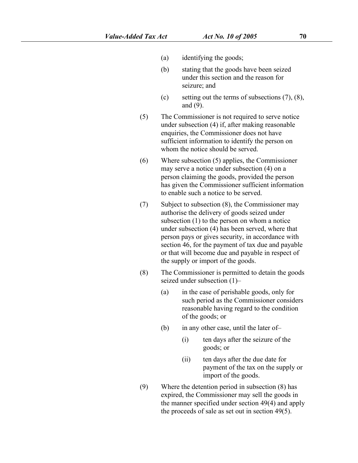- (a) identifying the goods;
- (b) stating that the goods have been seized under this section and the reason for seizure; and
- (c) setting out the terms of subsections  $(7)$ ,  $(8)$ , and [\(9\).](s)
- (5) The Commissioner is not required to serve notice under subsection [\(4\)](s) if, after making reasonable enquiries, the Commissioner does not have sufficient information to identify the person on whom the notice should be served.
- $(6)$  Where subsection  $(5)$  applies, the Commissioner may serve a notice under subsection [\(4\)](s) on a person claiming the goods, provided the person has given the Commissioner sufficient information to enable such a notice to be served.
- (7) Subject to subsection [\(8\)](s), the Commissioner may authorise the delivery of goods seized under subsection [\(1\)](s) to the person on whom a notice under subsection [\(4\)](s) has been served, where that person pays or gives security, in accordance with section [46](s), for the payment of tax due and payable or that will become due and payable in respect of the supply or import of the goods.
- (8) The Commissioner is permitted to detain the goods seized under subsection [\(1\)](s)–
	- (a) in the case of perishable goods, only for such period as the Commissioner considers reasonable having regard to the condition of the goods; or
	- (b) in any other case, until the later of–
		- (i) ten daysafter the seizure of the goods; or
		- (ii) ten daysafter the due date for payment of the tax on the supply or import of the goods.
- (9) Where the detention period in subsection [\(8\)](s) has expired, the Commissioner may sell the goods in the manner specified under section [49\(4\)](s) and apply the proceeds of sale as set out in section [49\(5\)](s).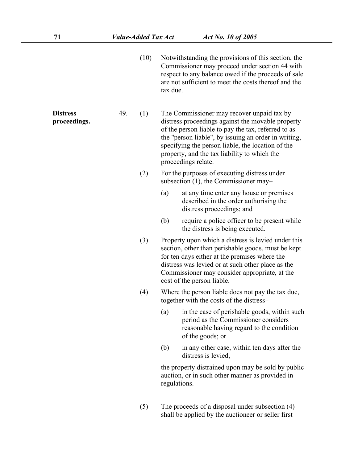shall be applied by the auctioneer or seller first

 $(10)$  Notwithstanding the provisions of this section, the Commissioner may proceed under section [44](s) with respect to any balance owed if the proceeds of sale are not sufficient to meet the costs thereof and the tax due. **Distress Distress** 49. (1) The Commissioner may recover unpaid tax by<br> **proceedings.** distress proceedings against the movable property of the person liable to pay the tax, referred to as the "person liable", by issuing an order in writing, specifying the person liable, the location of the property, and the tax liability to which the proceedings relate.  $(2)$  For the purposes of executing distress under subsection [\(1\)](s), the Commissioner may– (a) at any time enter any house or premises described in the order authorising the distress proceedings; and (b) require a police officer to be present while the distress is being executed. (3) Property upon which a distress is levied under this section, other than perishable goods, must be kept for ten days either at the premises where the distress was levied or at such other place as the Commissioner may consider appropriate, at the cost of the person liable. (4) Where the person liable does not pay the tax due, together with the costs of the distress– (a) in the case of perishable goods, within such period as the Commissioner considers reasonable having regard to the condition of the goods; or (b) in any other case, within ten days after the distress is levied, the property distrained upon may be sold by public auction, or in such other manner as provided in regulations. (5) The proceeds of a disposal under subsection [\(4\)](s)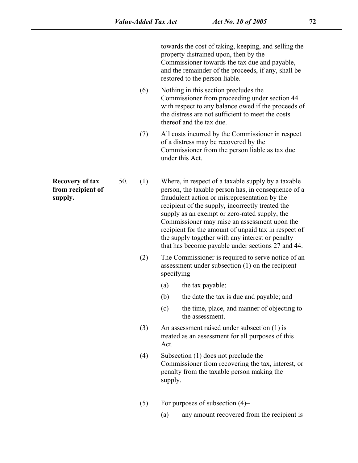towards the cost of taking, keeping, and selling the property distrained upon, then by the Commissioner towards the tax due and payable, and the remainder of the proceeds, if any, shall be restored to the person liable.

- (6) Nothing in this section precludes the Commissioner from proceeding under section [44](s) with respect to any balance owed if the proceeds of the distress are not sufficient to meet the costs thereof and the tax due.
- (7) All costs incurred by the Commissioner in respect of a distress may be recovered by the Commissioner from the person liable as tax due under this Act.
- **Recovery of tax** 50. (1) Where, in respect of a taxable supply by a taxable from recipient of person, the taxable person has, in consequence of supply.<br>
supply, the taxable person fraudulent action or misrepresentation by person, the taxable person has, in consequence of a fraudulent action or misrepresentation by the recipient of the supply, incorrectly treated the supply as an exempt or zero-rated supply, the Commissioner may raise an assessment upon the recipient for the amount of unpaid tax in respect of the supply together with any interest or penalty that has become payable under sections [27](s) and [44](s).
	- (2) The Commissioner is required to serve notice of an assessment under subsection [\(1\)](s) on the recipient specifying–
		- (a) the tax payable;
		- (b) the date the tax is due and payable; and
		- (c) the time, place, and manner of objecting to the assessment.
	- (3) An assessment raised under subsection [\(1\)](s) is treated as an assessment for all purposes of this Act.
	- (4) Subsection [\(1\)](s) does not preclude the Commissioner from recovering the tax, interest, or penalty from the taxable person making the supply.
	- (5) For purposes of subsection  $(4)$ 
		- (a) any amount recovered from the recipient is

**Recovery of tax from recipient of**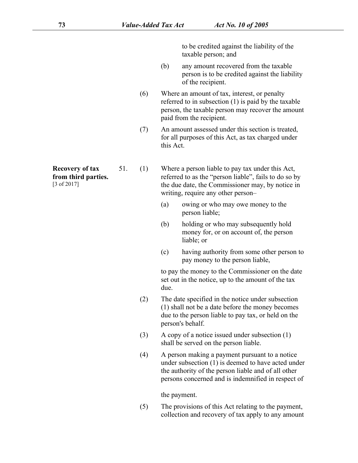to be credited against the liability of the taxable person; and

- (b) any amount recovered from the taxable person is to be credited against the liability of the recipient.
- (6) Where an amount of tax, interest, or penalty referred to in subsection [\(1\)](s) is paid by the taxable person, the taxable person may recover the amount paid from the recipient.
- (7) An amount assessed under this section is treated, for all purposes of this Act, as tax charged under this Act.
	- Where a person liable to pay tax under this Act, referred to as the "person liable", fails to do so by the due date, the Commissioner may, by notice in writing, require any other person–
		- (a) owing or who may owe money to the person liable;
		- (b) holding or who may subsequently hold money for, or on account of, the person liable; or
		- (c) having authority from some other person to pay money to the person liable,

to pay the money to the Commissioner on the date set out in the notice, up to the amount of the tax due.

- (2) The date specified in the notice under subsection [\(1\)](s) shall not be a date before the money becomes due to the person liable to pay tax, or held on the person's behalf.
- (3) A copy of a notice issued under subsection [\(1\)](s) shall be served on the person liable.
- (4) A person making a payment pursuant to a notice under subsection [\(1\)](s) is deemed to have acted under the authority of the person liable and of all other persons concerned and is indemnified in respect of

the payment.

 $(5)$  The provisions of this Act relating to the payment, collection and recovery of tax apply to any amount

**Recovery of tax from third parties.**

[3 of 2017]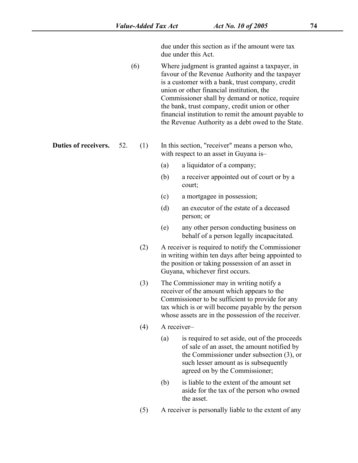due under this section as if the amount were tax due under this Act.

(6) Where judgment is granted against a taxpayer, in favour of the Revenue Authority and the taxpayer is a customer with a bank, trust company, credit union or other financial institution, the Commissioner shall by demand or notice, require the bank, trust company, credit union or other financial institution to remit the amount payable to the Revenue Authority as a debt owed to the State.

**Duties of receivers.** 52. (1) In this section, "receiver" means a person who, with respect to an asset in Guyana is–

- (a) a liquidator of a company;
- (b) a receiver appointed out of court or by a court;
- (c) a mortgagee in possession;
- (d) an executor of the estate of a deceased person; or
- (e) any other person conducting business on behalf of a person legally incapacitated.
- (2) A receiver is required to notify the Commissioner in writing within ten days after being appointed to the position or taking possession of an asset in Guyana, whichever first occurs.
- (3) The Commissioner may in writing notify a receiver of the amount which appears to the Commissioner to be sufficient to provide for any tax which is or will become payable by the person whose assets are in the possession of the receiver.<br>(4) A receiver–
- - (a) is required to set aside, out of the proceeds of sale of an asset, the amount notified by the Commissioner under subsection [\(3\)](s), or such lesser amount as is subsequently agreed on by the Commissioner;
	- (b) is liable to the extent of the amount set aside for the tax of the person who owned the asset.
- (5) A receiver is personally liable to the extent of any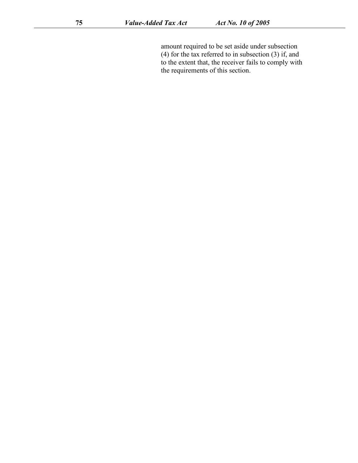amount required to be set aside under subsection [\(4\)](s) for the tax referred to in subsection [\(3\)](s) if, and to the extent that, the receiver fails to comply with the requirements of this section.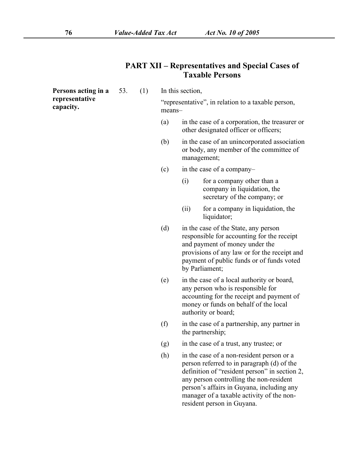# **Persons acting in a** 53. (1) In this section, **capacity.**  $\begin{array}{c} \text{``representative''}, \text{ in relation to a taxable person,} \\ \text{means--} \end{array}$ (a) in the case of a corporation, the treasurer or other designated officer or officers; (b) in the case of an unincorporated association or body, any member of the committee of management; (c) in the case of a company– (i) for a company other than a

- company in liquidation, the secretary of the company; or
- (ii) for a company in liquidation, the liquidator;
- (d) in the case of the State, any person responsible for accounting for the receipt and payment of money under the provisions of any law or for the receipt and payment of public funds or of funds voted by Parliament;
- (e) in the case of a local authority or board, any person who is responsible for accounting for the receipt and payment of money or funds on behalf of the local authority or board;
- (f) in the case of a partnership, any partner in the partnership;
- (g) in the case of a trust, any trustee; or
- (h) in the case of a non-resident person or a person referred to in paragraph [\(d\)](s) of the definition of "resident person" in section [2](s), any person controlling the non-resident person's affairs in Guyana, including any manager of a taxable activity of the nonresident person in Guyana.

### **PART XII – Representatives and Special Cases of Taxable Persons**

**representative**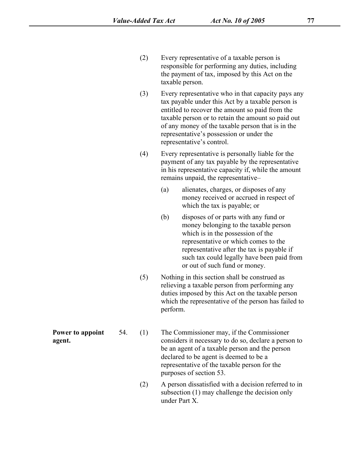- (2) Every representative of a taxable person is responsible for performing any duties, including the payment of tax, imposed by this Act on the taxable person.
- (3) Every representative who in that capacity paysany tax payable under this Act by a taxable person is entitled to recover the amount so paid from the taxable person or to retain the amount so paid out of any money of the taxable person that is in the representative's possession or under the representative's control.
- (4) Every representative is personally liable for the payment of any tax payable by the representative in his representative capacity if, while the amount remains unpaid, the representative–
	- (a) alienates, charges, or disposes of any money received or accrued in respect of which the tax is payable; or
	- (b) disposes of or parts with any fund or money belonging to the taxable person which is in the possession of the representative or which comes to the representative after the tax is payable if such tax could legally have been paid from or out of such fund or money.
- (5) Nothing in this section shall be construed as relieving a taxable person from performing any duties imposed by this Act on the taxable person which the representative of the person has failed to perform.

**Power to appoint** 54. (1) **Power to appoint** 54. (1) The Commissioner may, if the Commissioner agent.<br> **agent.** Considers it necessary to do so, declare a person to be an agent of a taxable person and the person declared to be agent is deemed to be a representative of the taxable person for the purposes of section [53](s).

> (2) A person dissatisfied with a decision referred to in subsection [\(1\)](s) may challenge the decision only under [Part](s) X.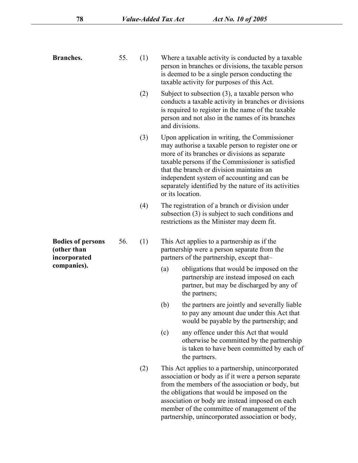| <b>Branches.</b>                                        | 55. | (1) | Where a taxable activity is conducted by a taxable<br>person in branches or divisions, the taxable person<br>is deemed to be a single person conducting the<br>taxable activity for purposes of this Act.                                                                                                                                                                       |
|---------------------------------------------------------|-----|-----|---------------------------------------------------------------------------------------------------------------------------------------------------------------------------------------------------------------------------------------------------------------------------------------------------------------------------------------------------------------------------------|
|                                                         |     | (2) | Subject to subsection $(3)$ , a taxable person who<br>conducts a taxable activity in branches or divisions<br>is required to register in the name of the taxable<br>person and not also in the names of its branches<br>and divisions.                                                                                                                                          |
|                                                         |     | (3) | Upon application in writing, the Commissioner<br>may authorise a taxable person to register one or<br>more of its branches or divisions as separate<br>taxable persons if the Commissioner is satisfied<br>that the branch or division maintains an<br>independent system of accounting and can be<br>separately identified by the nature of its activities<br>or its location. |
|                                                         |     | (4) | The registration of a branch or division under<br>subsection $(3)$ is subject to such conditions and<br>restrictions as the Minister may deem fit.                                                                                                                                                                                                                              |
| <b>Bodies of persons</b><br>(other than<br>incorporated | 56. | (1) | This Act applies to a partnership as if the<br>partnership were a person separate from the<br>partners of the partnership, except that-                                                                                                                                                                                                                                         |
| companies).                                             |     |     | obligations that would be imposed on the<br>(a)<br>partnership are instead imposed on each<br>partner, but may be discharged by any of<br>the partners;                                                                                                                                                                                                                         |
|                                                         |     |     | (b)<br>the partners are jointly and severally liable<br>to pay any amount due under this Act that<br>would be payable by the partnership; and                                                                                                                                                                                                                                   |
|                                                         |     |     | any offence under this Act that would<br>(c)<br>otherwise be committed by the partnership<br>is taken to have been committed by each of<br>the partners.                                                                                                                                                                                                                        |
|                                                         |     | (2) | This Act applies to a partnership, unincorporated<br>association or body as if it were a person separate<br>from the members of the association or body, but<br>the obligations that would be imposed on the<br>association or body are instead imposed on each<br>member of the committee of management of the                                                                 |

partnership, unincorporated association or body,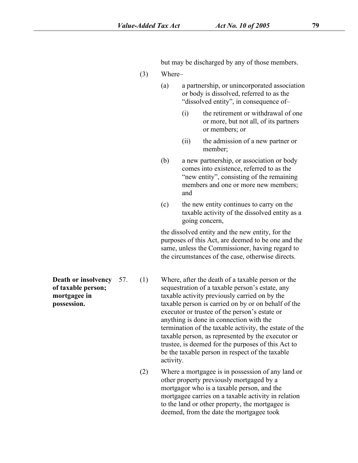but may be discharged by any of those members.

- (3) Where–
	- (a) a partnership, or unincorporated association or body is dissolved, referred to as the "dissolved entity", in consequence of–
		- (i) the retirement or withdrawal of one or more, but not all, of its partners or members; or
		- (ii) the admission of a new partner or member;
	- (b) a new partnership, or association or body comes into existence, referred to as the "new entity", consisting of the remaining members and one or more new members; and
	- (c) the new entity continues to carry on the taxable activity of the dissolved entity as a going concern,

the dissolved entity and the new entity, for the purposes of this Act, are deemed to be one and the same, unless the Commissioner, having regard to the circumstances of the case, otherwise directs.

**of taxable person; mortgagee in**

**Death or insolvency** 57. (1) Where, after the death of a taxable person or the **posession.** 57. (1) Where, after the death of a taxable person or the sequestration of a taxable person's estate, any taxable activity previously carried on by the possession. taxable person is carried on by or on behalf sequestration of a taxable person's estate, any taxable activity previously carried on by the taxable person is carried on by or on behalf of the executor or trustee of the person's estate or anything is done in connection with the termination of the taxable activity, the estate of the taxable person, as represented by the executor or trustee, is deemed for the purposes of this Act to be the taxable person in respect of the taxable activity.

> (2) Where a mortgagee is in possession of any land or other property previously mortgaged by a mortgagor who is a taxable person, and the mortgagee carries on a taxable activity in relation to the land or other property, the mortgagee is deemed, from the date the mortgagee took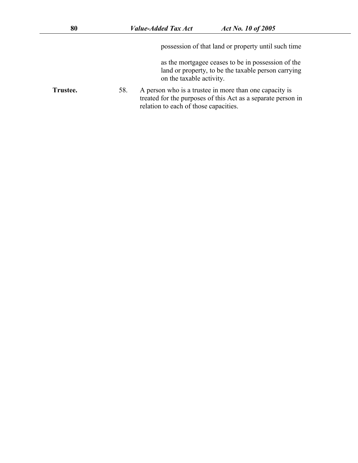possession of that land or property until such time

as the mortgagee ceases to be in possession of the land or property, to be the taxable person carrying on the taxable activity.

**Trustee.** 58. A person who is a trustee in more than one capacity is treated for the purposes of this Act as a separate person in relation to each of those capacities.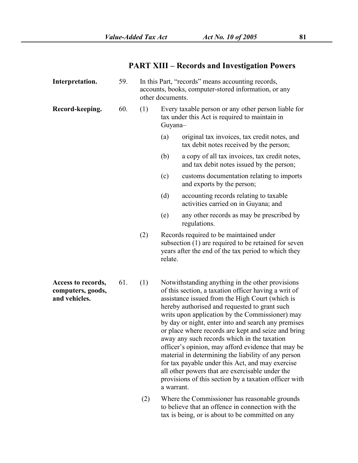# **PART XIII – Records and Investigation Powers**

| Interpretation.                                          | 59. |     | In this Part, "records" means accounting records,<br>accounts, books, computer-stored information, or any<br>other documents.                                                                                                                                                                                                                                                                                                                                                                                                                                                                                                                                                                                           |
|----------------------------------------------------------|-----|-----|-------------------------------------------------------------------------------------------------------------------------------------------------------------------------------------------------------------------------------------------------------------------------------------------------------------------------------------------------------------------------------------------------------------------------------------------------------------------------------------------------------------------------------------------------------------------------------------------------------------------------------------------------------------------------------------------------------------------------|
| Record-keeping.                                          | 60. | (1) | Every taxable person or any other person liable for<br>tax under this Act is required to maintain in<br>Guyana-                                                                                                                                                                                                                                                                                                                                                                                                                                                                                                                                                                                                         |
|                                                          |     |     | (a)<br>original tax invoices, tax credit notes, and<br>tax debit notes received by the person;                                                                                                                                                                                                                                                                                                                                                                                                                                                                                                                                                                                                                          |
|                                                          |     |     | a copy of all tax invoices, tax credit notes,<br>(b)<br>and tax debit notes issued by the person;                                                                                                                                                                                                                                                                                                                                                                                                                                                                                                                                                                                                                       |
|                                                          |     |     | customs documentation relating to imports<br>(c)<br>and exports by the person;                                                                                                                                                                                                                                                                                                                                                                                                                                                                                                                                                                                                                                          |
|                                                          |     |     | (d)<br>accounting records relating to taxable<br>activities carried on in Guyana; and                                                                                                                                                                                                                                                                                                                                                                                                                                                                                                                                                                                                                                   |
|                                                          |     |     | any other records as may be prescribed by<br>(e)<br>regulations.                                                                                                                                                                                                                                                                                                                                                                                                                                                                                                                                                                                                                                                        |
|                                                          |     | (2) | Records required to be maintained under<br>subsection (1) are required to be retained for seven<br>years after the end of the tax period to which they<br>relate.                                                                                                                                                                                                                                                                                                                                                                                                                                                                                                                                                       |
| Access to records,<br>computers, goods,<br>and vehicles. | 61. | (1) | Notwithstanding anything in the other provisions<br>of this section, a taxation officer having a writ of<br>assistance issued from the High Court (which is<br>hereby authorised and requested to grant such<br>writs upon application by the Commissioner) may<br>by day or night, enter into and search any premises<br>or place where records are kept and seize and bring<br>away any such records which in the taxation<br>officer's opinion, may afford evidence that may be<br>material in determining the liability of any person<br>for tax payable under this Act, and may exercise<br>all other powers that are exercisable under the<br>provisions of this section by a taxation officer with<br>a warrant. |

(2) Where the Commissioner has reasonable grounds to believe that an offence in connection with the tax is being, or is about to be committed on any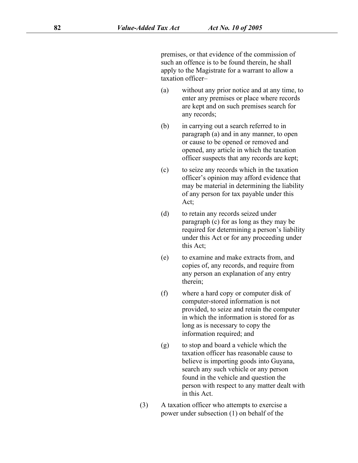premises, or that evidence of the commission of such an offence is to be found therein, he shall apply to the Magistrate for a warrant to allow a taxation officer–

- (a) without any prior notice and at any time, to enter any premises or place where records are kept and on such premises search for any records;
- (b) in carrying out a search referred to in paragraph [\(a\)](s) and in any manner, to open or cause to be opened or removed and opened, any article in which the taxation officer suspects that any records are kept;
- (c) to seize any records which in the taxation officer's opinion may afford evidence that may be material in determining the liability of any person for tax payable under this Act;
- (d) to retain any records seized under paragraph [\(c\)](s) for as long as they may be required for determining a person's liability under this Act or for any proceeding under this Act;
- (e) to examine and make extracts from, and copies of, any records, and require from any person an explanation of any entry therein;
- (f) where a hard copy or computer disk of computer-stored information is not provided, to seize and retain the computer in which the information is stored for as long as is necessary to copy the information required; and
- (g) to stop and board a vehicle which the taxation officer has reasonable cause to believe is importing goods into Guyana, search any such vehicle or any person found in the vehicle and question the person with respect to any matter dealt with in this Act.
- (3) A taxation officer who attempts to exercise a power under subsection [\(1\)](s) on behalf of the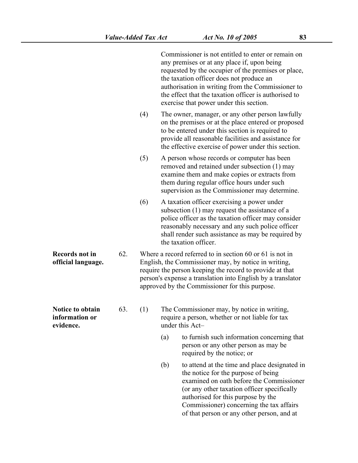Commissioner) concerning the tax affairs

of that person or any other person, and at

|                                                 |     |     |     | Commissioner is not entitled to enter or remain on<br>any premises or at any place if, upon being<br>requested by the occupier of the premises or place,<br>the taxation officer does not produce an<br>authorisation in writing from the Commissioner to<br>the effect that the taxation officer is authorised to<br>exercise that power under this section. |
|-------------------------------------------------|-----|-----|-----|---------------------------------------------------------------------------------------------------------------------------------------------------------------------------------------------------------------------------------------------------------------------------------------------------------------------------------------------------------------|
|                                                 |     | (4) |     | The owner, manager, or any other person lawfully<br>on the premises or at the place entered or proposed<br>to be entered under this section is required to<br>provide all reasonable facilities and assistance for<br>the effective exercise of power under this section.                                                                                     |
|                                                 |     | (5) |     | A person whose records or computer has been<br>removed and retained under subsection (1) may<br>examine them and make copies or extracts from<br>them during regular office hours under such<br>supervision as the Commissioner may determine.                                                                                                                |
|                                                 |     | (6) |     | A taxation officer exercising a power under<br>subsection (1) may request the assistance of a<br>police officer as the taxation officer may consider<br>reasonably necessary and any such police officer<br>shall render such assistance as may be required by<br>the taxation officer.                                                                       |
| <b>Records not in</b><br>official language.     | 62. |     |     | Where a record referred to in section 60 or 61 is not in<br>English, the Commissioner may, by notice in writing,<br>require the person keeping the record to provide at that<br>person's expense a translation into English by a translator<br>approved by the Commissioner for this purpose.                                                                 |
| Notice to obtain<br>information or<br>evidence. | 63. | (1) |     | The Commissioner may, by notice in writing,<br>require a person, whether or not liable for tax<br>under this Act-                                                                                                                                                                                                                                             |
|                                                 |     |     | (a) | to furnish such information concerning that<br>person or any other person as may be<br>required by the notice; or                                                                                                                                                                                                                                             |
|                                                 |     |     | (b) | to attend at the time and place designated in<br>the notice for the purpose of being<br>examined on oath before the Commissioner<br>(or any other taxation officer specifically<br>authorised for this purpose by the                                                                                                                                         |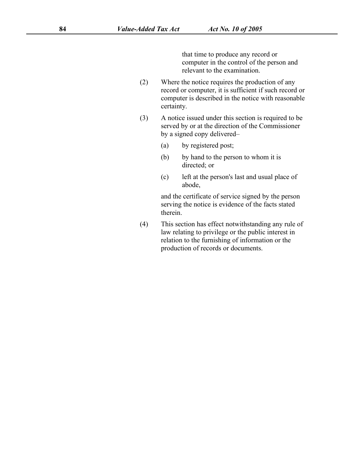that time to produce any record or computer in the control of the person and relevant to the examination.

- (2) Where the notice requires the production of any record or computer, it is sufficient if such record or computer is described in the notice with reasonable certainty.
- (3) A notice issued under this section is required to be served by or at the direction of the Commissioner by a signed copy delivered–
	- (a) by registered post;
	- (b) by hand to the person to whom it is directed; or
	- (c) left at the person's last and usual place of abode,

and the certificate of service signed by the person serving the notice is evidence of the facts stated therein.

(4) This section has effect notwithstanding any rule of law relating to privilege or the public interest in relation to the furnishing of information or the production of records or documents.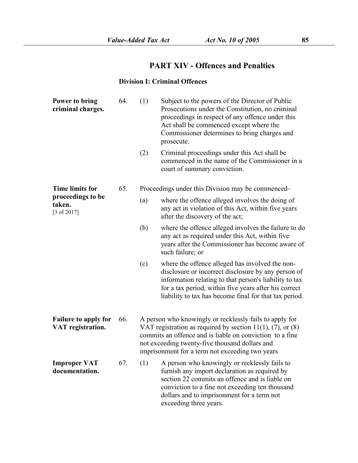### **PART XIV - Offences and Penalties**

### **Division I: Criminal Offences**

| Power to bring<br>criminal charges.              | 64. | (1) | Subject to the powers of the Director of Public<br>Prosecutions under the Constitution, no criminal<br>proceedings in respect of any offence under this<br>Act shall be commenced except where the<br>Commissioner determines to bring charges and<br>prosecute.                          |  |  |  |
|--------------------------------------------------|-----|-----|-------------------------------------------------------------------------------------------------------------------------------------------------------------------------------------------------------------------------------------------------------------------------------------------|--|--|--|
|                                                  |     | (2) | Criminal proceedings under this Act shall be<br>commenced in the name of the Commissioner in a<br>court of summary conviction.                                                                                                                                                            |  |  |  |
| <b>Time limits for</b>                           | 65. |     | Proceedings under this Division may be commenced–                                                                                                                                                                                                                                         |  |  |  |
| proceedings to be<br>taken.<br>[3 of 2017]       |     | (a) | where the offence alleged involves the doing of<br>any act in violation of this Act, within five years<br>after the discovery of the act;                                                                                                                                                 |  |  |  |
|                                                  |     | (b) | where the offence alleged involves the failure to do<br>any act as required under this Act, within five<br>years after the Commissioner has become aware of<br>such failure; or                                                                                                           |  |  |  |
|                                                  |     | (c) | where the offence alleged has involved the non-<br>disclosure or incorrect disclosure by any person of<br>information relating to that person's liability to tax<br>for a tax period, within five years after his correct<br>liability to tax has become final for that tax period.       |  |  |  |
| <b>Failure to apply for</b><br>VAT registration. | 66. |     | A person who knowingly or recklessly fails to apply for<br>VAT registration as required by section $11(1)$ , (7), or (8)<br>commits an offence and is liable on conviction to a fine<br>not exceeding twenty-five thousand dollars and<br>imprisonment for a term not exceeding two years |  |  |  |
| <b>Improper VAT</b><br>documentation.            | 67. | (1) | A person who knowingly or recklessly fails to<br>furnish any import declaration as required by<br>section 22 commits an offence and is liable on<br>conviction to a fine not exceeding ten thousand<br>dollars and to imprisonment for a term not<br>exceeding three years.               |  |  |  |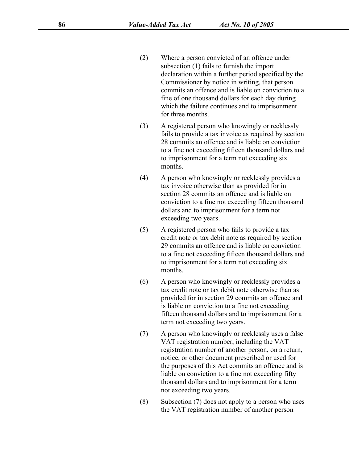- (2) Where a person convicted of an offence under subsection [\(1\)](s) fails to furnish the import declaration within a further period specified by the Commissioner by notice in writing, that person commits an offence and is liable on conviction to a fine of one thousand dollars for each day during which the failure continues and to imprisonment for three months.
- (3) A registered person who knowingly or recklessly fails to provide a tax invoice as required by section 28 commits an offence and is liable on conviction to a fine not exceeding fifteen thousand dollars and to imprisonment for a term not exceeding six months.
- (4) A person who knowingly or recklessly provides a tax invoice otherwise than as provided for in section [28](s) commits an offence and is liable on conviction to a fine not exceeding fifteen thousand dollars and to imprisonment for a term not exceeding two years.
- (5) A registered person who fails to provide a tax credit note or tax debit note as required by section [29](s) commits an offence and is liable on conviction to a fine not exceeding fifteen thousand dollars and to imprisonment for a term not exceeding six months.
- (6) A person who knowingly or recklessly provides a tax credit note or tax debit note otherwise than as provided for in section [29](s) commits an offence and is liable on conviction to a fine not exceeding fifteen thousand dollars and to imprisonment for a term not exceeding two years.
- (7) A person who knowingly or recklessly uses a false VAT registration number, including the VAT registration number of another person, on a return, notice, or other document prescribed or used for the purposes of this Act commits an offence and is liable on conviction to a fine not exceeding fifty thousand dollars and to imprisonment for a term not exceeding two years.
- (8) Subsection [\(7\)](s) does not apply to a person who uses the VAT registration number of another person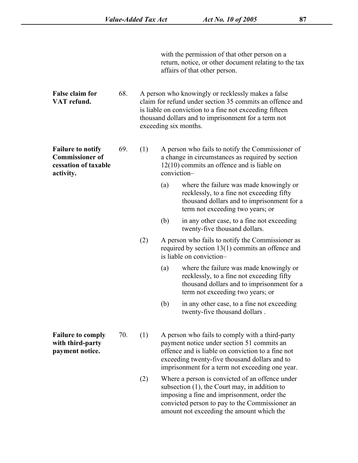with the permission of that other person on a return, notice, or other document relating to the tax affairs of that other person.

**False claim for** 68. A person who knowingly or recklessly makes a false **False claim for** 68. A person who knowingly or recklessly makes a false<br> **VAT** refund. Claim for refund under section [35](s) commits an offence and is liable on conviction to a fine not exceeding fifteen thousand dollars and to imprisonment for a term not exceeding six months.

**Failure to notify** 69. (1) **Commissioner of cessation of taxable Failure to notify** 69. (1) A person who fails to notify the Commissioner of **Commissioner of** a change in circumstances as required by section **cessation of taxable** 12(10) commits an offence and is liable on **activity.** a change in circumstances as required by section [12\(10\)](s) commits an offence and is liable on conviction–

- (a) where the failure was made knowingly or recklessly, to a fine not exceeding fifty thousand dollars and to imprisonment for a term not exceeding two years; or
- (b) in any other case, to a fine not exceeding twenty-five thousand dollars.
- (2) A person who fails to notify the Commissioner as required by section [13\(1\)](s) commits an offence and is liable on conviction–
	- (a) where the failure was made knowingly or recklessly, to a fine not exceeding fifty thousand dollars and to imprisonment for a term not exceeding two years; or
	- (b) in any other case, to a fine not exceeding twenty-five thousand dollars .
- **Failure to comply** 70. (1) A person who fails to comply with a third-party **Failure to comply** 70. (1) A person who fails to comply with a third-party<br> **with third-party** payment notice under section 51 commits an<br> **payment notice.** offence and is liable on conviction to a fine not payment notice under section [51](s) commits an exceeding twenty-five thousand dollars and to imprisonment for a term not exceeding one year.
	- (2) Where a person is convicted of an offence under subsection [\(1\)](s), the Court may, in addition to imposing a fine and imprisonment, order the convicted person to pay to the Commissioner an amount not exceeding the amount which the

**with third-party**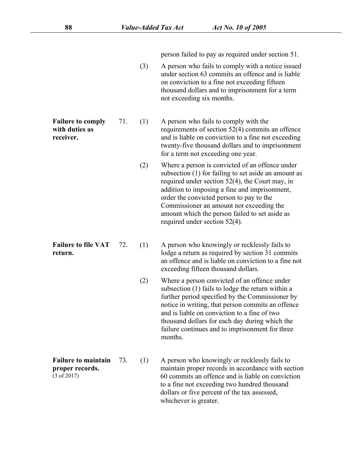person failed to pay as required under section [51.](s)

(3) A person who fails to comply with a notice issued under section [63](s) commits an offence and is liable on conviction to a fine not exceeding fifteen thousand dollars and to imprisonment for a term not exceeding six months.

**Failure to comply** 71. (1) A person who fails to comply with the **with duties as**

- **Failure to comply** 71. (1) A person who fails to comply with the<br> **with duties as**<br> **receiver.** and is liable on conviction to a fine not exceeding<br> **receiver.** requirements of section  $52(4)$  commits an offence and is liable on conviction to a fine not exceeding twenty-five thousand dollars and to imprisonment for a term not exceeding one year.
	- (2) Where a person is convicted of an offence under subsection (1) for failing to set aside an amount as required under section [52\(4\),](s) the Court may, in addition to imposing a fine and imprisonment, order the convicted person to pay to the Commissioner an amount not exceeding the amount which the person failed to set aside as required under section [52\(4\).](s)
- 
- **Failure to file VAT** 72. (1) A person who knowingly or recklessly fails to **Failure to file VAT** 72. (1) A person who knowingly or recklessly fails to lodge a return as required by section [31](s) commits an offence and is liable on conviction to a fine not exceeding fifteen thousand dollars.
	- (2) Where a person convicted of an offence under subsection [\(1\)](s) fails to lodge the return within a further period specified by the Commissioner by notice in writing, that person commits an offence and is liable on conviction to a fine of two thousand dollars for each day during which the failure continues and to imprisonment for three months.

**Failure to maintain** 73. (1) **proper records.** (3 of 2017) A person who knowingly or recklessly fails to maintain proper records in accordance with section [60](s) commits an offence and is liable on conviction to a fine not exceeding two hundred thousand dollars or five percent of the tax assessed, whichever is greater.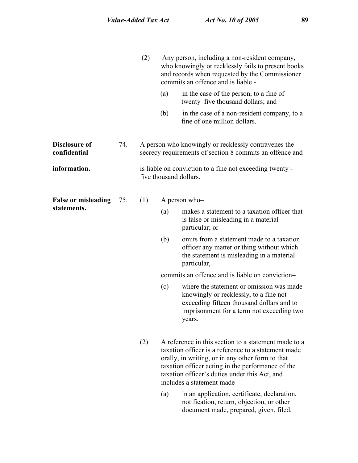|                                      |     | (2) |     | Any person, including a non-resident company,<br>who knowingly or recklessly fails to present books<br>and records when requested by the Commissioner<br>commits an offence and is liable -                                                                                                                                                                                                                                                |
|--------------------------------------|-----|-----|-----|--------------------------------------------------------------------------------------------------------------------------------------------------------------------------------------------------------------------------------------------------------------------------------------------------------------------------------------------------------------------------------------------------------------------------------------------|
|                                      |     |     | (a) | in the case of the person, to a fine of<br>twenty five thousand dollars; and                                                                                                                                                                                                                                                                                                                                                               |
|                                      |     |     | (b) | in the case of a non-resident company, to a<br>fine of one million dollars.                                                                                                                                                                                                                                                                                                                                                                |
| <b>Disclosure of</b><br>confidential | 74. |     |     | A person who knowingly or recklessly contravenes the<br>secrecy requirements of section 8 commits an offence and                                                                                                                                                                                                                                                                                                                           |
| information.                         |     |     |     | is liable on conviction to a fine not exceeding twenty -<br>five thousand dollars.                                                                                                                                                                                                                                                                                                                                                         |
| <b>False or misleading</b>           | 75. | (1) |     | A person who-                                                                                                                                                                                                                                                                                                                                                                                                                              |
| statements.                          |     |     | (a) | makes a statement to a taxation officer that<br>is false or misleading in a material<br>particular; or                                                                                                                                                                                                                                                                                                                                     |
|                                      |     |     | (b) | omits from a statement made to a taxation<br>officer any matter or thing without which<br>the statement is misleading in a material<br>particular,                                                                                                                                                                                                                                                                                         |
|                                      |     |     |     | commits an offence and is liable on conviction-                                                                                                                                                                                                                                                                                                                                                                                            |
|                                      |     |     | (c) | where the statement or omission was made<br>knowingly or recklessly, to a fine not<br>exceeding fifteen thousand dollars and to<br>imprisonment for a term not exceeding two<br>years.                                                                                                                                                                                                                                                     |
|                                      |     | (2) | (a) | A reference in this section to a statement made to a<br>taxation officer is a reference to a statement made<br>orally, in writing, or in any other form to that<br>taxation officer acting in the performance of the<br>taxation officer's duties under this Act, and<br>includes a statement made-<br>in an application, certificate, declaration,<br>notification, return, objection, or other<br>document made, prepared, given, filed, |
|                                      |     |     |     |                                                                                                                                                                                                                                                                                                                                                                                                                                            |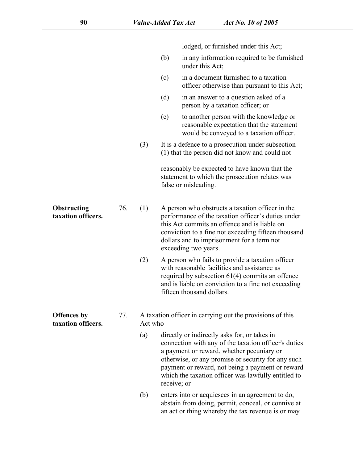lodged, or furnished under this Act;

- (b) in any information required to be furnished under this Act;
- (c) in a document furnished to a taxation officer otherwise than pursuant to this Act;
- (d) in an answer to a question asked of a person by a taxation officer; or
- (e) to another person with the knowledge or reasonable expectation that the statement would be conveyed to a taxation officer.
- (3) It is a defence to a prosecution under subsection [\(1\)](s) that the person did not know and could not

reasonably be expected to have known that the statement to which the prosecution relates was false or misleading.

- **Obstructing** 76. (1) **Obstructing** 76. (1) A person who obstructs a taxation officer in the **taxation officers.**  $\begin{array}{ll}\n\text{76.} \\
\text{77.} \\
\text{78.} \\
\text{79.} \\
\text{70.} \\
\text{71.} \\
\text{72.} \\
\text{73.} \\
\text{74.} \\
\text{75.} \\
\text{76.} \\
\text{77.} \\
\text{78.} \\
\text{79.} \\
\text{70.} \\
\$ performance of the taxation officer's duties under this Act commits an offence and is liable on conviction to a fine not exceeding fifteen thousand dollars and to imprisonment for a term not exceeding two years.
	- (2) A person who fails to provide a taxation officer with reasonable facilities and assistance as required by subsection [61\(4\)](s) commits an offence and is liable on conviction to a fine not exceeding fifteen thousand dollars.
- **Offences by Offences by** 77. A taxation officer in carrying out the provisions of this **taxation officers.** Act who-Act who–
	- (a) directly or indirectly asks for, or takes in connection with any of the taxation officer's duties a payment or reward, whether pecuniary or otherwise, or any promise or security for any such payment or reward, not being a payment or reward which the taxation officer was lawfully entitled to receive; or
	- (b) enters into or acquiesces in an agreement to do, abstain from doing, permit, conceal, or connive at an act or thing whereby the tax revenue is or may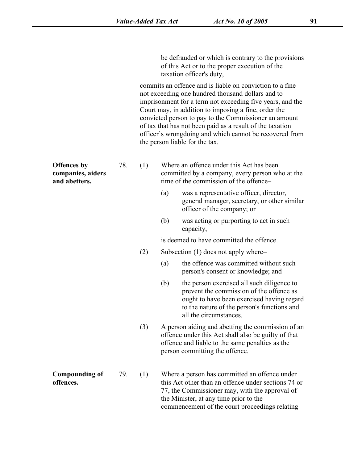be defrauded or which is contrary to the provisions of this Act or to the proper execution of the taxation officer's duty,

commits an offence and is liable on conviction to a fine not exceeding one hundred thousand dollars and to imprisonment for a term not exceeding five years, and the Court may, in addition to imposing a fine, order the convicted person to pay to the Commissioner an amount of tax that has not been paid as a result of the taxation officer's wrongdoing and which cannot be recovered from the person liable for the tax.

| <b>Offences</b> by<br>companies, aiders<br>and abetters. | 78. | (1) | Where an offence under this Act has been<br>committed by a company, every person who at the<br>time of the commission of the offence- |
|----------------------------------------------------------|-----|-----|---------------------------------------------------------------------------------------------------------------------------------------|
|                                                          |     |     | was a representative officer, director,<br>(a)<br>general manager, secretary, or other similar<br>officer of the company; or          |
|                                                          |     |     | was acting or purporting to act in such<br>(b)<br>capacity,                                                                           |

is deemed to have committed the offence.

- (2) Subsection [\(1\)](s) does not apply where–
	- (a) the offence was committed without such person's consent or knowledge; and
	- (b) the person exercised all such diligence to prevent the commission of the offence as ought to have been exercised having regard to the nature of the person's functions and all the circumstances.
- (3) A person aiding and abetting the commission of an offence under this Act shall also be guilty of that offence and liable to the same penalties as the person committing the offence.
- **Compounding of** 79. (1) Where a person has committed an offence under **Compounding of** 79. (1) Where a person has committed an offence under **offences**.<br>
offences. [77](s), the Commissioner may, with the approval of the Minister, at any time prior to the commencement of the court proceedings relating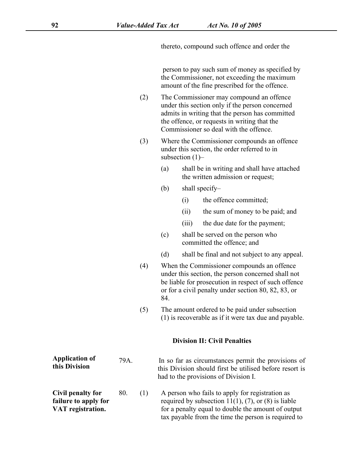thereto, compound such offence and order the

person to pay such sum of money as specified by the Commissioner, not exceeding the maximum amount of the fine prescribed for the offence.

- (2) The Commissioner may compound an offence under this section only if the person concerned admits in writing that the person has committed the offence, or requests in writing that the Commissioner so deal with the offence.
- (3) Where the Commissioner compounds an offence under this section, the order referred to in subsection [\(1\)](s)–
	- (a) shall be in writing and shall have attached the written admission or request;
	- (b) shall specify–
		- (i) the offence committed;
		- (ii) the sum of money to be paid; and
		- (iii) the due date for the payment;
	- (c) shall be served on the person who committed the offence; and
	- (d) shall be final and not subject to any appeal.
- (4) When the Commissioner compounds an offence under this section, the person concerned shall not be liable for prosecution in respect of such offence or for a civil penalty under section [80,](s) 82, [83,](s) or [84](s).
- (5) The amount ordered to be paid under subsection [\(1\)](s) is recoverable as if it were tax due and payable.

tax payable from the time the person is required to

#### **Division II: Civil Penalties**

| <b>Application of</b><br>this Division | 79A. |     | In so far as circumstances permit the provisions of<br>this Division should first be utilised before resort is<br>had to the provisions of Division I. |
|----------------------------------------|------|-----|--------------------------------------------------------------------------------------------------------------------------------------------------------|
| Civil penalty for                      | 80.  | (1) | A person who fails to apply for registration as                                                                                                        |
| failure to apply for                   |      |     | required by subsection $11(1)$ , (7), or (8) is liable                                                                                                 |
| VAT registration.                      |      |     | for a penalty equal to double the amount of output                                                                                                     |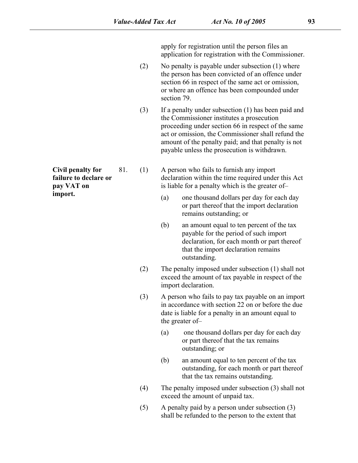apply for registration until the person files an application for registration with the Commissioner.

- (2) No penalty is payable under subsection [\(1\)](s) where the person has been convicted of an offence under section [66](s) in respect of the same act or omission, or where an offence has been compounded under section 79.
- (3) If a penalty under subsection [\(1\)](s) has been paid and the Commissioner institutes a prosecution proceeding under section [66](s) in respect of the same act or omission, the Commissioner shall refund the amount of the penalty paid; and that penalty is not payable unless the prosecution is withdrawn.

**Civil penalty for** 81. (1) A person who fails to furnish any import **is compared to declare or** 81. (1) A person who fails to furnish any import<br> **failure to declare or** declaration within the time required under this Act<br> **import.** (2) one thousand dollars per day for each day declaration within the time required under this Act is liable for a penalty which is the greater of–

- (a) one thousand dollars per day for each day or part thereof that the import declaration remains outstanding; or
- (b) an amount equal to ten percent of the tax payable for the period of such import declaration, for each month or part thereof that the import declaration remains outstanding.
- (2) The penalty imposed under subsection [\(1\)](s) shall not exceed the amount of tax payable in respect of the import declaration.
- (3) A person who fails to pay tax payable on an import in accordance with section [22](s) on or before the due date is liable for a penalty in an amount equal to the greater of–
	- (a) one thousand dollars per day for each day or part thereof that the tax remains outstanding; or
	- (b) an amount equal to ten percent of the tax outstanding, for each month or part thereof that the tax remains outstanding.
- (4) The penalty imposed under subsection [\(3\)](s) shall not exceed the amount of unpaid tax.
- (5) A penalty paid by a person under subsection [\(3\)](s) shall be refunded to the person to the extent that

**failure to declare or pay VAT on**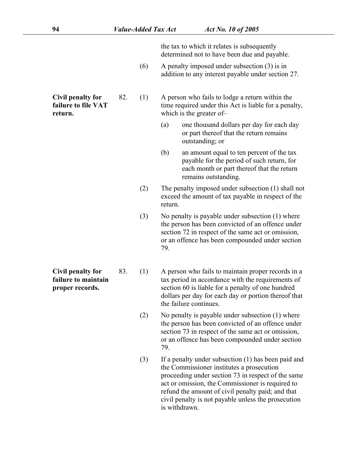the tax to which it relates is subsequently determined not to have been due and payable.

(6) A penalty imposed under subsection [\(3\)](s) is in addition to any interest payable under section [27](s).

**failure to file VAT**

**Civil penalty for** 82. (1) A person who fails to lodge a return within the **Civil penalty for** 82. (1) A person who fails to lodge a return within the failure to file VAT time required under this Act is liable for a penalty, verturn. time required under this Act is liable for a penalty, which is the greater of–

- (a) one thousand dollars per day for each day or part thereof that the return remains outstanding; or
- (b) an amount equal to ten percent of the tax payable for the period of such return, for each month or part thereof that the return remains outstanding.
- (2) The penalty imposed under subsection [\(1\)](s) shall not exceed the amount of tax payable in respect of the return.
- (3) No penalty is payable under subsection (1) where the person has been convicted of an offence under section 72 in respect of the same act or omission, or an offence has been compounded under section 79.

**Civil penalty for Figurer 19 Civil penalty for** 83. (1) A person who fails to maintain proper records in a<br>**failure to maintain** tax period in accordance with the requirements of<br>**proper records.** Section 60 is liable for a penalty of one tax period in accordance with the requirements of section [60](s) is liable for a penalty of one hundred dollars per day for each day or portion thereof that the failure continues.

- (2) No penalty is payable under subsection [\(1\)](s) where the person has been convicted of an offence under section [73](s) in respect of the same act or omission, or an offence has been compounded under section 79.
- (3) If a penalty under subsection [\(1\)](s) has been paid and the Commissioner institutes a prosecution proceeding under section [73](s) in respect of the same act or omission, the Commissioner is required to refund the amount of civil penalty paid; and that civil penalty is not payable unless the prosecution is withdrawn.

**failure to maintain**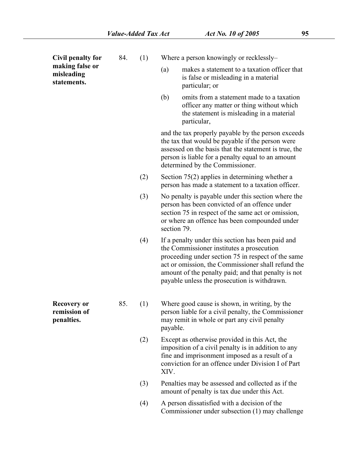| Civil penalty for                                | 84. | (1) | Where a person knowingly or recklessly-                                                                                                                                                                                                                                                                           |
|--------------------------------------------------|-----|-----|-------------------------------------------------------------------------------------------------------------------------------------------------------------------------------------------------------------------------------------------------------------------------------------------------------------------|
| making false or<br>misleading<br>statements.     |     |     | makes a statement to a taxation officer that<br>(a)<br>is false or misleading in a material<br>particular; or                                                                                                                                                                                                     |
|                                                  |     |     | (b)<br>omits from a statement made to a taxation<br>officer any matter or thing without which<br>the statement is misleading in a material<br>particular,                                                                                                                                                         |
|                                                  |     |     | and the tax properly payable by the person exceeds<br>the tax that would be payable if the person were<br>assessed on the basis that the statement is true, the<br>person is liable for a penalty equal to an amount<br>determined by the Commissioner.                                                           |
|                                                  |     | (2) | Section $75(2)$ applies in determining whether a<br>person has made a statement to a taxation officer.                                                                                                                                                                                                            |
|                                                  |     | (3) | No penalty is payable under this section where the<br>person has been convicted of an offence under<br>section 75 in respect of the same act or omission,<br>or where an offence has been compounded under<br>section 79.                                                                                         |
|                                                  |     | (4) | If a penalty under this section has been paid and<br>the Commissioner institutes a prosecution<br>proceeding under section 75 in respect of the same<br>act or omission, the Commissioner shall refund the<br>amount of the penalty paid; and that penalty is not<br>payable unless the prosecution is withdrawn. |
| <b>Recovery or</b><br>remission of<br>penalties. | 85. | (1) | Where good cause is shown, in writing, by the<br>person liable for a civil penalty, the Commissioner<br>may remit in whole or part any civil penalty<br>payable.                                                                                                                                                  |
|                                                  |     | (2) | Except as otherwise provided in this Act, the<br>imposition of a civil penalty is in addition to any<br>fine and imprisonment imposed as a result of a<br>conviction for an offence under Division I of Part<br>XIV.                                                                                              |
|                                                  |     | (3) | Penalties may be assessed and collected as if the<br>amount of penalty is tax due under this Act.                                                                                                                                                                                                                 |
|                                                  |     | (4) | A person dissatisfied with a decision of the<br>Commissioner under subsection (1) may challenge                                                                                                                                                                                                                   |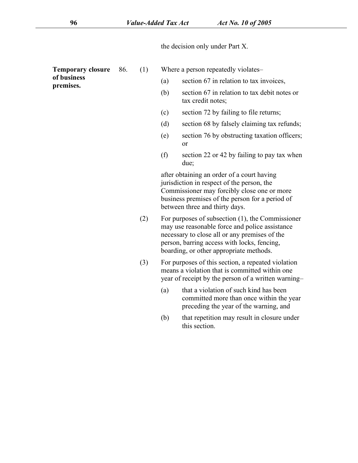the decision only under [Part](s) X.

**of business Temporary closure** 86. (1) Where a person repeatedly violates–<br> **of business** (a) section [67](s) in relation to tax invoices,<br> **premises.** 

**Temporary closure** 86. (1) Where a person repeatedly violates-

- 
- (b) section [67](s) in relation to tax debit notes or tax credit notes;
- (c) section [72](s) by failing to file returns;
- (d) section [68](s) by falsely claiming tax refunds;
- (e) section [76](s) by obstructing taxation officers; or
- (f) section [22](s) or [42](s) by failing to pay tax when due;

after obtaining an order of a court having jurisdiction in respect of the person, the Commissioner may forcibly close one or more business premises of the person for a period of

- between three and thirty days.<br>(2) For purposes of subsection (1), the Commissioner may use reasonable force and police assistance necessary to close all or any premises of the person, barring access with locks, fencing, boarding, or other appropriate methods.
- (3) For purposes of this section, a repeated violation means a violation that is committed within one year of receipt by the person of a written warning–
	- (a) that a violation of such kind has been committed more than once within the year preceding the year of the warning, and
	- (b) that repetition may result in closure under this section.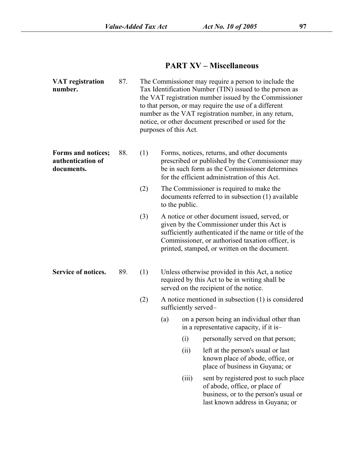# **PART XV – Miscellaneous**

| <b>VAT</b> registration<br>number.                    | 87. |     | purposes of this Act. |                      | The Commissioner may require a person to include the<br>Tax Identification Number (TIN) issued to the person as<br>the VAT registration number issued by the Commissioner<br>to that person, or may require the use of a different<br>number as the VAT registration number, in any return,<br>notice, or other document prescribed or used for the |
|-------------------------------------------------------|-----|-----|-----------------------|----------------------|-----------------------------------------------------------------------------------------------------------------------------------------------------------------------------------------------------------------------------------------------------------------------------------------------------------------------------------------------------|
| Forms and notices;<br>authentication of<br>documents. | 88. | (1) |                       |                      | Forms, notices, returns, and other documents<br>prescribed or published by the Commissioner may<br>be in such form as the Commissioner determines<br>for the efficient administration of this Act.                                                                                                                                                  |
|                                                       |     | (2) |                       | to the public.       | The Commissioner is required to make the<br>documents referred to in subsection (1) available                                                                                                                                                                                                                                                       |
|                                                       |     | (3) |                       |                      | A notice or other document issued, served, or<br>given by the Commissioner under this Act is<br>sufficiently authenticated if the name or title of the<br>Commissioner, or authorised taxation officer, is<br>printed, stamped, or written on the document.                                                                                         |
| Service of notices.                                   | 89. | (1) |                       |                      | Unless otherwise provided in this Act, a notice<br>required by this Act to be in writing shall be<br>served on the recipient of the notice.                                                                                                                                                                                                         |
|                                                       |     | (2) |                       | sufficiently served- | A notice mentioned in subsection (1) is considered                                                                                                                                                                                                                                                                                                  |
|                                                       |     |     | (a)                   |                      | on a person being an individual other than<br>in a representative capacity, if it is-                                                                                                                                                                                                                                                               |
|                                                       |     |     |                       | (i)                  | personally served on that person;                                                                                                                                                                                                                                                                                                                   |
|                                                       |     |     |                       | (ii)                 | left at the person's usual or last<br>known place of abode, office, or<br>place of business in Guyana; or                                                                                                                                                                                                                                           |
|                                                       |     |     |                       | (iii)                | sent by registered post to such place<br>of abode, office, or place of<br>business, or to the person's usual or<br>last known address in Guyana; or                                                                                                                                                                                                 |
|                                                       |     |     |                       |                      |                                                                                                                                                                                                                                                                                                                                                     |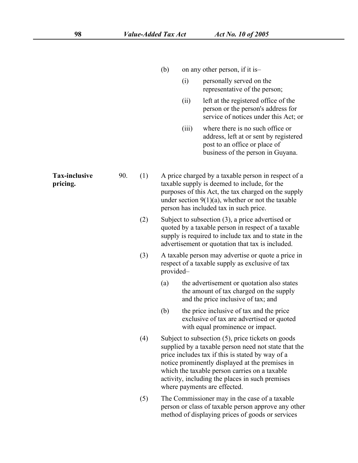|                                  |     |     | (b)       |       | on any other person, if it is-                                                                                                                                                                                                                                                                                                                          |
|----------------------------------|-----|-----|-----------|-------|---------------------------------------------------------------------------------------------------------------------------------------------------------------------------------------------------------------------------------------------------------------------------------------------------------------------------------------------------------|
|                                  |     |     |           | (i)   | personally served on the<br>representative of the person;                                                                                                                                                                                                                                                                                               |
|                                  |     |     |           | (ii)  | left at the registered office of the<br>person or the person's address for<br>service of notices under this Act; or                                                                                                                                                                                                                                     |
|                                  |     |     |           | (iii) | where there is no such office or<br>address, left at or sent by registered<br>post to an office or place of<br>business of the person in Guyana.                                                                                                                                                                                                        |
| <b>Tax-inclusive</b><br>pricing. | 90. | (1) |           |       | A price charged by a taxable person in respect of a<br>taxable supply is deemed to include, for the<br>purposes of this Act, the tax charged on the supply<br>under section $9(1)(a)$ , whether or not the taxable<br>person has included tax in such price.                                                                                            |
|                                  |     | (2) |           |       | Subject to subsection $(3)$ , a price advertised or<br>quoted by a taxable person in respect of a taxable<br>supply is required to include tax and to state in the<br>advertisement or quotation that tax is included.                                                                                                                                  |
|                                  |     | (3) | provided- |       | A taxable person may advertise or quote a price in<br>respect of a taxable supply as exclusive of tax                                                                                                                                                                                                                                                   |
|                                  |     |     | (a)       |       | the advertisement or quotation also states<br>the amount of tax charged on the supply<br>and the price inclusive of tax; and                                                                                                                                                                                                                            |
|                                  |     |     | (b)       |       | the price inclusive of tax and the price<br>exclusive of tax are advertised or quoted<br>with equal prominence or impact.                                                                                                                                                                                                                               |
|                                  |     | (4) |           |       | Subject to subsection $(5)$ , price tickets on goods<br>supplied by a taxable person need not state that the<br>price includes tax if this is stated by way of a<br>notice prominently displayed at the premises in<br>which the taxable person carries on a taxable<br>activity, including the places in such premises<br>where payments are effected. |
|                                  |     | (5) |           |       | The Commissioner may in the case of a taxable<br>person or class of taxable person approve any other<br>method of displaying prices of goods or services                                                                                                                                                                                                |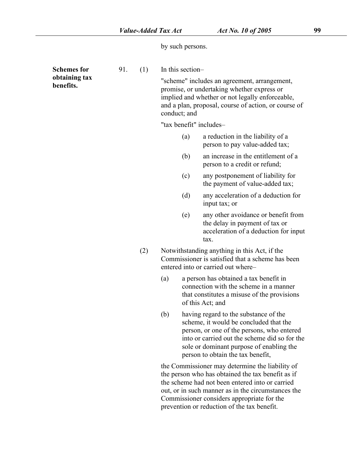by such persons.

| <b>Schemes for</b>         | 91. | (1) | In this section-                                                                                                                       |                                                                                                                                                                                                                                                                                                            |  |  |  |  |  |
|----------------------------|-----|-----|----------------------------------------------------------------------------------------------------------------------------------------|------------------------------------------------------------------------------------------------------------------------------------------------------------------------------------------------------------------------------------------------------------------------------------------------------------|--|--|--|--|--|
| obtaining tax<br>benefits. |     |     |                                                                                                                                        | "scheme" includes an agreement, arrangement,<br>promise, or undertaking whether express or<br>implied and whether or not legally enforceable,<br>and a plan, proposal, course of action, or course of<br>conduct; and                                                                                      |  |  |  |  |  |
|                            |     |     | "tax benefit" includes-                                                                                                                |                                                                                                                                                                                                                                                                                                            |  |  |  |  |  |
|                            |     |     | (a)                                                                                                                                    | a reduction in the liability of a<br>person to pay value-added tax;                                                                                                                                                                                                                                        |  |  |  |  |  |
|                            |     |     | (b)                                                                                                                                    | an increase in the entitlement of a<br>person to a credit or refund;                                                                                                                                                                                                                                       |  |  |  |  |  |
|                            |     |     | (c)                                                                                                                                    | any postponement of liability for<br>the payment of value-added tax;                                                                                                                                                                                                                                       |  |  |  |  |  |
|                            |     |     | (d)                                                                                                                                    | any acceleration of a deduction for<br>input tax; or                                                                                                                                                                                                                                                       |  |  |  |  |  |
|                            |     |     | (e)                                                                                                                                    | any other avoidance or benefit from<br>the delay in payment of tax or<br>acceleration of a deduction for input<br>tax.                                                                                                                                                                                     |  |  |  |  |  |
|                            |     | (2) | Notwithstanding anything in this Act, if the<br>Commissioner is satisfied that a scheme has been<br>entered into or carried out where- |                                                                                                                                                                                                                                                                                                            |  |  |  |  |  |
|                            |     |     | (a)                                                                                                                                    | a person has obtained a tax benefit in<br>connection with the scheme in a manner<br>that constitutes a misuse of the provisions<br>of this Act; and                                                                                                                                                        |  |  |  |  |  |
|                            |     |     | (b)                                                                                                                                    | having regard to the substance of the<br>scheme, it would be concluded that the<br>person, or one of the persons, who entered<br>into or carried out the scheme did so for the<br>sole or dominant purpose of enabling the<br>person to obtain the tax benefit,                                            |  |  |  |  |  |
|                            |     |     |                                                                                                                                        | the Commissioner may determine the liability of<br>the person who has obtained the tax benefit as if<br>the scheme had not been entered into or carried<br>out, or in such manner as in the circumstances the<br>Commissioner considers appropriate for the<br>prevention or reduction of the tax benefit. |  |  |  |  |  |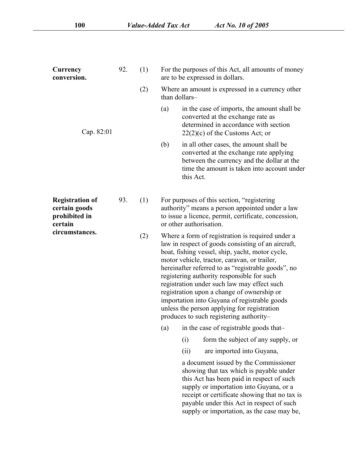| Currency<br>conversion.                                             | 92. | (1) | For the purposes of this Act, all amounts of money<br>are to be expressed in dollars.                                                                                                                                                                                                                                                                                                                                                                                                                                                                |
|---------------------------------------------------------------------|-----|-----|------------------------------------------------------------------------------------------------------------------------------------------------------------------------------------------------------------------------------------------------------------------------------------------------------------------------------------------------------------------------------------------------------------------------------------------------------------------------------------------------------------------------------------------------------|
|                                                                     |     | (2) | Where an amount is expressed in a currency other<br>than dollars-                                                                                                                                                                                                                                                                                                                                                                                                                                                                                    |
| Cap. 82:01                                                          |     |     | (a)<br>in the case of imports, the amount shall be<br>converted at the exchange rate as<br>determined in accordance with section<br>$22(2)(c)$ of the Customs Act; or                                                                                                                                                                                                                                                                                                                                                                                |
|                                                                     |     |     | (b)<br>in all other cases, the amount shall be<br>converted at the exchange rate applying<br>between the currency and the dollar at the<br>time the amount is taken into account under<br>this Act.                                                                                                                                                                                                                                                                                                                                                  |
| <b>Registration of</b><br>certain goods<br>prohibited in<br>certain | 93. | (1) | For purposes of this section, "registering<br>authority" means a person appointed under a law<br>to issue a licence, permit, certificate, concession,<br>or other authorisation.                                                                                                                                                                                                                                                                                                                                                                     |
| circumstances.                                                      |     | (2) | Where a form of registration is required under a<br>law in respect of goods consisting of an aircraft,<br>boat, fishing vessel, ship, yacht, motor cycle,<br>motor vehicle, tractor, caravan, or trailer,<br>hereinafter referred to as "registrable goods", no<br>registering authority responsible for such<br>registration under such law may effect such<br>registration upon a change of ownership or<br>importation into Guyana of registrable goods<br>unless the person applying for registration<br>produces to such registering authority- |
|                                                                     |     |     | (a) in the case of registrable goods that-                                                                                                                                                                                                                                                                                                                                                                                                                                                                                                           |
|                                                                     |     |     | form the subject of any supply, or<br>(i)                                                                                                                                                                                                                                                                                                                                                                                                                                                                                                            |
|                                                                     |     |     | (ii)<br>are imported into Guyana,                                                                                                                                                                                                                                                                                                                                                                                                                                                                                                                    |
|                                                                     |     |     | a document issued by the Commissioner<br>showing that tax which is payable under<br>this Act has been paid in respect of such<br>supply or importation into Guyana, or a<br>receipt or certificate showing that no tax is<br>payable under this Act in respect of such<br>supply or importation, as the case may be,                                                                                                                                                                                                                                 |
|                                                                     |     |     |                                                                                                                                                                                                                                                                                                                                                                                                                                                                                                                                                      |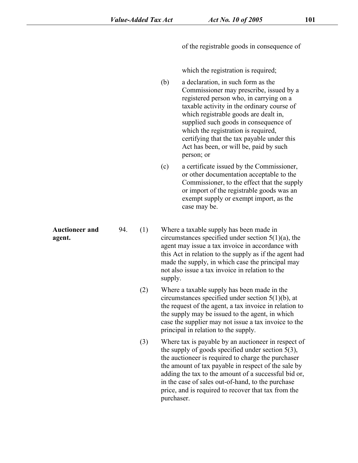of the registrable goods in consequence of

which the registration is required;

(b) a declaration, in such form as the Commissioner may prescribe, issued by a registered person who, in carrying on a taxable activity in the ordinary course of which registrable goods are dealt in, supplied such goods in consequence of which the registration is required,<br>certifying that the tax payable under this Act has been, or will be, paid by such person; or

(c) a certificate issued by the Commissioner, or other documentation acceptable to the Commissioner, to the effect that the supply or import of the registrable goods was an exempt supply or exempt import, as the case may be.

**Auctioneer and** 94. (1) Where a taxable supply has been made in Auctioneer and 94. (1) Where a taxable supply has been made in<br>
agent. circumstances specified under section [5\(1\)\(a\)](s), the agent may issue a tax invoice in accordance with this Act in relation to the supply as if the agent had made the supply, in which case the principal may not also issue a tax invoice in relation to the supply.

> (2) Where a taxable supply has been made in the circumstances specified under section [5\(1\)\(b\),](s) at the requestof the agent, a tax invoice in relation to the supply may be issued to the agent, in which case the supplier may not issue a tax invoice to the principal in relation to the supply.

> (3) Where tax is payable by an auctioneer in respect of the supply of goods specified under section [5\(3\)](s), the auctioneer is required to charge the purchaser the amount of tax payable in respect of the sale by adding the tax to the amount of a successful bid or, in the case of sales out-of-hand, to the purchase price, and is required to recover that tax from the purchaser.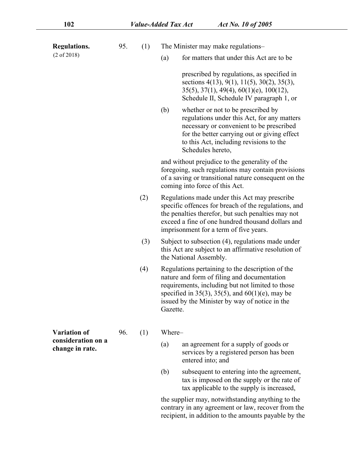| Regulations.                                                 | 95. | (1) | The Minister may make regulations-                                                                                                                                                                                                                                      |
|--------------------------------------------------------------|-----|-----|-------------------------------------------------------------------------------------------------------------------------------------------------------------------------------------------------------------------------------------------------------------------------|
| $(2 \text{ of } 2018)$                                       |     |     | for matters that under this Act are to be<br>(a)                                                                                                                                                                                                                        |
|                                                              |     |     | prescribed by regulations, as specified in<br>sections $4(13)$ , $9(1)$ , $11(5)$ , $30(2)$ , $35(3)$ ,<br>$35(5)$ , $37(1)$ , $49(4)$ , $60(1)(e)$ , $100(12)$ ,<br>Schedule II, Schedule IV paragraph 1, or                                                           |
|                                                              |     |     | whether or not to be prescribed by<br>(b)<br>regulations under this Act, for any matters<br>necessary or convenient to be prescribed<br>for the better carrying out or giving effect<br>to this Act, including revisions to the<br>Schedules hereto,                    |
|                                                              |     |     | and without prejudice to the generality of the<br>foregoing, such regulations may contain provisions<br>of a saving or transitional nature consequent on the<br>coming into force of this Act.                                                                          |
|                                                              |     | (2) | Regulations made under this Act may prescribe<br>specific offences for breach of the regulations, and<br>the penalties therefor, but such penalties may not<br>exceed a fine of one hundred thousand dollars and<br>imprisonment for a term of five years.              |
|                                                              |     | (3) | Subject to subsection (4), regulations made under<br>this Act are subject to an affirmative resolution of<br>the National Assembly.                                                                                                                                     |
|                                                              |     | (4) | Regulations pertaining to the description of the<br>nature and form of filing and documentation<br>requirements, including but not limited to those<br>specified in 35(3), 35(5), and $60(1)(e)$ , may be<br>issued by the Minister by way of notice in the<br>Gazette. |
| <b>Variation of</b><br>consideration on a<br>change in rate. | 96. | (1) | Where-                                                                                                                                                                                                                                                                  |
|                                                              |     |     | (a)<br>an agreement for a supply of goods or<br>services by a registered person has been<br>entered into; and                                                                                                                                                           |
|                                                              |     |     | (b)<br>subsequent to entering into the agreement,<br>tax is imposed on the supply or the rate of<br>tax applicable to the supply is increased,                                                                                                                          |
|                                                              |     |     | والقراط والمستوا والقوم ومواجه والمستقر والفتومة والمواجه والمحموم والموازان                                                                                                                                                                                            |

the supplier may, notwithstanding anything to the contrary in any agreement or law, recover from the recipient, in addition to the amounts payable by the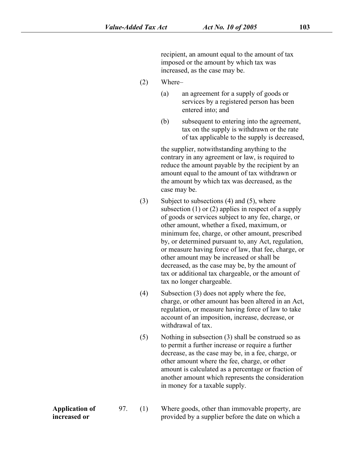recipient, an amount equal to the amount of tax imposed or the amount by which tax was increased, as the case may be.

- (2) Where–
	- (a) an agreement for a supply of goods or services by a registered person has been entered into; and
	- (b) subsequent to entering into the agreement, tax on the supply is withdrawn or the rate of tax applicable to the supply is decreased,

the supplier, notwithstanding anything to the contrary in any agreement or law, is required to reduce the amount payable by the recipient by an amount equal to the amount of tax withdrawn or the amount by which tax was decreased, as the case may be.

- $(3)$  Subject to subsections  $(4)$  and  $(5)$ , where subsection [\(1\)](s) or [\(2\)](s) applies in respect of a supply of goods or services subject to any fee, charge, or other amount, whether a fixed, maximum, or minimum fee, charge, or other amount, prescribed by, or determined pursuant to, any Act, regulation, or measure having force of law, that fee, charge, or other amount may be increased or shall be decreased, as the case may be, by the amount of tax or additional tax chargeable, or the amount of tax no longer chargeable.
- (4) Subsection [\(3\)](s) does not apply where the fee, charge, or other amount has been altered in an Act, regulation, or measure having force of law to take account of an imposition, increase, decrease, or withdrawal of tax.
- (5) Nothing in subsection [\(3\)](s) shall be construed so as to permit a further increase or require a further decrease, as the case may be, in a fee, charge, or other amount where the fee, charge, or other amount is calculated as a percentage or fraction of another amount which represents the consideration in money for a taxable supply.

**Application of** 97. (1) **increased or** Where goods, other than immovable property, are provided by a supplier before the date on which a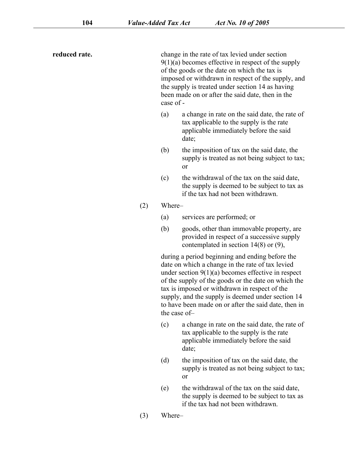**reduced rate.** change in the rate of tax levied under section  $9(1)(a)$  becomes effective in respect of the supply of the goods or the date on which the tax is imposed or withdrawn in respect of the supply, and the supply is treated under section [14](s) as having been made on or after the said date, then in the case of - (a) a change in rate on the said date, the rate of tax applicable to the supply is the rate applicable immediately before the said date;

- (b) the imposition of tax on the said date, the supply is treated as not being subject to tax; or
- (c) the withdrawal of the tax on the said date, the supply is deemed to be subject to tax as if the tax had not been withdrawn.
- (2) Where–
	- (a) services are performed; or
	- (b) goods, other than immovable property, are provided in respect of a successive supply contemplated in section [14\(8\)](s) or [\(9\)](s),

during a period beginning and ending before the date on which a change in the rate of tax levied under section [9\(1\)\(a\)](s) becomes effective in respect of the supply of the goods or the date on which the tax is imposed or withdrawn in respect of the supply, and the supply is deemed under section [14](s) to have been made on or after the said date, then in the case of–

- (c) a change in rate on the said date, the rate of tax applicable to the supply is the rate applicable immediately before the said date;
- (d) the imposition of tax on the said date, the supply is treated as not being subject to tax; or
- (e) the withdrawal of the tax on the said date, the supply is deemed to be subject to tax as if the tax had not been withdrawn.
- (3) Where–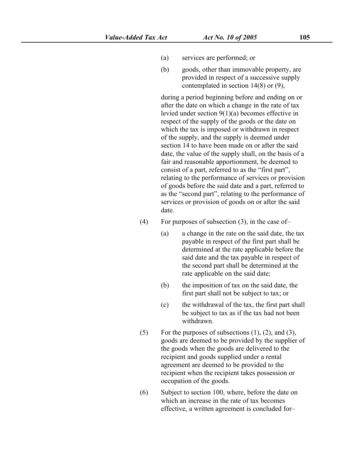- (a) services are performed; or
- (b) goods, other than immovable property, are provided in respect of a successive supply contemplated in section [14\(8\)](s) or [\(9\)](s),

during a period beginning before and ending on or after the date on which a change in the rate of tax levied under section [9\(1\)\(a\)](s) becomes effective in respect of the supply of the goods or the date on which the tax is imposed or withdrawn in respect of the supply, and the supply is deemed under section [14](s) to have been made on or after the said date, the value of the supply shall, on the basis of a fair and reasonable apportionment, be deemed to consist of a part, referred to as the "first part", relating to the performance of services or provision of goods before the said date and a part, referred to as the "second part", relating to the performance of services or provision of goods on or after the said date.

- (4) For purposes of subsection  $(3)$ , in the case of-
	- (a) a change in the rate on the said date, the tax payable in respect of the first part shall be determined at the rate applicable before the said date and the tax payable in respect of the second part shall be determined at the rate applicable on the said date;
	- (b) the imposition of tax on the said date, the first part shall not be subject to tax; or
	- (c) the withdrawal of the tax, the first part shall be subject to tax as if the tax had not been withdrawn.
- (5) For the purposes of subsections  $(1)$ ,  $(2)$ , and  $(3)$ , goods are deemed to be provided by the supplier of the goods when the goods are delivered to the recipient and goods supplied under a rental agreement are deemed to be provided to the recipient when the recipient takes possession or occupation of the goods.
- (6) Subject to section [100,](s) where, before the date on which an increase in the rate of tax becomes effective, a written agreement is concluded for–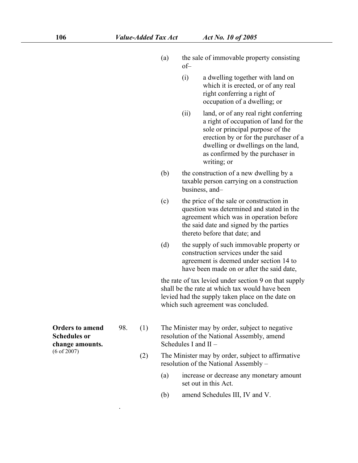- (a) the sale of immovable property consisting of–
	- (i) a dwelling together with land on which it is erected, or of any real right conferring a right of occupation of a dwelling; or
	- (ii) land, or of any real right conferring a right of occupation of land for the sole or principal purpose of the erection by or for the purchaser of a dwelling or dwellings on the land, as confirmed by the purchaser in writing; or
- (b) the construction of a new dwelling by a taxable person carrying on a construction business, and–
- (c) the price of the sale or construction in question was determined and stated in the agreement which was in operation before the said date and signed by the parties thereto before that date; and
- (d) the supply of such immovable property or construction services under the said agreement is deemed under section [14](s) to have been made on or after the said date,

the rate of tax levied under section [9](s) on that supply shall be the rate at which tax would have been levied had the supply taken place on the date on which such agreement was concluded.

- The Minister may by order, subject to negative resolution of the National Assembly, amend Schedules I and II –
- (2) The Minister may by order, subject to affirmative resolution of the National Assembly –
	- (a) increase or decrease any monetary amount set out in this Act.
	- (b) amend Schedules III, IV and V.
- **Orders to amend** 98. (1) **Schedules or change amounts.** (6 of 2007)

.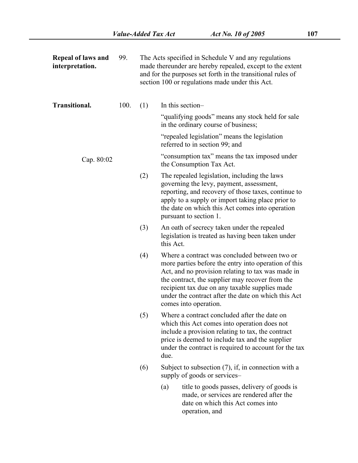| Repeal of laws and<br>interpretation. | 99.  |     | The Acts specified in Schedule V and any regulations<br>made thereunder are hereby repealed, except to the extent<br>and for the purposes set forth in the transitional rules of<br>section 100 or regulations made under this Act.                                                                                                             |
|---------------------------------------|------|-----|-------------------------------------------------------------------------------------------------------------------------------------------------------------------------------------------------------------------------------------------------------------------------------------------------------------------------------------------------|
| <b>Transitional.</b>                  | 100. | (1) | In this section-                                                                                                                                                                                                                                                                                                                                |
|                                       |      |     | "qualifying goods" means any stock held for sale<br>in the ordinary course of business;                                                                                                                                                                                                                                                         |
|                                       |      |     | "repealed legislation" means the legislation<br>referred to in section 99; and                                                                                                                                                                                                                                                                  |
| Cap. 80:02                            |      |     | "consumption tax" means the tax imposed under<br>the Consumption Tax Act.                                                                                                                                                                                                                                                                       |
|                                       |      | (2) | The repealed legislation, including the laws<br>governing the levy, payment, assessment,<br>reporting, and recovery of those taxes, continue to<br>apply to a supply or import taking place prior to<br>the date on which this Act comes into operation<br>pursuant to section 1.                                                               |
|                                       |      | (3) | An oath of secrecy taken under the repealed<br>legislation is treated as having been taken under<br>this Act.                                                                                                                                                                                                                                   |
|                                       |      | (4) | Where a contract was concluded between two or<br>more parties before the entry into operation of this<br>Act, and no provision relating to tax was made in<br>the contract, the supplier may recover from the<br>recipient tax due on any taxable supplies made<br>under the contract after the date on which this Act<br>comes into operation. |
|                                       |      | (5) | Where a contract concluded after the date on<br>which this Act comes into operation does not<br>include a provision relating to tax, the contract<br>price is deemed to include tax and the supplier<br>under the contract is required to account for the tax<br>due.                                                                           |
|                                       |      | (6) | Subject to subsection $(7)$ , if, in connection with a<br>supply of goods or services-                                                                                                                                                                                                                                                          |
|                                       |      |     | title to goods passes, delivery of goods is<br>(a)<br>made, or services are rendered after the<br>date on which this Act comes into<br>operation, and                                                                                                                                                                                           |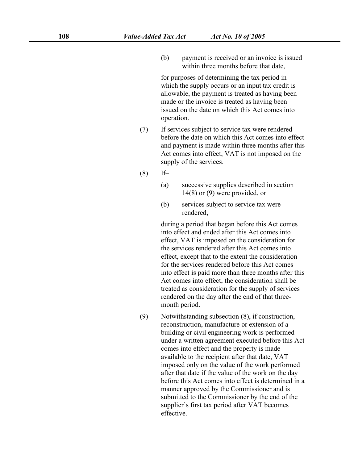(b) payment is received or an invoice is issued within three months before that date,

for purposes of determining the tax period in which the supply occurs or an input tax credit is allowable, the payment is treated as having been made or the invoice is treated as having been issued on the date on which this Act comes into operation.

- (7) If services subject to service tax were rendered before the date on which this Act comes into effect and payment is made within three months after this Act comes into effect, VAT is not imposed on the supply of the services.
- (8) If–
	- (a) successive supplies described in section [14\(8\)](s) or [\(9\)](s) were provided, or
	- (b) services subject to service tax were rendered,

during a period that began before this Act comes into effect and ended after this Act comes into effect, VAT is imposed on the consideration for the services rendered after this Act comes into effect, except that to the extent the consideration for the services rendered before this Act comes into effect is paid more than three months after this Act comes into effect, the consideration shall be treated as consideration for the supply of services rendered on the day after the end of that three month period.

(9) Notwithstanding subsection (8), if construction, reconstruction, manufacture or extension of a building or civil engineering work is performed under a written agreement executed before this Act comes into effect and the property is made available to the recipient after that date, VAT imposed only on the value of the work performed after that date if the value of the work on the day before this Act comes into effect is determined in a manner approved by the Commissioner and is submitted to the Commissioner by the end of the supplier's first tax period after VAT becomes effective.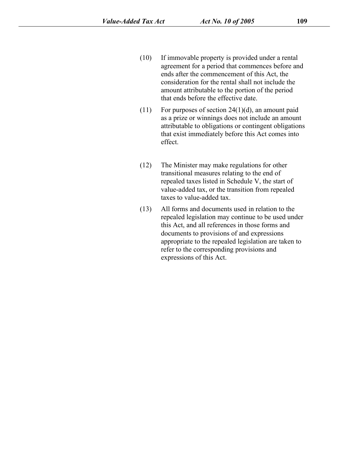- (10) If immovable property is provided under a rental agreement for a period that commences before and ends after the commencement of this Act, the consideration for the rental shall not include the amount attributable to the portion of the period that ends before the effective date.
- $(11)$  For purposes of section 24 $(1)(d)$ , an amount paid as a prize or winnings does not include an amount attributable to obligations or contingent obligations that exist immediately before this Act comes into effect.
- (12) The Minister may make regulations for other transitional measures relating to the end of repealed taxes listed in [Schedule](s) V, the start of value-added tax, or the transition from repealed taxes to value-added tax.
- (13) All forms and documents used in relation to the repealed legislation may continue to be used under this Act, and all references in those forms and documents to provisions of and expressions appropriate to the repealed legislation are taken to refer to the corresponding provisions and expressions of this Act.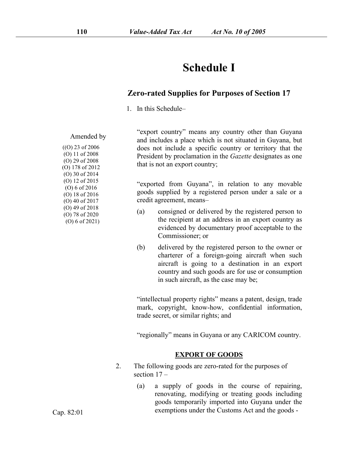## **Schedule I**

### **Zero-rated Supplies for Purposes of Section 17**

1. In this Schedule–

Amended by

 $((O) 23 of 2006)$ (O) 11 of 2008 (O) 29 of 2008 (O) 178 of 2012 (O) 30 of 2014 (O) 12 of 2015 (O) 6 of 2016 (O) 18 of 2016 (O) 40 of 2017 (O) 49 of 2018 (a) (O) 78 of 2020

(O) 6 of 2021)

"export country" means any country other than Guyana and includes a place which is not situated in Guyana, but does not include a specific country or territory that the President by proclamation in the *Gazette* designates as one that is not an export country;

"exported from Guyana", in relation to any movable goods supplied by a registered person under a sale or a credit agreement, means–

- consigned or delivered by the registered person to the recipient at an address in an export country as evidenced by documentary proof acceptable to the Commissioner; or
- (b) delivered by the registered person to the owner or charterer of a foreign-going aircraft when such aircraft is going to a destination in an export country and such goods are for use or consumption in such aircraft, as the case may be;

"intellectual property rights" means a patent, design, trade mark, copyright, know-how, confidential information, trade secret, or similar rights; and

"regionally" means in Guyana or any CARICOM country.

#### **EXPORT OF GOODS**

- 2. The following goods are zero-rated for the purposes of section 17 –
	- (a) a supply of goods in the course of repairing, renovating, modifying or treating goods including goods temporarily imported into Guyana under the exemptions under the Customs Act and the goods -

Cap. 82:01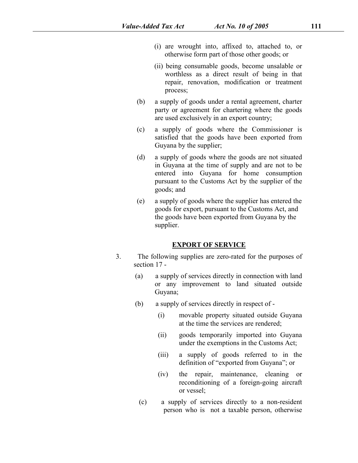- (i) are wrought into, affixed to, attached to, or otherwise form part of those other goods; or
- (ii) being consumable goods, become unsalable or worthless as a direct result of being in that repair, renovation, modification or treatment process;
- (b) a supply of goods under a rental agreement, charter party or agreement for chartering where the goods are used exclusively in an export country;
- (c) a supply of goods where the Commissioner is satisfied that the goods have been exported from Guyana by the supplier;
- (d) a supply of goods where the goods are not situated in Guyana at the time of supply and are not to be entered into Guyana for home consumption pursuant to the Customs Act by the supplier of the goods; and
- (e) a supply of goods where the supplier has entered the goods for export, pursuant to the Customs Act, and the goods have been exported from Guyana by the supplier.

#### **EXPORT OF SERVICE**

- 3. The following supplies are zero-rated for the purposes of section 17 -
	- (a) a supply of services directly in connection with land or any improvement to land situated outside Guyana;
	- (b) a supply of services directly in respect of
		- (i) movable property situated outside Guyana at the time the services are rendered;
		- (ii) goods temporarily imported into Guyana under the exemptions in the Customs Act;
		- (iii) a supply of goods referred to in the definition of "exported from Guyana"; or
		- (iv) the repair, maintenance, cleaning or reconditioning of a foreign-going aircraft or vessel;
	- (c) a supply of services directly to a non-resident person who is not a taxable person, otherwise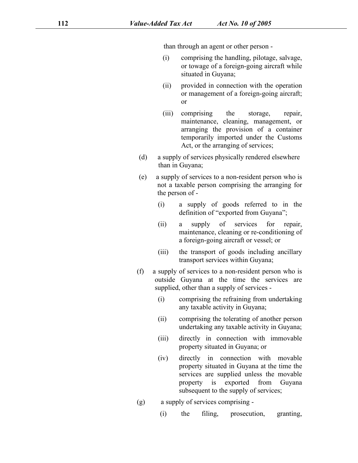than through an agent or other person -

- (i) comprising the handling, pilotage, salvage, or towage of a foreign-going aircraft while situated in Guyana;
- (ii) provided in connection with the operation or management of a foreign-going aircraft; or
- (iii) comprising the storage, repair, maintenance, cleaning, management, or arranging the provision of a container temporarily imported under the Customs Act, or the arranging of services;
- (d) a supply of services physically rendered elsewhere than in Guyana;
- (e) a supply of services to a non-resident person who is not a taxable person comprising the arranging for the person of -
	- (i) a supply of goods referred to in the definition of "exported from Guyana";
	- (ii) a supply of services for repair, maintenance, cleaning or re-conditioning of a foreign-going aircraft or vessel; or
	- (iii) the transport of goods including ancillary transport services within Guyana;
- (f) a supply of services to a non-resident person who is outside Guyana at the time the services are supplied, other than a supply of services -
	- (i) comprising the refraining from undertaking any taxable activity in Guyana;
	- (ii) comprising the tolerating of another person undertaking any taxable activity in Guyana;
	- (iii) directly in connection with immovable property situated in Guyana; or
	- (iv) directly in connection with movable property situated in Guyana at the time the services are supplied unless the movable property is exported from Guyana subsequent to the supply of services;
- (g) a supply of services comprising
	- (i) the filing, prosecution, granting,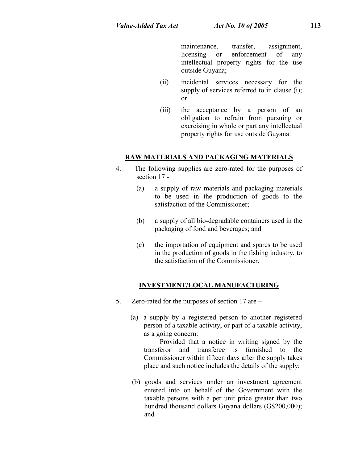maintenance, transfer, assignment, licensing or enforcement of any intellectual property rights for the use outside Guyana;

- (ii) incidental services necessary for the supply of services referred to in clause (i); or
- (iii) the acceptance by a person of an obligation to refrain from pursuing or exercising in whole or part any intellectual property rights for use outside Guyana.

#### **RAW MATERIALS AND PACKAGING MATERIALS**

- 4. The following supplies are zero-rated for the purposes of section 17 -
	- (a) a supply of raw materials and packaging materials to be used in the production of goods to the satisfaction of the Commissioner;
	- (b) a supply of all bio-degradable containers used in the packaging of food and beverages; and
	- (c) the importation of equipment and spares to be used in the production of goods in the fishing industry, to the satisfaction of the Commissioner.

### **INVESTMENT/LOCAL MANUFACTURING**

- 5. Zero-rated for the purposes of section  $17$  are  $-$ 
	- (a) a supply by a registered person to another registered person of a taxable activity, or part of a taxable activity, as a going concern:

Provided that a notice in writing signed by the transferor and transferee is furnished to the Commissioner within fifteen daysafter the supply takes place and such notice includes the details of the supply;

(b) goods and services under an investment agreement entered into on behalf of the Government with the taxable persons with a per unit price greater than two hundred thousand dollars Guyana dollars (G\$200,000); and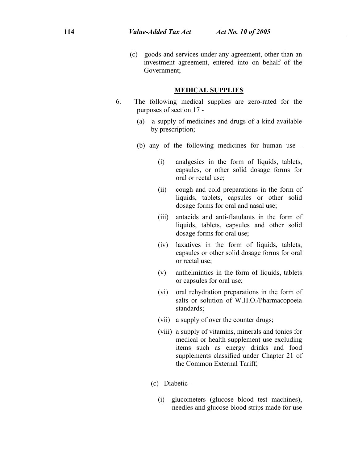(c) goods and services under any agreement, other than an investment agreement, entered into on behalf of the Government;

#### **MEDICAL SUPPLIES**

- 6. The following medical supplies are zero-rated for the purposes of section 17 -
	- (a) a supply of medicines and drugs of a kind available by prescription;
	- (b) any of the following medicines for human use
		- (i) analgesics in the form of liquids, tablets, capsules, or other solid dosage forms for oral or rectal use;
		- (ii) cough and cold preparations in the form of liquids, tablets, capsules or other solid dosage forms for oral and nasal use;
		- (iii) antacids and anti-flatulants in the form of liquids, tablets, capsules and other solid dosage forms for oral use;
		- (iv) laxatives in the form of liquids, tablets, capsules or other solid dosage forms for oral or rectal use;
		- (v) anthelmintics in the form of liquids, tablets or capsules for oral use;
		- (vi) oral rehydration preparations in the form of salts or solution of W.H.O./Pharmacopoeia standards;
		- (vii) a supply of over the counter drugs;
		- (viii) a supply of vitamins, minerals and tonics for medical or health supplement use excluding items such as energy drinks and food supplements classified under Chapter 21 of the Common External Tariff;
		- (c) Diabetic
			- (i) glucometers (glucose blood test machines), needles and glucose blood strips made for use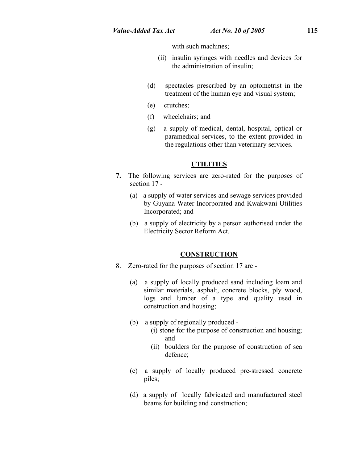with such machines;

- (ii) insulin syringes with needles and devices for the administration of insulin;
- (d) spectacles prescribed by an optometrist in the treatment of the human eye and visual system;
- (e) crutches;
- (f) wheelchairs; and
- (g) a supply of medical, dental, hospital, optical or paramedical services, to the extent provided in the regulations other than veterinary services.

#### **UTILITIES**

- **7.** The following services are zero-rated for the purposes of section 17 -
	- (a) a supply of water services and sewage services provided by Guyana Water Incorporated and Kwakwani Utilities Incorporated; and
	- (b) a supply of electricity by a person authorised under the Electricity Sector Reform Act.

#### **CONSTRUCTION**

- 8. Zero-rated for the purposes of section 17 are -
	- (a) a supply of locally produced sand including loam and similar materials, asphalt, concrete blocks, ply wood, logs and lumber of a type and quality used in construction and housing;
	- (b) a supply of regionally produced
		- (i) stone for the purpose of construction and housing; and
		- (ii) boulders for the purpose of construction of sea defence;
	- (c) a supply of locally produced pre-stressed concrete piles;
	- (d) a supply of locally fabricated and manufactured steel beams for building and construction;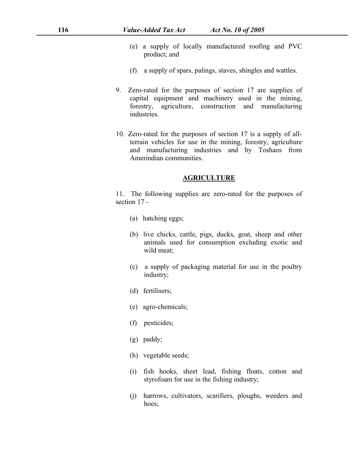- (e) a supply of locally manufactured roofing and PVC product; and
- (f) a supply of spars, palings, staves, shingles and wattles.
- 9. Zero-rated for the purposes of section 17 are supplies of capital equipment and machinery used in the mining, forestry, agriculture, construction and manufacturing industries.
- 10. Zero-rated for the purposes of section 17 is a supply of allterrain vehicles for use in the mining, forestry, agriculture and manufacturing industries and by Toshaos from Amerindian communities.

#### **AGRICULTURE**

11. The following supplies are zero-rated for the purposes of section 17 -

- (a) hatching eggs;
- (b) live chicks, cattle, pigs, ducks, goat, sheep and other animals used for consumption excluding exotic and wild meat;
- (c) a supply of packaging material for use in the poultry industry;
- (d) fertilisers;
- (e) agro-chemicals;
- (f) pesticides;
- (g) paddy;
- (h) vegetable seeds;
- (i) fish hooks, sheet lead, fishing floats, cotton and styrofoam for use in the fishing industry;
- (j) harrows, cultivators, scarifiers, ploughs, weeders and hoes;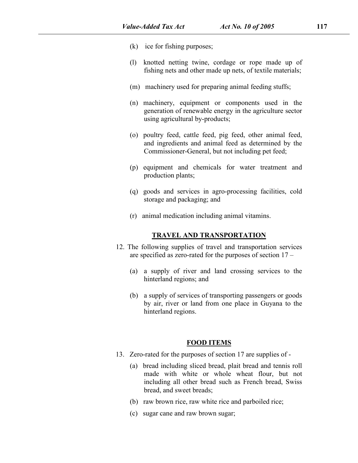- (k) ice for fishing purposes;
- (l) knotted netting twine, cordage or rope made up of fishing nets and other made up nets, of textile materials;
- (m) machinery used for preparing animal feeding stuffs;
- (n) machinery, equipment or components used in the generation of renewable energy in the agriculture sector using agricultural by-products;
- (o) poultry feed, cattle feed, pig feed, other animal feed, and ingredients and animal feed as determined by the Commissioner-General, but not including pet feed;
- (p) equipment and chemicals for water treatment and production plants;
- (q) goods and services in agro-processing facilities, cold storage and packaging; and
- (r) animal medication including animal vitamins.

#### **TRAVEL AND TRANSPORTATION**

- 12. The following supplies of travel and transportation services are specified as zero-rated for the purposes of section  $17 -$ 
	- (a) a supply of river and land crossing services to the hinterland regions; and
	- (b) a supply of services of transporting passengers or goods by air, river or land from one place in Guyana to the hinterland regions.

#### **FOOD ITEMS**

- 13. Zero-rated for the purposes of section 17 are supplies of
	- (a) bread including sliced bread, plait bread and tennis roll made with white or whole wheat flour, but not including all other bread such as French bread, Swiss bread, and sweet breads;
	- (b) raw brown rice, raw white rice and parboiled rice;
	- (c) sugar cane and raw brown sugar;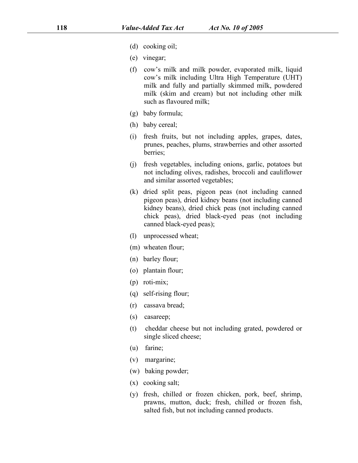- (d) cooking oil;
- (e) vinegar;
- (f) cow's milk and milk powder, evaporated milk, liquid cow's milk including Ultra High Temperature (UHT) milk and fully and partially skimmed milk, powdered milk (skim and cream) but not including other milk such as flavoured milk;
- (g) baby formula;
- (h) baby cereal;
- (i) fresh fruits, but not including apples, grapes, dates, prunes, peaches, plums, strawberries and other assorted berries;
- (j) fresh vegetables, including onions, garlic, potatoes but not including olives, radishes, broccoli and cauliflower and similar assorted vegetables;
- $(k)$  dried split peas, pigeon peas (not including canned pigeon peas), dried kidney beans (not including canned kidney beans), dried chick peas (not including canned chick peas), dried black-eyed peas (not including canned black-eyed peas);
- (l) unprocessed wheat;
- (m) wheaten flour;
- (n) barley flour;
- (o) plantain flour;
- (p) roti-mix;
- (q) self-rising flour;
- (r) cassava bread;
- (s) casareep;
- (t) cheddar cheese but not including grated, powdered or single sliced cheese;
- (u) farine;
- (v) margarine;
- (w) baking powder;
- (x) cooking salt;
- (y) fresh, chilled or frozen chicken, pork, beef, shrimp, prawns, mutton, duck; fresh, chilled or frozen fish, salted fish, but not including canned products.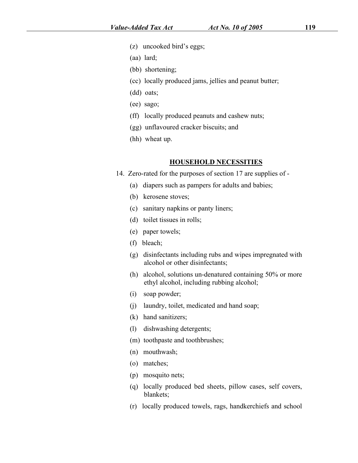- (z) uncooked bird's eggs;
- (aa) lard;
- (bb) shortening;
- (cc) locally produced jams, jellies and peanut butter;
- (dd) oats;
- (ee) sago;
- (ff) locally produced peanuts and cashew nuts;
- (gg) unflavoured cracker biscuits; and
- (hh) wheat up.

#### **HOUSEHOLD NECESSITIES**

- 14. Zero-rated for the purposes of section 17 are supplies of -
	- (a) diapers such as pampers for adults and babies;
	- (b) kerosene stoves;
	- (c) sanitary napkins or panty liners;
	- (d) toilet tissues in rolls;
	- (e) paper towels;
	- (f) bleach;
	- (g) disinfectants including rubs and wipes impregnated with alcohol or other disinfectants;
	- (h) alcohol, solutions un-denatured containing 50% or more ethyl alcohol, including rubbing alcohol;
	- (i) soap powder;
	- (j) laundry, toilet, medicated and hand soap;
	- (k) hand sanitizers;
	- (l) dishwashing detergents;
	- (m) toothpaste and toothbrushes;
	- (n) mouthwash;
	- (o) matches;
	- (p) mosquito nets;
	- (q) locally produced bed sheets, pillow cases, self covers, blankets;
	- (r) locally produced towels, rags, handkerchiefs and school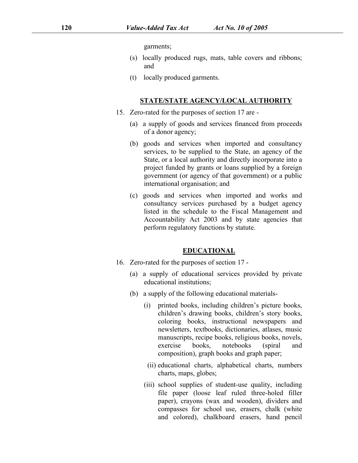garments;

- (s) locally produced rugs, mats, table covers and ribbons; and
- (t) locally produced garments.

#### **STATE/STATE AGENCY/LOCAL AUTHORITY**

- 15. Zero-rated for the purposes of section 17 are -
	- (a) a supply of goods and services financed from proceeds of a donor agency;
	- (b) goods and services when imported and consultancy services, to be supplied to the State, an agency of the State, or a local authority and directly incorporate into a project funded by grants or loans supplied by a foreign government (or agency of that government) or a public international organisation; and
	- (c) goods and services when imported and works and consultancy services purchased by a budget agency listed in the schedule to the Fiscal Management and Accountability Act 2003 and by state agencies that perform regulatory functions by statute.

#### **EDUCATIONAL**

- 16. Zero-rated for the purposes of section 17 -
	- (a) a supply of educational services provided by private educational institutions;
	- (b) a supply of the following educational materials-
		- (i) printed books, including children's picture books, children's drawing books, children's story books, coloring books, instructional newspapers and newsletters, textbooks, dictionaries, atlases, music manuscripts, recipe books, religious books, novels, exercise books, notebooks (spiral and composition), graph books and graph paper;
		- (ii) educational charts, alphabetical charts, numbers charts, maps, globes;
		- (iii) school supplies of student-use quality, including file paper (loose leaf ruled three-holed filler paper), crayons (wax and wooden), dividers and compasses for school use, erasers, chalk (white and colored), chalkboard erasers, hand pencil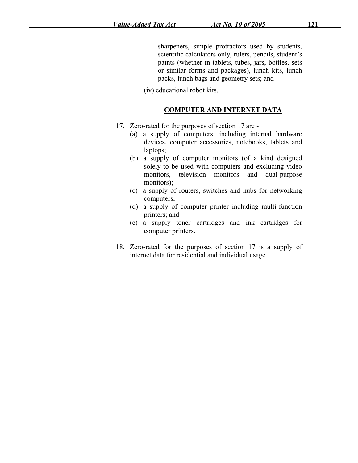sharpeners, simple protractors used by students, scientific calculators only, rulers, pencils, student's paints (whether in tablets, tubes, jars, bottles, sets or similar forms and packages), lunch kits, lunch packs, lunch bags and geometry sets; and

(iv) educational robot kits.

#### **COMPUTER AND INTERNET DATA**

- 17. Zero-rated for the purposes of section 17 are -
	- (a) a supply of computers, including internal hardware devices, computer accessories, notebooks, tablets and laptops;
	- (b) a supply of computer monitors (of a kind designed solely to be used with computers and excluding video monitors, television monitors and dual-purpose monitors);
	- (c) a supply of routers, switches and hubs for networking computers;
	- (d) a supply of computer printer including multi-function printers; and
	- (e) a supply toner cartridges and ink cartridges for computer printers.
- 18. Zero-rated for the purposes of section 17 is a supply of internet data for residential and individual usage.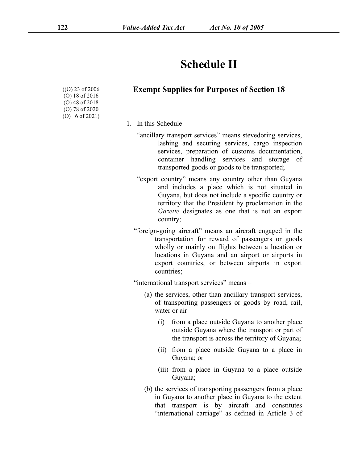## **Schedule II**

| ((O) 23 of 2006)           | Exem |
|----------------------------|------|
| $(O)$ 18 of 2016           |      |
| $(O)$ 48 of 2018           |      |
| $(O)$ 78 of 2020           |      |
| (O) $6 \text{ of } 2021$ ) |      |

## ((O) 23 of 2006 **Exempt Supplies for Purposes of Section 18**

- 1. In this Schedule–
	- "ancillary transport services" means stevedoring services, lashing and securing services, cargo inspection services, preparation of customs documentation, container handling services and storage of transported goods or goods to be transported;
	- "export country" means any country other than Guyana and includes a place which is not situated in Guyana, but does not include a specific country or territory that the President by proclamation in the *Gazette* designates as one that is not an export country;
	- "foreign-going aircraft" means an aircraft engaged in the transportation for reward of passengers or goods wholly or mainly on flights between a location or locations in Guyana and an airport or airports in export countries, or between airports in export countries;

"international transport services" means -

- (a) the services, other than ancillary transport services, of transporting passengers or goods by road, rail, water or air –
	- (i) from a place outside Guyana to another place outside Guyana where the transport or part of the transport is across the territory of Guyana;
	- (ii) from a place outside Guyana to a place in Guyana; or
	- (iii) from a place in Guyana to a place outside Guyana;
- (b) the services of transporting passengers from a place in Guyana to another place in Guyana to the extent that transport is by aircraft and constitutes "international carriage" as defined in Article 3 of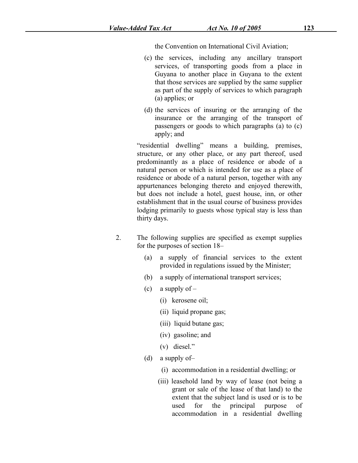the Convention on International Civil Aviation;

- (c) the services, including any ancillary transport services, of transporting goods from a place in Guyana to another place in Guyana to the extent that those services are supplied by the same supplier as part of the supply of services to which paragraph (a) applies; or
- (d) the services of insuring or the arranging of the insurance or the arranging of the transport of passengers or goods to which paragraphs (a) to (c) apply; and

"residential dwelling" means a building, premises, structure, or any other place, or any part thereof, used predominantly as a place of residence or abode of a natural person or which is intended for use as a place of residence or abode of a natural person, together with any appurtenances belonging thereto and enjoyed therewith, but does not include a hotel, guest house, inn, or other establishment that in the usual course of business provides lodging primarily to guests whose typical stay is less than thirty days.

- 2. The following supplies are specified as exempt supplies for the purposes of section  $18-$ 
	- (a) a supply of financial services to the extent provided in regulations issued by the Minister;
	- (b) a supply of international transport services;
	- (c) a supply of  $-$ 
		- (i) kerosene oil;
		- (ii) liquid propane gas;
		- (iii) liquid butane gas;
		- (iv) gasoline; and
		- (v) diesel."
	- (d) a supply of–
		- (i) accommodation in a residential dwelling; or
		- (iii) leasehold land by way of lease (not being a grant or sale of the lease of that land) to the extent that the subject land is used or is to be used for the principal purpose of accommodation in a residential dwelling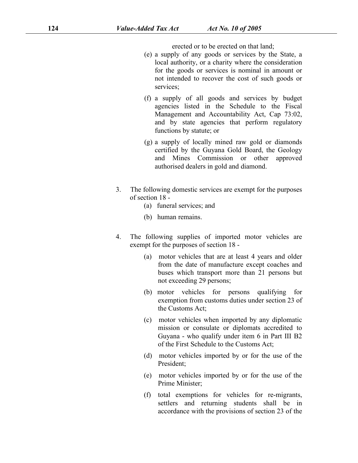erected or to be erected on that land;

- (e) a supply of any goods or services by the State, a local authority, or a charity where the consideration for the goods or services is nominal in amount or not intended to recover the cost of such goods or services;
- (f) a supply of all goods and services by budget agencies listed in the Schedule to the Fiscal Management and Accountability Act, Cap 73:02, and by state agencies that perform regulatory functions by statute; or
- (g) a supply of locally mined raw gold or diamonds certified by the Guyana Gold Board, the Geology and Mines Commission or other approved authorised dealers in gold and diamond.
- 3. The following domestic services are exempt for the purposes of section 18 -
	- (a) funeral services; and
	- (b) human remains.
- 4. The following supplies of imported motor vehicles are exempt for the purposes of section 18 -
	- (a) motor vehicles that are at least 4 years and older from the date of manufacture except coaches and buses which transport more than 21 persons but not exceeding 29 persons;
	- (b) motor vehicles for persons qualifying for exemption from customs duties under section 23 of the Customs Act;
	- (c) motor vehicles when imported by any diplomatic mission or consulate or diplomats accredited to Guyana - who qualify under item 6 in Part III B2 of the First Schedule to the Customs Act;
	- (d) motor vehicles imported by or for the use of the President;
	- (e) motor vehicles imported by or for the use of the Prime Minister;
	- (f) total exemptions for vehicles for re-migrants, settlers and returning students shall be in accordance with the provisions of section 23 of the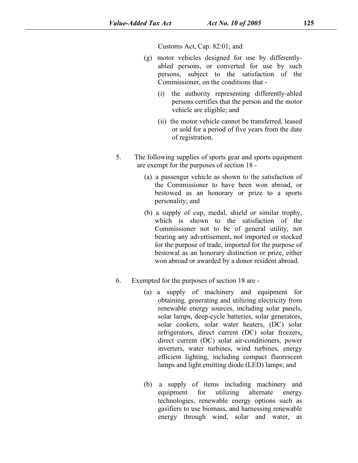Customs Act, Cap. 82:01; and

- (g) motor vehicles designed for use by differently abled persons, or converted for use by such persons, subject to the satisfaction of the Commissioner, on the conditions that -
	- (i) the authority representing differently-abled persons certifies that the person and the motor vehicle are eligible; and
	- (ii) the motor vehicle cannot be transferred, leased or sold for a period of five years from the date of registration.
- 5. The following supplies of sports gear and sports equipment are exempt for the purposes of section  $18 -$ 
	- (a) a passenger vehicle as shown to the satisfaction of the Commissioner to have been won abroad, or bestowed as an honorary or prize to a sports personality; and
	- (b) a supply of cup, medal, shield or similar trophy, which is shown to the satisfaction of the Commissioner not to be of general utility, not bearing any advertisement, not imported or stocked for the purpose of trade, imported for the purpose of bestowal as an honorary distinction or prize, either won abroad or awarded by a donor resident abroad.
- 6. Exempted for the purposes of section 18 are -
	- (a) a supply of machinery and equipment for obtaining, generating and utilizing electricity from renewable energy sources, including solar panels, solar lamps, deep-cycle batteries, solar generators, solar cookers, solar water heaters, (DC) solar refrigerators, direct current (DC) solar freezers, direct current (DC) solar air-conditioners, power inverters, water turbines, wind turbines, energy efficient lighting, including compact fluorescent lamps and light emitting diode (LED) lamps; and
	- (b) a supply of items including machinery and equipment for utilizing alternate energy technologies, renewable energy options such as gasifiers to use biomass, and harnessing renewable energy through wind, solar and water, as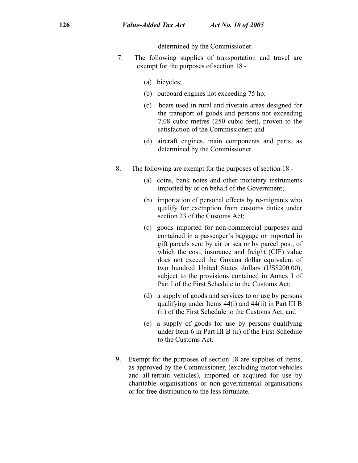determined by the Commissioner.

- 7. The following supplies of transportation and travel are exempt for the purposes of section 18 -
	- (a) bicycles;
	- (b) outboard engines not exceeding 75 hp;
	- (c) boats used in rural and riverain areas designed for the transport of goods and persons not exceeding 7.08 cubic metres (250 cubic feet), proven to the satisfaction of the Commissioner; and
	- (d) aircraft engines, main components and parts, as determined by the Commissioner.
- 8. The following are exempt for the purposes of section 18
	- (a) coins, bank notes and other monetary instruments imported by or on behalf of the Government;
	- (b) importation of personal effects by re-migrants who qualify for exemption from customs duties under section 23 of the Customs Act;
	- (c) goods imported for non-commercial purposes and contained in a passenger's baggage or imported in gift parcels sent by air or sea or by parcel post, of which the cost, insurance and freight (CIF) value does not exceed the Guyana dollar equivalent of two hundred United States dollars (US\$200.00), subject to the provisions contained in Annex I of Part I of the First Schedule to the Customs Act;
	- (d) a supply of goods and services to or use by persons qualifying under Items  $44(i)$  and  $44(ii)$  in Part III B (ii) of the First Schedule to the Customs Act; and
	- (e) a supply of goods for use by persons qualifying under Item  $6$  in Part III B (ii) of the First Schedule to the Customs Act.
- 9. Exempt for the purposes of section 18 are supplies of items, as approved by the Commissioner, (excluding motor vehicles and all-terrain vehicles), imported or acquired for use by charitable organisations or non-governmental organisations or for free distribution to the less fortunate.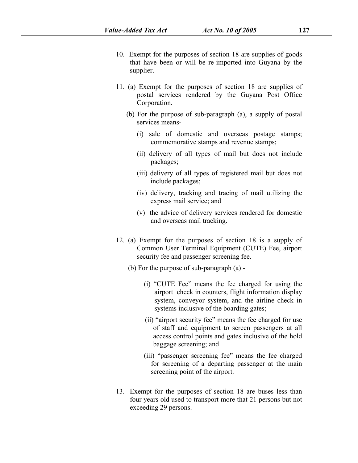- 10. Exempt for the purposes of section 18 are supplies of goods that have been or will be re-imported into Guyana by the supplier.
- 11. (a) Exempt for the purposes of section 18 are supplies of postal services rendered by the Guyana Post Office Corporation.
	- (b) For the purpose of sub-paragraph (a), a supply of postal services means-
		- (i) sale of domestic and overseas postage stamps; commemorative stamps and revenue stamps;
		- (ii) delivery of all types of mail but does not include packages;
		- (iii) delivery of all types of registered mail but does not include packages;
		- (iv) delivery, tracking and tracing of mail utilizing the express mail service; and
		- (v) the advice of delivery services rendered for domestic and overseas mail tracking.
- 12. (a) Exempt for the purposes of section 18 is a supply of Common User Terminal Equipment (CUTE) Fee, airport security fee and passenger screening fee.
	- (b) For the purpose of sub-paragraph (a)
		- (i) "CUTE Fee" means the fee charged for using the airport check in counters, flight information display system, conveyor system, and the airline check in systems inclusive of the boarding gates;
		- (ii) "airport security fee" means the fee charged for use of staff and equipment to screen passengers at all access control points and gates inclusive of the hold baggage screening; and
		- (iii) "passenger screening fee" means the fee charged for screening of a departing passenger at the main screening point of the airport.
- 13. Exempt for the purposes of section 18 are buses less than four years old used to transport more that 21 persons but not exceeding 29 persons.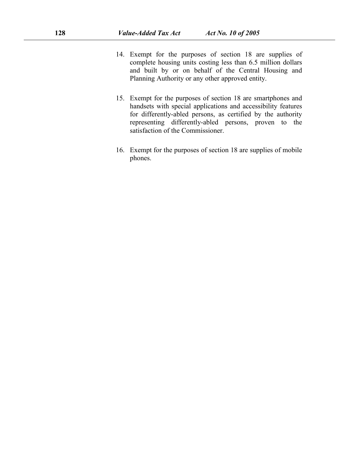- 14. Exempt for the purposes of section 18 are supplies of complete housing units costing less than 6.5 million dollars and built by or on behalf of the Central Housing and Planning Authority or any other approved entity.
- 15. Exempt for the purposes of section 18 are smartphones and handsets with special applications and accessibility features for differently-abled persons, as certified by the authority representing differently-abled persons, proven to the satisfaction of the Commissioner.
- 16. Exempt for the purposes of section 18 are supplies of mobile phones.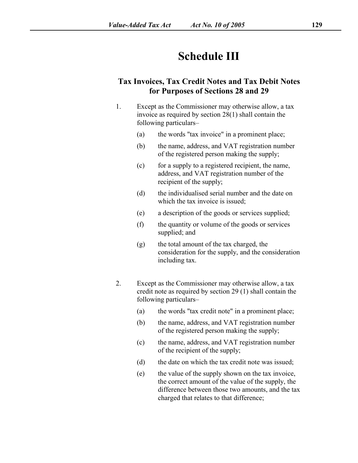## **Schedule III**

### **Tax Invoices, Tax Credit Notes and Tax Debit Notes for Purposes ofSections 28 and 29**

- 1. Except as the Commissioner may otherwise allow, a tax invoice as required by section  $28(1)$  shall contain the following particulars–
	- (a) the words "tax invoice" in a prominent place;
	- (b) the name, address, and VAT registration number of the registered person making the supply;
	- (c) for a supply to a registered recipient, the name, address, and VAT registration number of the recipient of the supply;
	- (d) the individualised serial number and the date on which the tax invoice is issued:
	- (e) a description of the goods or services supplied;
	- (f) the quantity or volume of the goods or services supplied; and
	- (g) the total amount of the tax charged, the consideration for the supply, and the consideration including tax.
- 2. Except as the Commissioner may otherwise allow, a tax credit note as required by section [29](s) [\(1\)](s) shall contain the following particulars–
	- (a) the words "tax credit note" in a prominent place;
	- (b) the name, address, and VAT registration number of the registered person making the supply;
	- (c) the name, address, and VAT registration number of the recipient of the supply;
	- (d) the date on which the tax credit note was issued;
	- (e) the value of the supply shown on the tax invoice, the correct amount of the value of the supply, the difference between those two amounts, and the tax charged that relates to that difference;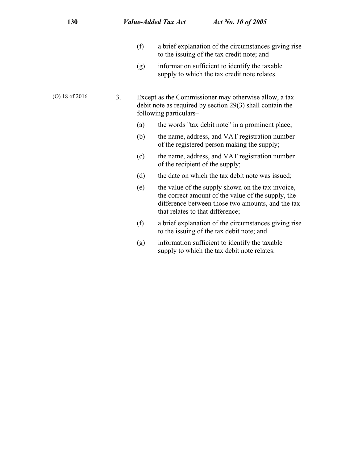- $(f)$  a brief explanation of the circumstances giving rise to the issuing of the tax credit note; and
- (g) information sufficient to identify the taxable supply to which the tax credit note relates.
- (O) 18 of 2016 3. Except as the Commissioner may otherwise allow, a tax debit note as required by section [29\(3\)](s) shall contain the following particulars–
	- (a) the words "tax debit note" in a prominent place;
	- (b) the name, address, and VAT registration number of the registered person making the supply;
	- (c) the name, address, and VAT registration number of the recipient of the supply;
	- (d) the date on which the tax debit note was issued;
	- (e) the value of the supply shown on the tax invoice, the correct amount of the value of the supply, the difference between those two amounts, and the tax that relates to that difference;
	- $(f)$  a brief explanation of the circumstances giving rise to the issuing of the tax debit note; and
	- (g) information sufficient to identify the taxable supply to which the tax debit note relates.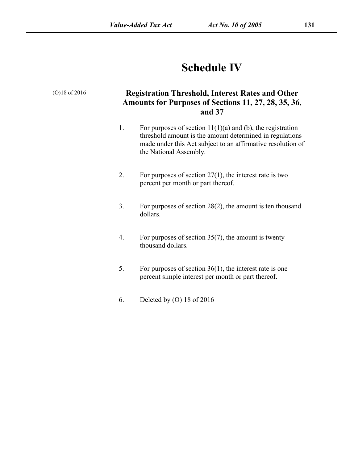# **Schedule IV**

| $(O)18$ of 2016 |    | <b>Registration Threshold, Interest Rates and Other</b><br>Amounts for Purposes of Sections 11, 27, 28, 35, 36,<br>and 37                                                                                         |  |  |
|-----------------|----|-------------------------------------------------------------------------------------------------------------------------------------------------------------------------------------------------------------------|--|--|
|                 | 1. | For purposes of section $11(1)(a)$ and (b), the registration<br>threshold amount is the amount determined in regulations<br>made under this Act subject to an affirmative resolution of<br>the National Assembly. |  |  |
|                 | 2. | For purposes of section $27(1)$ , the interest rate is two<br>percent per month or part thereof.                                                                                                                  |  |  |
|                 | 3. | For purposes of section $28(2)$ , the amount is ten thousand<br>dollars.                                                                                                                                          |  |  |
|                 | 4. | For purposes of section $35(7)$ , the amount is twenty<br>thousand dollars.                                                                                                                                       |  |  |
|                 | 5. | For purposes of section $36(1)$ , the interest rate is one<br>percent simple interest per month or part thereof.                                                                                                  |  |  |
|                 | 6. | Deleted by (O) 18 of 2016                                                                                                                                                                                         |  |  |
|                 |    |                                                                                                                                                                                                                   |  |  |